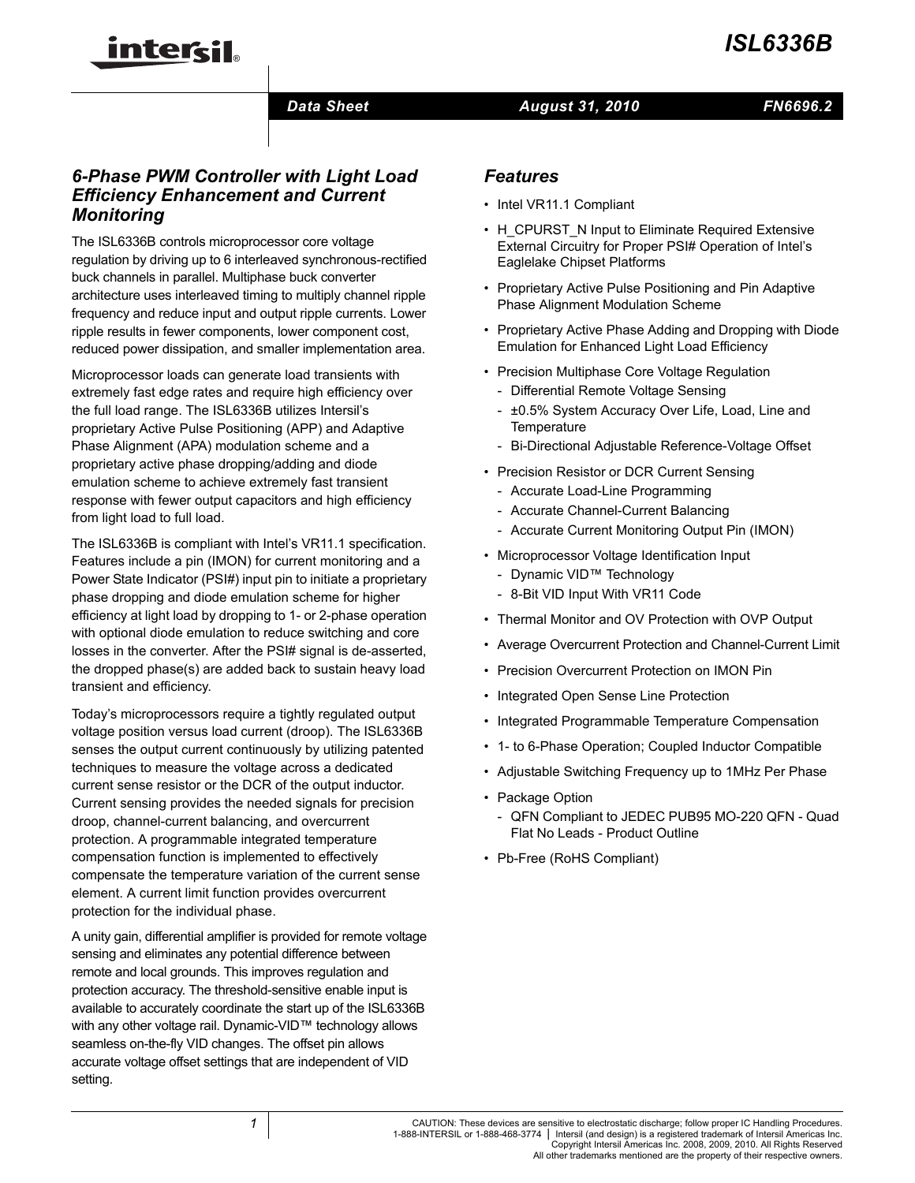

### *Data Sheet August 31, 2010*

### *FN6696.2*

# *6-Phase PWM Controller with Light Load Efficiency Enhancement and Current Monitoring*

The ISL6336B controls microprocessor core voltage regulation by driving up to 6 interleaved synchronous-rectified buck channels in parallel. Multiphase buck converter architecture uses interleaved timing to multiply channel ripple frequency and reduce input and output ripple currents. Lower ripple results in fewer components, lower component cost, reduced power dissipation, and smaller implementation area.

Microprocessor loads can generate load transients with extremely fast edge rates and require high efficiency over the full load range. The ISL6336B utilizes Intersil's proprietary Active Pulse Positioning (APP) and Adaptive Phase Alignment (APA) modulation scheme and a proprietary active phase dropping/adding and diode emulation scheme to achieve extremely fast transient response with fewer output capacitors and high efficiency from light load to full load.

The ISL6336B is compliant with Intel's VR11.1 specification. Features include a pin (IMON) for current monitoring and a Power State Indicator (PSI#) input pin to initiate a proprietary phase dropping and diode emulation scheme for higher efficiency at light load by dropping to 1- or 2-phase operation with optional diode emulation to reduce switching and core losses in the converter. After the PSI# signal is de-asserted, the dropped phase(s) are added back to sustain heavy load transient and efficiency.

Today's microprocessors require a tightly regulated output voltage position versus load current (droop). The ISL6336B senses the output current continuously by utilizing patented techniques to measure the voltage across a dedicated current sense resistor or the DCR of the output inductor. Current sensing provides the needed signals for precision droop, channel-current balancing, and overcurrent protection. A programmable integrated temperature compensation function is implemented to effectively compensate the temperature variation of the current sense element. A current limit function provides overcurrent protection for the individual phase.

A unity gain, differential amplifier is provided for remote voltage sensing and eliminates any potential difference between remote and local grounds. This improves regulation and protection accuracy. The threshold-sensitive enable input is available to accurately coordinate the start up of the ISL6336B with any other voltage rail. Dynamic-VID™ technology allows seamless on-the-fly VID changes. The offset pin allows accurate voltage offset settings that are independent of VID setting.

### *Features*

- Intel VR11.1 Compliant
- H\_CPURST\_N Input to Eliminate Required Extensive External Circuitry for Proper PSI# Operation of Intel's Eaglelake Chipset Platforms
- Proprietary Active Pulse Positioning and Pin Adaptive Phase Alignment Modulation Scheme
- Proprietary Active Phase Adding and Dropping with Diode Emulation for Enhanced Light Load Efficiency
- Precision Multiphase Core Voltage Regulation
	- Differential Remote Voltage Sensing
	- ±0.5% System Accuracy Over Life, Load, Line and **Temperature**
	- Bi-Directional Adjustable Reference-Voltage Offset
- Precision Resistor or DCR Current Sensing
	- Accurate Load-Line Programming
	- Accurate Channel-Current Balancing
	- Accurate Current Monitoring Output Pin (IMON)
- Microprocessor Voltage Identification Input
	- Dynamic VID™ Technology
	- 8-Bit VID Input With VR11 Code
- Thermal Monitor and OV Protection with OVP Output
- Average Overcurrent Protection and Channel-Current Limit
- Precision Overcurrent Protection on IMON Pin
- Integrated Open Sense Line Protection
- Integrated Programmable Temperature Compensation
- 1- to 6-Phase Operation; Coupled Inductor Compatible
- Adjustable Switching Frequency up to 1MHz Per Phase
- Package Option
	- QFN Compliant to JEDEC PUB95 MO-220 QFN Quad Flat No Leads - Product Outline
- Pb-Free (RoHS Compliant)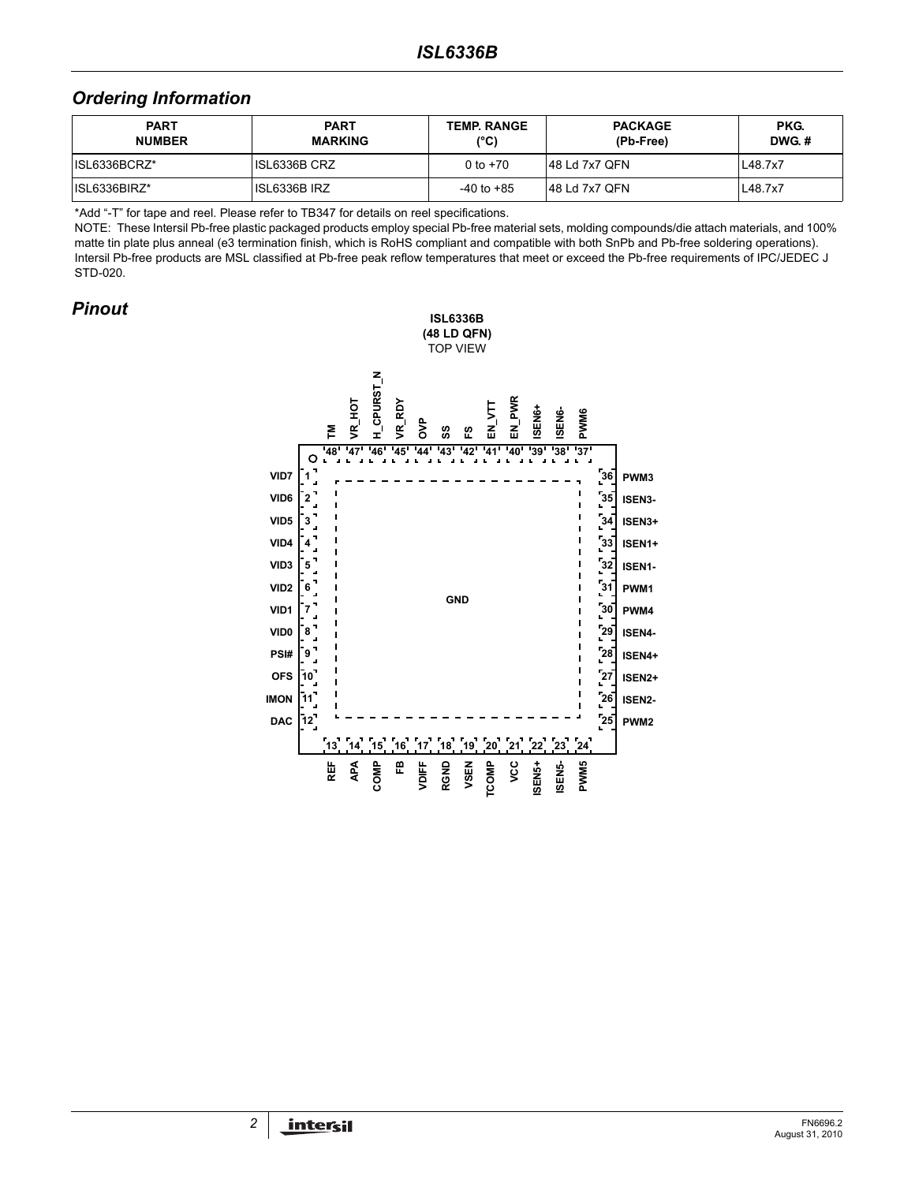## *Ordering Information*

| <b>PART</b><br><b>NUMBER</b> | <b>PART</b><br><b>MARKING</b> | <b>TEMP. RANGE</b><br>(°C) | <b>PACKAGE</b><br>(Pb-Free) | PKG.<br>DWG # |
|------------------------------|-------------------------------|----------------------------|-----------------------------|---------------|
| ISL6336BCRZ*                 | ISL6336B CRZ                  | 0 to $+70$                 | 148 Ld 7x7 QFN              | L48.7x7       |
| ISL6336BIRZ*                 | ISL6336BIRZ                   | $-40$ to $+85$             | 148 Ld 7x7 QFN              | L48.7x7       |

[\\*Add "-T" for tape and reel. Please refer to TB347 for details on reel specifications.](http://www.intersil.com/data/tb/tb347.pdf)

NOTE: These Intersil Pb-free plastic packaged products employ special Pb-free material sets, molding compounds/die attach materials, and 100% matte tin plate plus anneal (e3 termination finish, which is RoHS compliant and compatible with both SnPb and Pb-free soldering operations). Intersil Pb-free products are MSL classified at Pb-free peak reflow temperatures that meet or exceed the Pb-free requirements of IPC/JEDEC J STD-020.

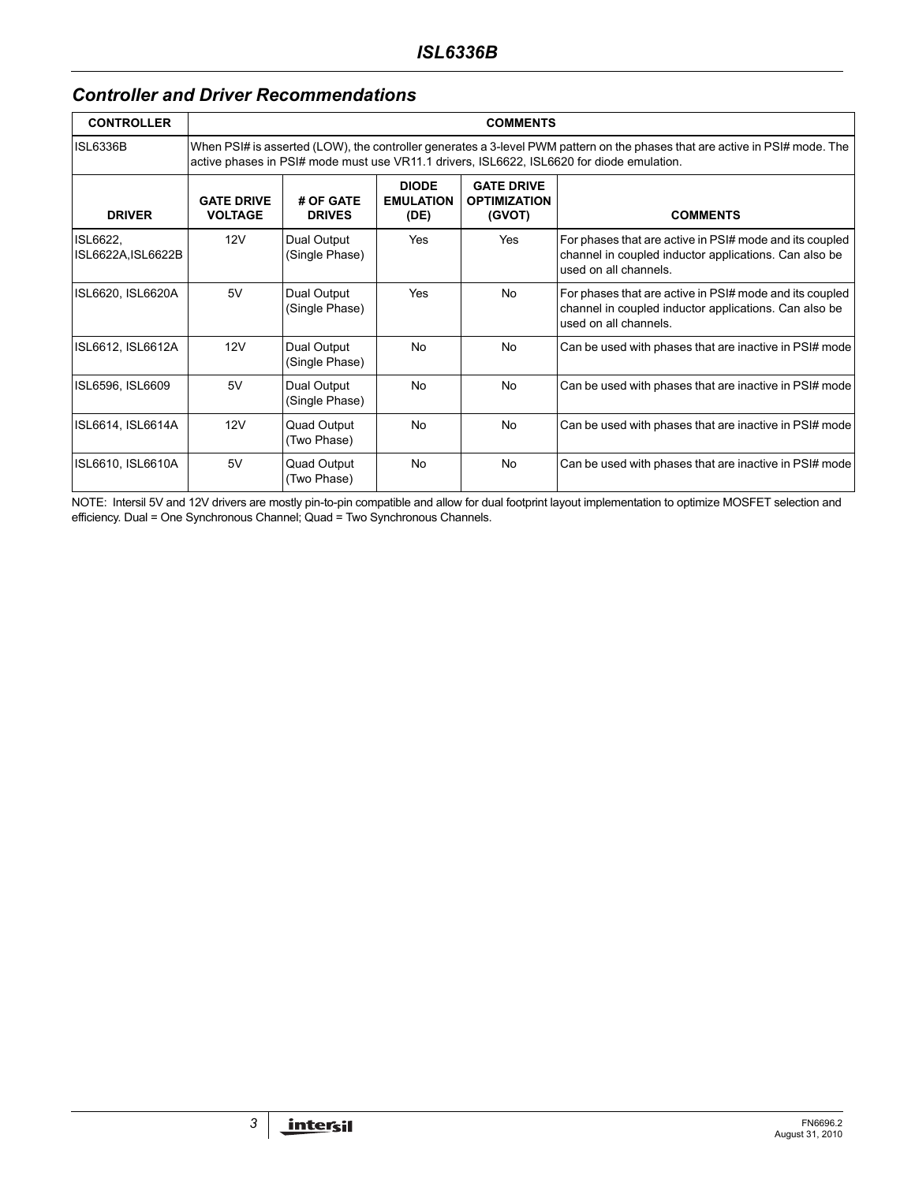# *Controller and Driver Recommendations*

| <b>CONTROLLER</b>              |                                                                                                                                                                                                                          | <b>COMMENTS</b>               |           |            |                                                                                                                                           |  |  |  |  |
|--------------------------------|--------------------------------------------------------------------------------------------------------------------------------------------------------------------------------------------------------------------------|-------------------------------|-----------|------------|-------------------------------------------------------------------------------------------------------------------------------------------|--|--|--|--|
| <b>ISL6336B</b>                | When PSI# is asserted (LOW), the controller generates a 3-level PWM pattern on the phases that are active in PSI# mode. The<br>active phases in PSI# mode must use VR11.1 drivers, ISL6622, ISL6620 for diode emulation. |                               |           |            |                                                                                                                                           |  |  |  |  |
| <b>DRIVER</b>                  | <b>GATE DRIVE</b><br><b>DIODE</b><br><b>GATE DRIVE</b><br><b>EMULATION</b><br># OF GATE<br><b>OPTIMIZATION</b><br><b>VOLTAGE</b><br><b>DRIVES</b><br>(GVOT)<br><b>COMMENTS</b><br>(DE)                                   |                               |           |            |                                                                                                                                           |  |  |  |  |
| ISL6622,<br>ISL6622A, ISL6622B | 12V                                                                                                                                                                                                                      | Dual Output<br>(Single Phase) | Yes       | <b>Yes</b> | For phases that are active in PSI# mode and its coupled<br>channel in coupled inductor applications. Can also be<br>used on all channels. |  |  |  |  |
| ISL6620, ISL6620A              | 5V                                                                                                                                                                                                                       | Dual Output<br>(Single Phase) | Yes       | <b>No</b>  | For phases that are active in PSI# mode and its coupled<br>channel in coupled inductor applications. Can also be<br>used on all channels. |  |  |  |  |
| ISL6612, ISL6612A              | 12V                                                                                                                                                                                                                      | Dual Output<br>(Single Phase) | <b>No</b> | No         | Can be used with phases that are inactive in PSI# mode                                                                                    |  |  |  |  |
| ISL6596, ISL6609               | 5V                                                                                                                                                                                                                       | Dual Output<br>(Single Phase) | <b>No</b> | No         | Can be used with phases that are inactive in PSI# mode                                                                                    |  |  |  |  |
| ISL6614, ISL6614A              | 12V                                                                                                                                                                                                                      | Quad Output<br>(Two Phase)    | <b>No</b> | No         | Can be used with phases that are inactive in PSI# mode                                                                                    |  |  |  |  |
| ISL6610, ISL6610A              | 5V                                                                                                                                                                                                                       | Quad Output<br>(Two Phase)    | <b>No</b> | <b>No</b>  | Can be used with phases that are inactive in PSI# mode                                                                                    |  |  |  |  |

NOTE: Intersil 5V and 12V drivers are mostly pin-to-pin compatible and allow for dual footprint layout implementation to optimize MOSFET selection and efficiency. Dual = One Synchronous Channel; Quad = Two Synchronous Channels.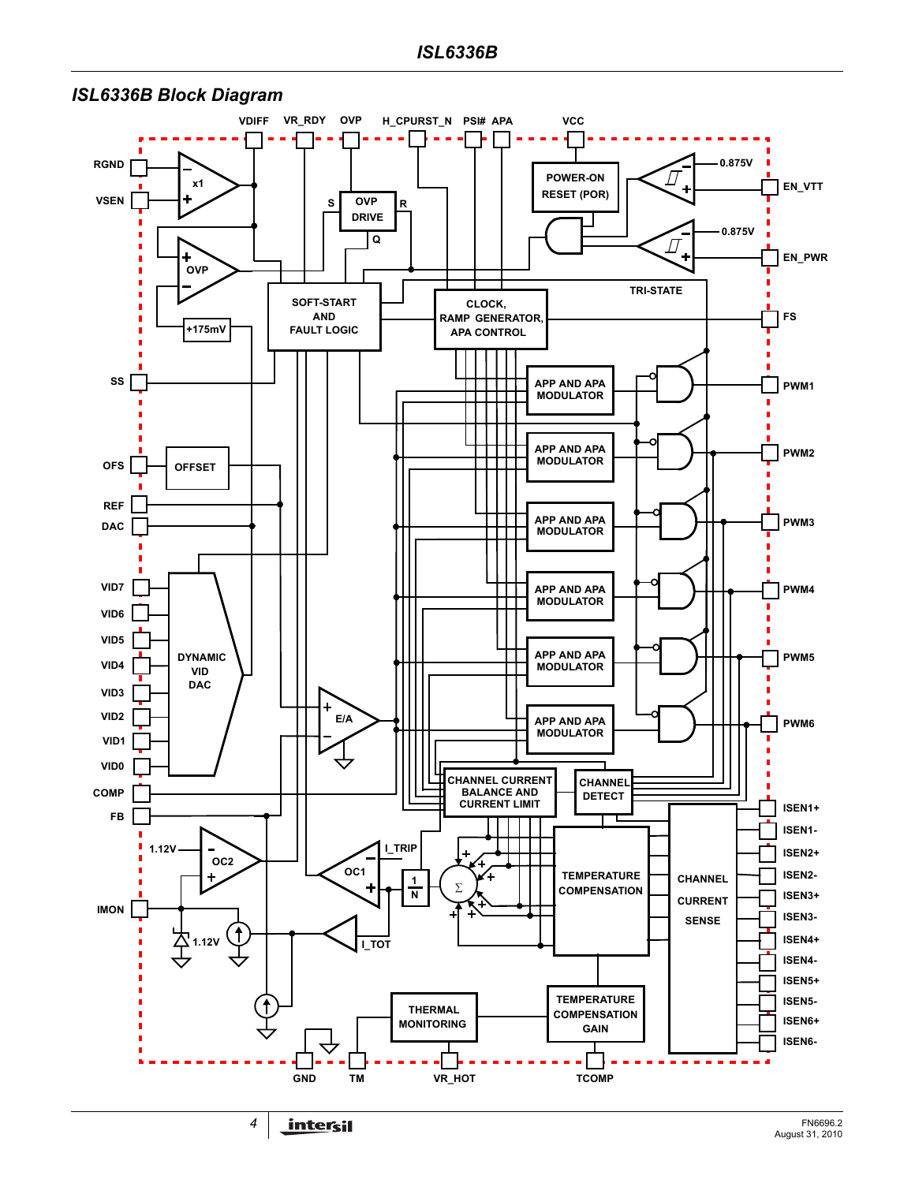

## *ISL6336B Block Diagram*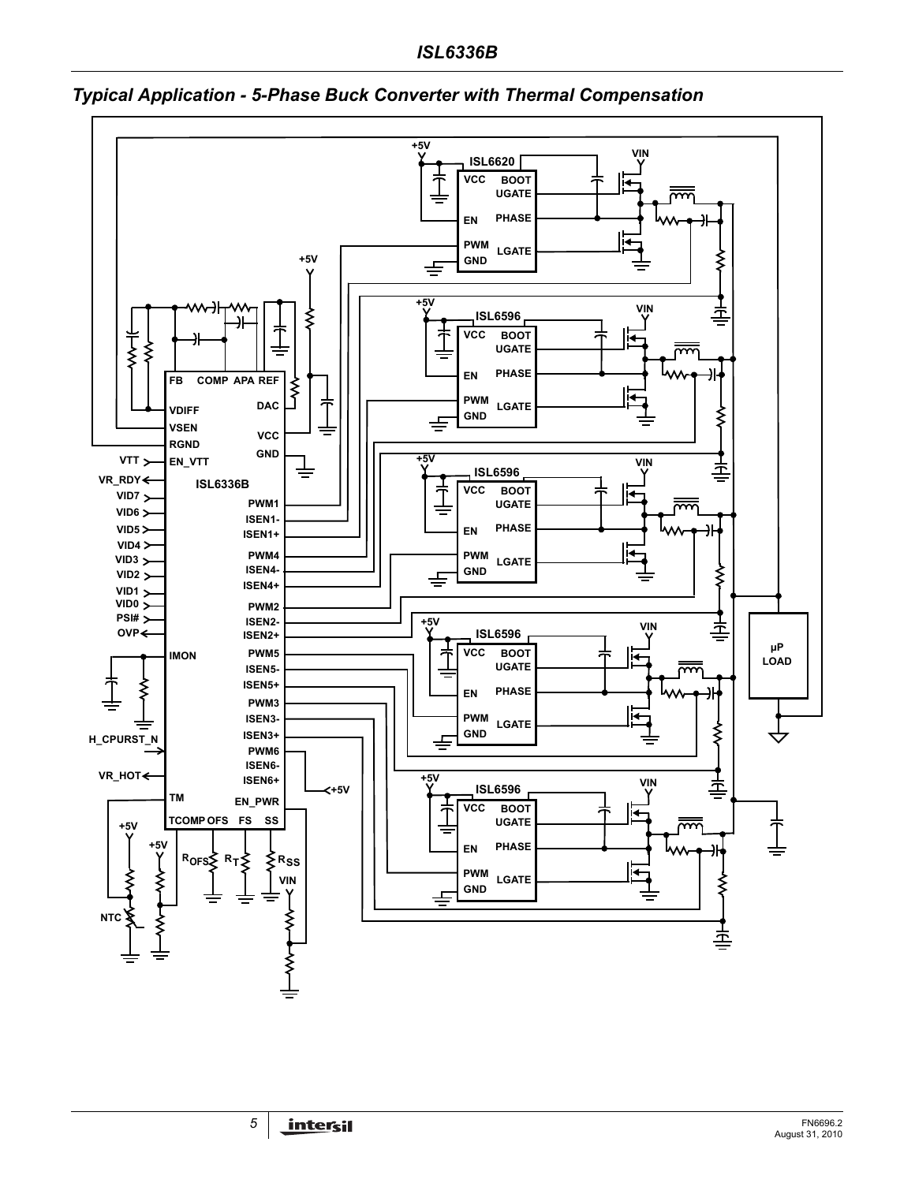



# <span id="page-4-0"></span>*Typical Application - 5-Phase Buck Converter with Thermal Compensation*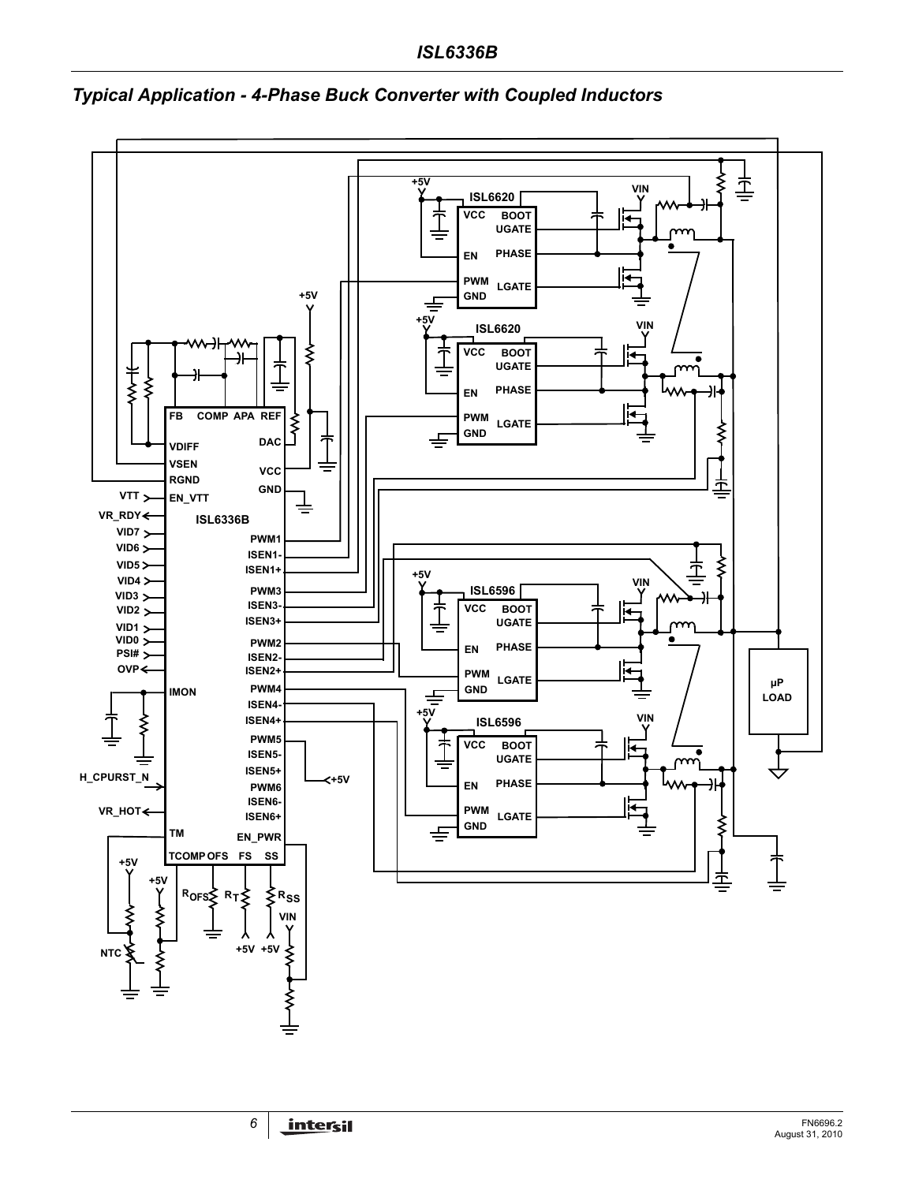

# <span id="page-5-0"></span>*Typical Application - 4-Phase Buck Converter with Coupled Inductors*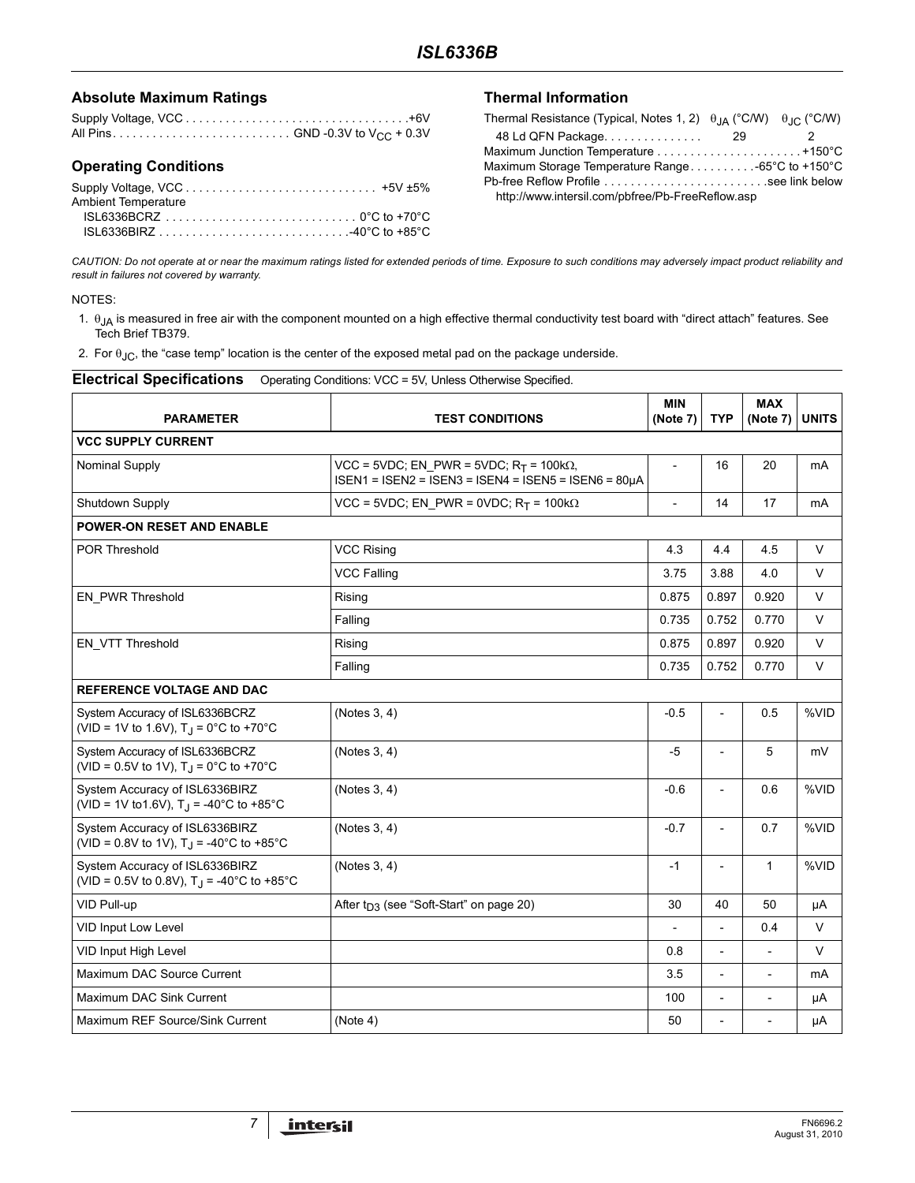### **Absolute Maximum Ratings**

### **Operating Conditions**

| Ambient Temperature |  |
|---------------------|--|
|                     |  |
|                     |  |

### **Thermal Information**

| Thermal Resistance (Typical, Notes 1, 2) $\theta_{IA}$ (°C/W) $\theta_{IA}$ (°C/W) |     |  |
|------------------------------------------------------------------------------------|-----|--|
| 48 Ld QFN Package                                                                  | -29 |  |
|                                                                                    |     |  |
| Maximum Storage Temperature Range-65°C to +150°C                                   |     |  |
|                                                                                    |     |  |
| http://www.intersil.com/pbfree/Pb-FreeReflow.asp                                   |     |  |

*CAUTION: Do not operate at or near the maximum ratings listed for extended periods of time. Exposure to such conditions may adversely impact product reliability and result in failures not covered by warranty.*

### NOTES:

<span id="page-6-0"></span>1.  $\theta_{JA}$  is measured in free air with the component mounted on a high effective thermal conductivity test board with "direct attach" features. See Tech Brief TB379.

<span id="page-6-1"></span>2. For  $\theta_{JC}$ , the "case temp" location is the center of the exposed metal pad on the package underside.

### <span id="page-6-2"></span>**Electrical Specifications** Operating Conditions: VCC = 5V, Unless Otherwise Specified.

| <b>PARAMETER</b>                                                                      | <b>TEST CONDITIONS</b>                                                                                         | <b>MIN</b><br>(Note 7) | <b>TYP</b>     | <b>MAX</b><br>(Note 7)   | <b>UNITS</b> |
|---------------------------------------------------------------------------------------|----------------------------------------------------------------------------------------------------------------|------------------------|----------------|--------------------------|--------------|
| <b>VCC SUPPLY CURRENT</b>                                                             |                                                                                                                |                        |                |                          |              |
| Nominal Supply                                                                        | VCC = 5VDC; EN PWR = 5VDC; $R_T$ = 100k $\Omega$ ,<br>$ISEN1 = ISEN2 = ISEN3 = ISEN4 = ISEN5 = ISEN6 = 80\muA$ | $\overline{a}$         | 16             | 20                       | mA           |
| Shutdown Supply                                                                       | VCC = 5VDC; EN PWR = 0VDC; R <sub>T</sub> = 100k $\Omega$                                                      | $\frac{1}{2}$          | 14             | 17                       | mA           |
| <b>POWER-ON RESET AND ENABLE</b>                                                      |                                                                                                                |                        |                |                          |              |
| <b>POR Threshold</b>                                                                  | <b>VCC Rising</b>                                                                                              | 4.3                    | 4.4            | 4.5                      | V            |
|                                                                                       | <b>VCC Falling</b>                                                                                             | 3.75                   | 3.88           | 4.0                      | V            |
| EN PWR Threshold                                                                      | Rising                                                                                                         | 0.875                  | 0.897          | 0.920                    | V            |
|                                                                                       | Falling                                                                                                        | 0.735                  | 0.752          | 0.770                    | $\vee$       |
| EN_VTT Threshold                                                                      | Rising                                                                                                         | 0.875                  | 0.897          | 0.920                    | $\vee$       |
|                                                                                       | Falling                                                                                                        | 0.735                  | 0.752          | 0.770                    | V            |
| <b>REFERENCE VOLTAGE AND DAC</b>                                                      |                                                                                                                |                        |                |                          |              |
| System Accuracy of ISL6336BCRZ<br>(VID = 1V to 1.6V), $T_{\rm J}$ = 0°C to +70°C      | (Notes 3, 4)                                                                                                   | $-0.5$                 |                | 0.5                      | %VID         |
| System Accuracy of ISL6336BCRZ<br>(VID = 0.5V to 1V), $T_{\rm J}$ = 0°C to +70°C      | (Notes 3, 4)                                                                                                   | -5                     | $\overline{a}$ | 5                        | mV           |
| System Accuracy of ISL6336BIRZ<br>(VID = 1V to 1.6V), $T_{\text{J}}$ = -40°C to +85°C | (Notes 3, 4)                                                                                                   | $-0.6$                 | $\overline{a}$ | 0.6                      | %VID         |
| System Accuracy of ISL6336BIRZ<br>(VID = 0.8V to 1V), $T_{\rm J}$ = -40°C to +85°C    | (Notes 3, 4)                                                                                                   | $-0.7$                 | $\overline{a}$ | 0.7                      | %VID         |
| System Accuracy of ISL6336BIRZ<br>(VID = 0.5V to 0.8V), $T_{\rm J}$ = -40°C to +85°C  | (Notes 3, 4)                                                                                                   | $-1$                   | $\overline{a}$ | $\mathbf{1}$             | %VID         |
| VID Pull-up                                                                           | After $t_{D3}$ (see "Soft-Start" on page 20)                                                                   | 30                     | 40             | 50                       | μA           |
| VID Input Low Level                                                                   |                                                                                                                |                        | $\overline{a}$ | 0.4                      | V            |
| VID Input High Level                                                                  |                                                                                                                | 0.8                    | $\overline{a}$ | $\overline{a}$           | $\vee$       |
| Maximum DAC Source Current                                                            |                                                                                                                | 3.5                    | $\overline{a}$ | $\overline{\phantom{a}}$ | mA           |
| Maximum DAC Sink Current                                                              |                                                                                                                | 100                    | $\overline{a}$ |                          | μA           |
| Maximum REF Source/Sink Current                                                       | (Note 4)                                                                                                       | 50                     |                |                          | μA           |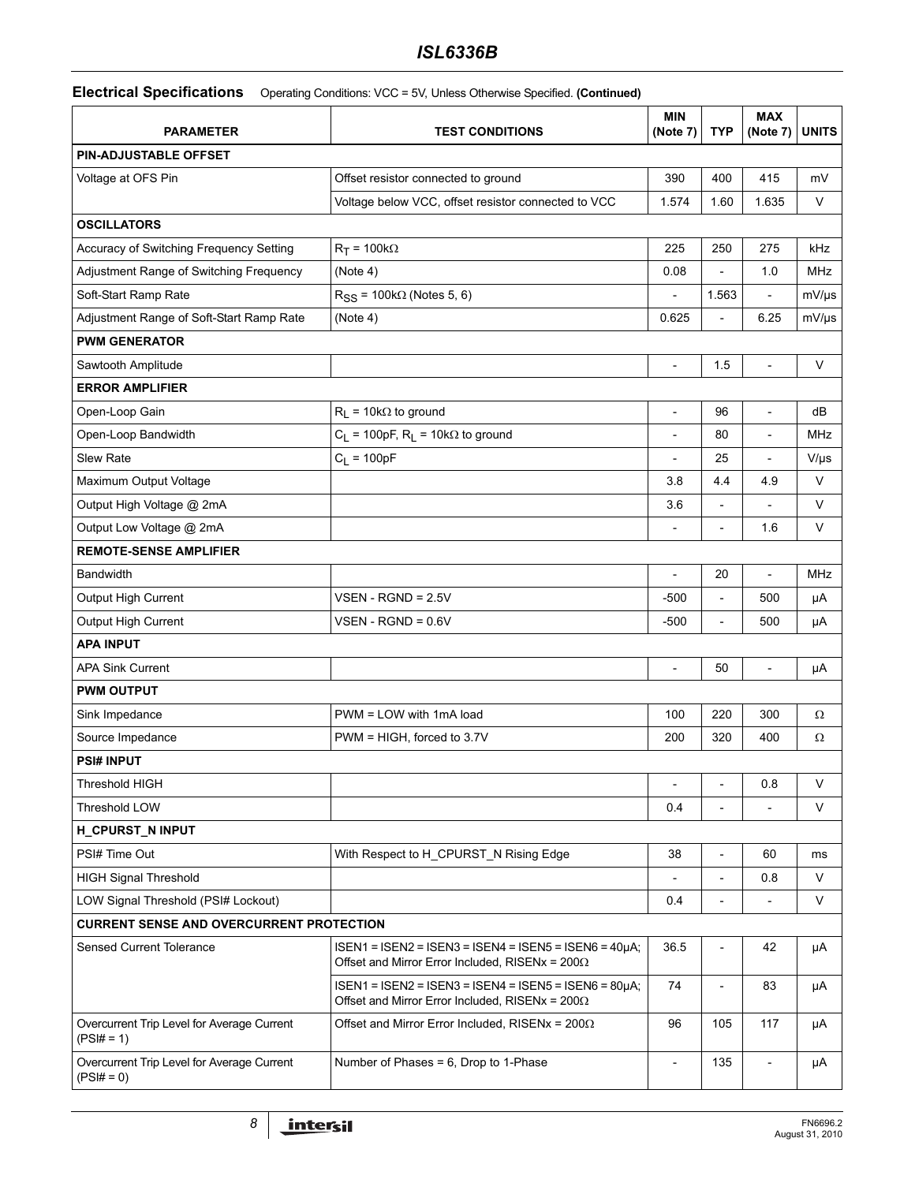# *ISL6336B*

## **Electrical Specifications** Operating Conditions: VCC = 5V, Unless Otherwise Specified. **(Continued)**

| <b>PARAMETER</b>                                           | <b>TEST CONDITIONS</b>                                                                                              | <b>MIN</b><br>(Note 7)   | <b>TYP</b>               | <b>MAX</b><br>(Note 7)   | <b>UNITS</b> |
|------------------------------------------------------------|---------------------------------------------------------------------------------------------------------------------|--------------------------|--------------------------|--------------------------|--------------|
| <b>PIN-ADJUSTABLE OFFSET</b>                               |                                                                                                                     |                          |                          |                          |              |
| Voltage at OFS Pin                                         | Offset resistor connected to ground                                                                                 | 390                      | 400                      | 415                      | mV           |
|                                                            | Voltage below VCC, offset resistor connected to VCC                                                                 | 1.574                    | 1.60                     | 1.635                    | V            |
| <b>OSCILLATORS</b>                                         |                                                                                                                     |                          |                          |                          |              |
| Accuracy of Switching Frequency Setting                    | $R_T = 100k\Omega$                                                                                                  | 225                      | 250                      | 275                      | kHz          |
| Adjustment Range of Switching Frequency                    | (Note 4)                                                                                                            | 0.08                     | $\overline{a}$           | 1.0                      | <b>MHz</b>   |
| Soft-Start Ramp Rate                                       | $R_{SS}$ = 100k $\Omega$ (Notes 5, 6)                                                                               |                          | 1.563                    | $\overline{\phantom{a}}$ | $mV/\mu s$   |
| Adjustment Range of Soft-Start Ramp Rate                   | (Note 4)                                                                                                            | 0.625                    | $\overline{\phantom{0}}$ | 6.25                     | $mV/\mu s$   |
| <b>PWM GENERATOR</b>                                       |                                                                                                                     |                          |                          |                          |              |
| Sawtooth Amplitude                                         |                                                                                                                     | $\overline{a}$           | 1.5                      | $\overline{a}$           | V            |
| <b>ERROR AMPLIFIER</b>                                     |                                                                                                                     |                          |                          |                          |              |
| Open-Loop Gain                                             | $R_1 = 10k\Omega$ to ground                                                                                         | $\overline{\phantom{a}}$ | 96                       | $\overline{a}$           | dB           |
| Open-Loop Bandwidth                                        | $C_1$ = 100pF, R <sub>1</sub> = 10k $\Omega$ to ground                                                              | $\overline{a}$           | 80                       | $\overline{a}$           | <b>MHz</b>   |
| <b>Slew Rate</b>                                           | $C_L = 100pF$                                                                                                       | $\overline{a}$           | 25                       | $\overline{a}$           | $V/\mu s$    |
| Maximum Output Voltage                                     |                                                                                                                     | 3.8                      | 4.4                      | 4.9                      | V            |
| Output High Voltage @ 2mA                                  |                                                                                                                     | 3.6                      |                          |                          | V            |
| Output Low Voltage @ 2mA                                   |                                                                                                                     | $\overline{a}$           |                          | 1.6                      | $\vee$       |
| <b>REMOTE-SENSE AMPLIFIER</b>                              |                                                                                                                     |                          |                          |                          |              |
| <b>Bandwidth</b>                                           |                                                                                                                     | $\overline{\phantom{a}}$ | 20                       | $\overline{\phantom{a}}$ | MHz          |
| Output High Current                                        | $VSEN$ - RGND = 2.5V                                                                                                | $-500$                   | $\overline{a}$           | 500                      | μA           |
| Output High Current                                        | $VSEN$ - RGND = 0.6V                                                                                                | $-500$                   |                          | 500                      | μA           |
| <b>APA INPUT</b>                                           |                                                                                                                     |                          |                          |                          |              |
| <b>APA Sink Current</b>                                    |                                                                                                                     | $\overline{a}$           | 50                       | $\overline{a}$           | μA           |
| <b>PWM OUTPUT</b>                                          |                                                                                                                     |                          |                          |                          |              |
| Sink Impedance                                             | PWM = LOW with 1mA load                                                                                             | 100                      | 220                      | 300                      | Ω            |
| Source Impedance                                           | $PWM = HIGH$ . forced to 3.7V                                                                                       | 200                      | 320                      | 400                      | Ω            |
| <b>PSI# INPUT</b>                                          |                                                                                                                     |                          |                          |                          |              |
| <b>Threshold HIGH</b>                                      |                                                                                                                     |                          |                          | 0.8                      | V            |
| Threshold LOW                                              |                                                                                                                     | 0.4                      |                          |                          | V            |
| <b>H_CPURST_N INPUT</b>                                    |                                                                                                                     |                          |                          |                          |              |
| PSI# Time Out                                              | With Respect to H_CPURST_N Rising Edge                                                                              | 38                       | $\overline{a}$           | 60                       | ms           |
| <b>HIGH Signal Threshold</b>                               |                                                                                                                     |                          | $\overline{a}$           | 0.8                      | V            |
| LOW Signal Threshold (PSI# Lockout)                        |                                                                                                                     | 0.4                      | $\overline{a}$           |                          | V            |
| <b>CURRENT SENSE AND OVERCURRENT PROTECTION</b>            |                                                                                                                     |                          |                          |                          |              |
| Sensed Current Tolerance                                   | $ISEN1 = ISEN2 = ISEN3 = ISEN4 = ISEN5 = ISEN6 = 40\muA;$<br>Offset and Mirror Error Included, RISENx = $200\Omega$ |                          | $\overline{\phantom{0}}$ | 42                       | μA           |
|                                                            | $ISEN1 = ISEN2 = ISEN3 = ISEN4 = ISEN5 = ISEN6 = 80µA;$<br>Offset and Mirror Error Included, RISENx = $200\Omega$   | 74                       | $\overline{\phantom{0}}$ | 83                       | μA           |
| Overcurrent Trip Level for Average Current<br>$(PSI# = 1)$ | Offset and Mirror Error Included, RISENx = $200\Omega$                                                              | 96                       | 105                      | 117                      | μA           |
| Overcurrent Trip Level for Average Current<br>$(PSH = 0)$  | Number of Phases = $6$ , Drop to 1-Phase                                                                            | $\overline{\phantom{a}}$ | 135                      | $\overline{a}$           | μA           |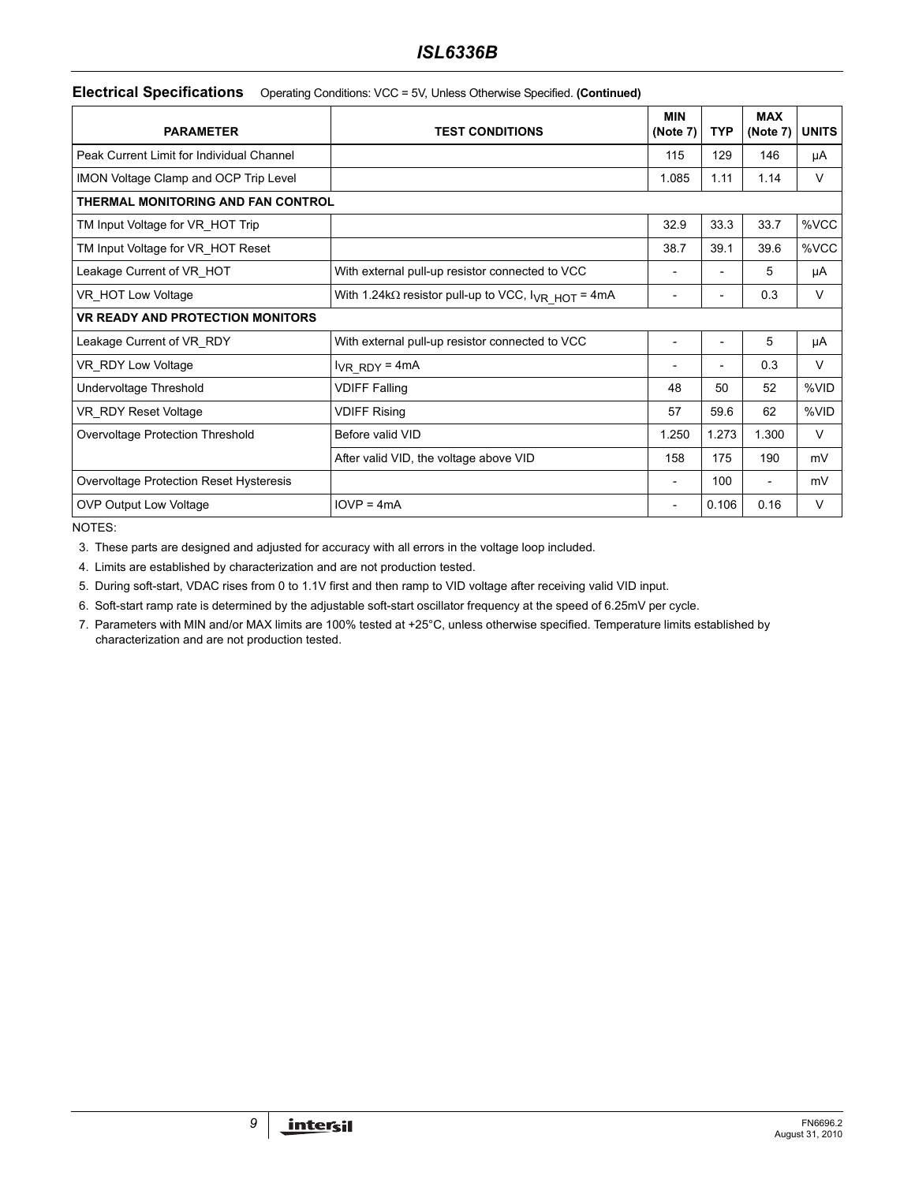# *ISL6336B*

### **Electrical Specifications** Operating Conditions: VCC = 5V, Unless Otherwise Specified. **(Continued)**

| <b>PARAMETER</b>                          | <b>TEST CONDITIONS</b>                                           | <b>MIN</b><br>(Note 7)   | <b>TYP</b>               | <b>MAX</b><br>(Note 7)   | <b>UNITS</b> |
|-------------------------------------------|------------------------------------------------------------------|--------------------------|--------------------------|--------------------------|--------------|
| Peak Current Limit for Individual Channel |                                                                  | 115                      | 129                      | 146                      | μA           |
| IMON Voltage Clamp and OCP Trip Level     |                                                                  | 1.085                    | 1.11                     | 1.14                     | V            |
| THERMAL MONITORING AND FAN CONTROL        |                                                                  |                          |                          |                          |              |
| TM Input Voltage for VR_HOT Trip          |                                                                  | 32.9                     | 33.3                     | 33.7                     | %VCC         |
| TM Input Voltage for VR HOT Reset         |                                                                  | 38.7                     | 39.1                     | 39.6                     | %VCC         |
| Leakage Current of VR_HOT                 | With external pull-up resistor connected to VCC                  | $\overline{\phantom{a}}$ |                          | 5                        | μA           |
| VR HOT Low Voltage                        | With 1.24k $\Omega$ resistor pull-up to VCC, $I_{VR\_HOT}$ = 4mA | $\overline{\phantom{a}}$ | $\overline{\phantom{0}}$ | 0.3                      | V            |
| <b>VR READY AND PROTECTION MONITORS</b>   |                                                                  |                          |                          |                          |              |
| Leakage Current of VR_RDY                 | With external pull-up resistor connected to VCC                  |                          |                          | 5                        | μA           |
| VR RDY Low Voltage                        | $I_{VR\_RDY} = 4mA$                                              |                          |                          | 0.3                      | V            |
| Undervoltage Threshold                    | <b>VDIFF Falling</b>                                             | 48                       | 50                       | 52                       | %VID         |
| VR RDY Reset Voltage                      | <b>VDIFF Rising</b>                                              | 57                       | 59.6                     | 62                       | %VID         |
| Overvoltage Protection Threshold          | Before valid VID                                                 | 1.250                    | 1.273                    | 1.300                    | $\vee$       |
|                                           | After valid VID, the voltage above VID                           | 158                      | 175                      | 190                      | mV           |
| Overvoltage Protection Reset Hysteresis   |                                                                  | $\overline{\phantom{a}}$ | 100                      | $\overline{\phantom{a}}$ | mV           |
| <b>OVP Output Low Voltage</b>             | $IOVP = 4mA$                                                     | $\overline{\phantom{a}}$ | 0.106                    | 0.16                     | $\vee$       |

NOTES:

<span id="page-8-1"></span>3. These parts are designed and adjusted for accuracy with all errors in the voltage loop included.

<span id="page-8-0"></span>4. Limits are established by characterization and are not production tested.

<span id="page-8-3"></span>5. During soft-start, VDAC rises from 0 to 1.1V first and then ramp to VID voltage after receiving valid VID input.

<span id="page-8-4"></span>6. Soft-start ramp rate is determined by the adjustable soft-start oscillator frequency at the speed of 6.25mV per cycle.

<span id="page-8-2"></span>7. Parameters with MIN and/or MAX limits are 100% tested at +25°C, unless otherwise specified. Temperature limits established by characterization and are not production tested.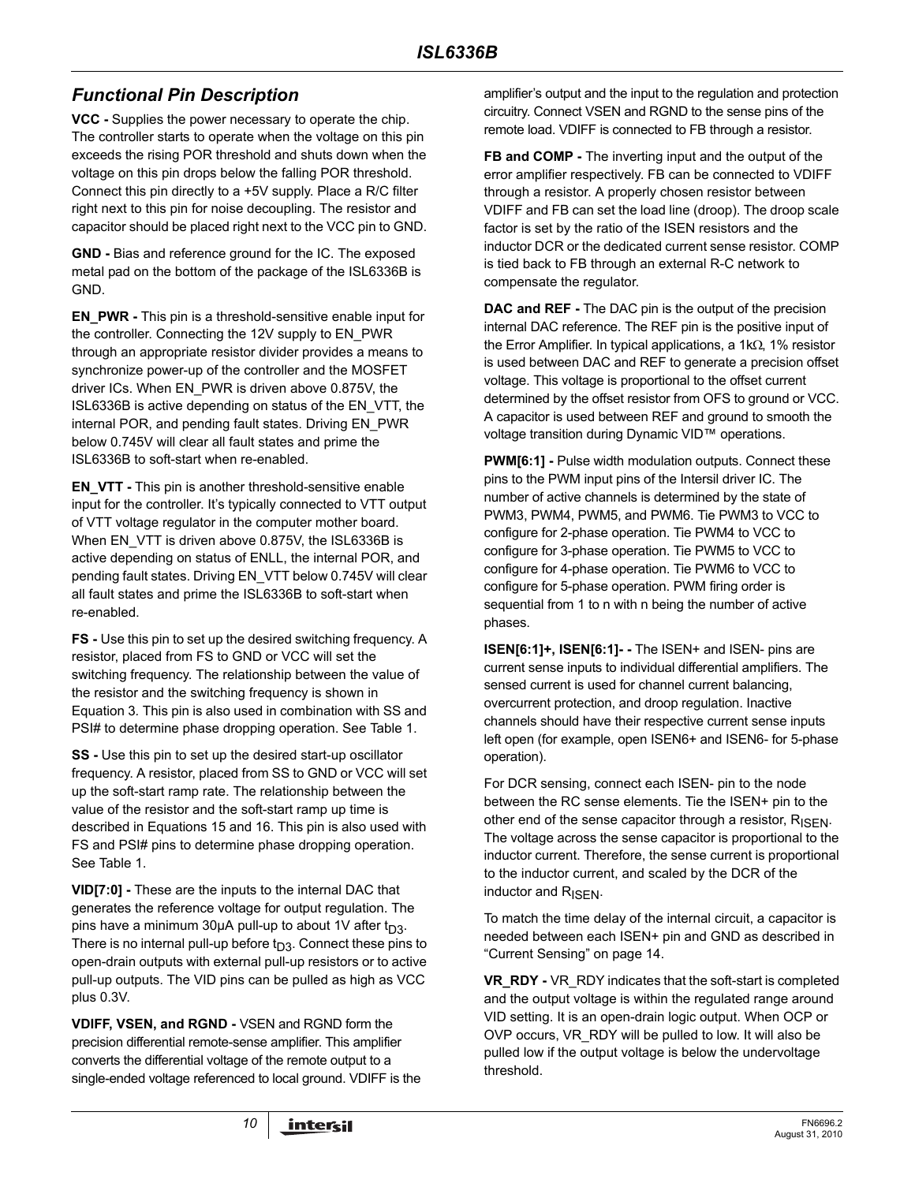# *Functional Pin Description*

**VCC -** Supplies the power necessary to operate the chip. The controller starts to operate when the voltage on this pin exceeds the rising POR threshold and shuts down when the voltage on this pin drops below the falling POR threshold. Connect this pin directly to a +5V supply. Place a R/C filter right next to this pin for noise decoupling. The resistor and capacitor should be placed right next to the VCC pin to GND.

**GND -** Bias and reference ground for the IC. The exposed metal pad on the bottom of the package of the ISL6336B is GND.

**EN\_PWR -** This pin is a threshold-sensitive enable input for the controller. Connecting the 12V supply to EN\_PWR through an appropriate resistor divider provides a means to synchronize power-up of the controller and the MOSFET driver ICs. When EN\_PWR is driven above 0.875V, the ISL6336B is active depending on status of the EN\_VTT, the internal POR, and pending fault states. Driving EN\_PWR below 0.745V will clear all fault states and prime the ISL6336B to soft-start when re-enabled.

**EN\_VTT -** This pin is another threshold-sensitive enable input for the controller. It's typically connected to VTT output of VTT voltage regulator in the computer mother board. When EN\_VTT is driven above 0.875V, the ISL6336B is active depending on status of ENLL, the internal POR, and pending fault states. Driving EN\_VTT below 0.745V will clear all fault states and prime the ISL6336B to soft-start when re-enabled.

**FS -** Use this pin to set up the desired switching frequency. A resistor, placed from FS to GND or VCC will set the switching frequency. The relationship between the value of the resistor and the switching frequency is shown in Equation [3](#page-13-0)*.* This pin is also used in combination with SS and PSI# to determine phase dropping operation. See Table [1.](#page-12-1)

**SS -** Use this pin to set up the desired start-up oscillator frequency. A resistor, placed from SS to GND or VCC will set up the soft-start ramp rate. The relationship between the value of the resistor and the soft-start ramp up time is described in Equations [15](#page-19-1) and [16](#page-19-2). This pin is also used with FS and PSI# pins to determine phase dropping operation. See Table [1](#page-12-1)[.](#page-12-0)

**VID[7:0] -** These are the inputs to the internal DAC that generates the reference voltage for output regulation. The pins have a minimum 30 $\mu$ A pull-up to about 1V after t<sub>D3</sub>. There is no internal pull-up before  $t_{D3}$ . Connect these pins to open-drain outputs with external pull-up resistors or to active pull-up outputs. The VID pins can be pulled as high as VCC plus 0.3V.

**VDIFF, VSEN, and RGND -** VSEN and RGND form the precision differential remote-sense amplifier. This amplifier converts the differential voltage of the remote output to a single-ended voltage referenced to local ground. VDIFF is the amplifier's output and the input to the regulation and protection circuitry. Connect VSEN and RGND to the sense pins of the remote load. VDIFF is connected to FB through a resistor.

**FB and COMP -** The inverting input and the output of the error amplifier respectively. FB can be connected to VDIFF through a resistor. A properly chosen resistor between VDIFF and FB can set the load line (droop). The droop scale factor is set by the ratio of the ISEN resistors and the inductor DCR or the dedicated current sense resistor. COMP is tied back to FB through an external R-C network to compensate the regulator.

**DAC and REF -** The DAC pin is the output of the precision internal DAC reference. The REF pin is the positive input of the Error Amplifier. In typical applications, a 1kΩ, 1% resistor is used between DAC and REF to generate a precision offset voltage. This voltage is proportional to the offset current determined by the offset resistor from OFS to ground or VCC. A capacitor is used between REF and ground to smooth the voltage transition during Dynamic VID™ operations.

**PWM[6:1] -** Pulse width modulation outputs. Connect these pins to the PWM input pins of the Intersil driver IC. The number of active channels is determined by the state of PWM3, PWM4, PWM5, and PWM6. Tie PWM3 to VCC to configure for 2-phase operation. Tie PWM4 to VCC to configure for 3-phase operation. Tie PWM5 to VCC to configure for 4-phase operation. Tie PWM6 to VCC to configure for 5-phase operation. PWM firing order is sequential from 1 to n with n being the number of active phases.

**ISEN[6:1]+, ISEN[6:1]- -** The ISEN+ and ISEN- pins are current sense inputs to individual differential amplifiers. The sensed current is used for channel current balancing, overcurrent protection, and droop regulation. Inactive channels should have their respective current sense inputs left open (for example, open ISEN6+ and ISEN6- for 5-phase operation).

For DCR sensing, connect each ISEN- pin to the node between the RC sense elements. Tie the ISEN+ pin to the other end of the sense capacitor through a resistor,  $R_{\text{ISFN}}$ . The voltage across the sense capacitor is proportional to the inductor current. Therefore, the sense current is proportional to the inductor current, and scaled by the DCR of the inductor and  $R_{\text{ISFN}}$ .

To match the time delay of the internal circuit, a capacitor is needed between each ISEN+ pin and GND as described in ["Current Sensing" on page 14](#page-13-1).

**VR\_RDY -** VR\_RDY indicates that the soft-start is completed and the output voltage is within the regulated range around VID setting. It is an open-drain logic output. When OCP or OVP occurs, VR\_RDY will be pulled to low. It will also be pulled low if the output voltage is below the undervoltage threshold.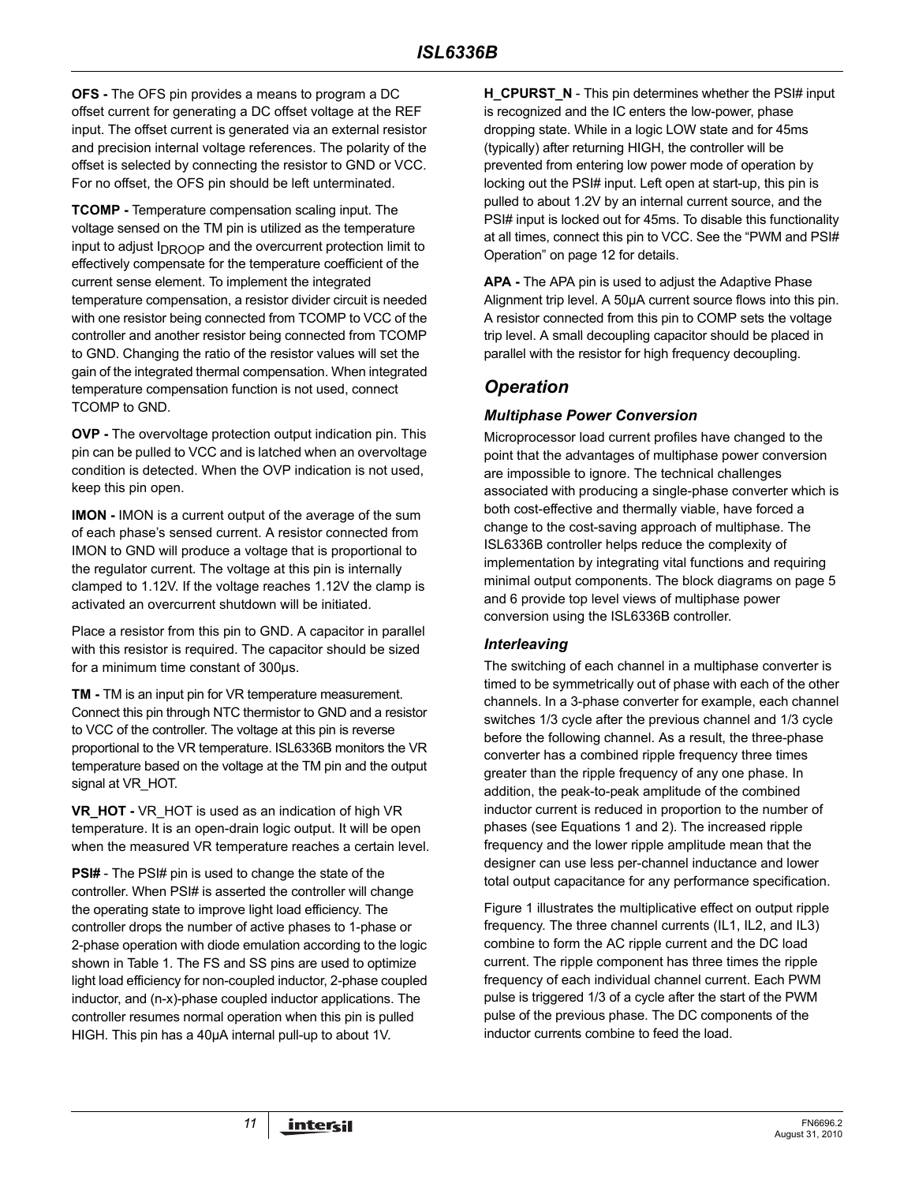**OFS -** The OFS pin provides a means to program a DC offset current for generating a DC offset voltage at the REF input. The offset current is generated via an external resistor and precision internal voltage references. The polarity of the offset is selected by connecting the resistor to GND or VCC. For no offset, the OFS pin should be left unterminated.

**TCOMP -** Temperature compensation scaling input. The voltage sensed on the TM pin is utilized as the temperature input to adjust  $I_{DROOP}$  and the overcurrent protection limit to effectively compensate for the temperature coefficient of the current sense element. To implement the integrated temperature compensation, a resistor divider circuit is needed with one resistor being connected from TCOMP to VCC of the controller and another resistor being connected from TCOMP to GND. Changing the ratio of the resistor values will set the gain of the integrated thermal compensation. When integrated temperature compensation function is not used, connect TCOMP to GND.

**OVP -** The overvoltage protection output indication pin. This pin can be pulled to VCC and is latched when an overvoltage condition is detected. When the OVP indication is not used, keep this pin open.

**IMON - IMON is a current output of the average of the sum** of each phase's sensed current. A resistor connected from IMON to GND will produce a voltage that is proportional to the regulator current. The voltage at this pin is internally clamped to 1.12V. If the voltage reaches 1.12V the clamp is activated an overcurrent shutdown will be initiated.

Place a resistor from this pin to GND. A capacitor in parallel with this resistor is required. The capacitor should be sized for a minimum time constant of 300µs.

**TM -** TM is an input pin for VR temperature measurement. Connect this pin through NTC thermistor to GND and a resistor to VCC of the controller. The voltage at this pin is reverse proportional to the VR temperature. ISL6336B monitors the VR temperature based on the voltage at the TM pin and the output signal at VR\_HOT.

**VR\_HOT -** VR\_HOT is used as an indication of high VR temperature. It is an open-drain logic output. It will be open when the measured VR temperature reaches a certain level.

**PSI#** - The PSI# pin is used to change the state of the controller. When PSI# is asserted the controller will change the operating state to improve light load efficiency. The controller drops the number of active phases to 1-phase or 2-phase operation with diode emulation according to the logic shown in Table [1.](#page-12-1) The FS and SS pins are used to optimize light load efficiency for non-coupled inductor, 2-phase coupled inductor, and (n-x)-phase coupled inductor applications. The controller resumes normal operation when this pin is pulled HIGH. This pin has a 40µA internal pull-up to about 1V.

**H\_CPURST\_N** - This pin determines whether the PSI# input is recognized and the IC enters the low-power, phase dropping state. While in a logic LOW state and for 45ms (typically) after returning HIGH, the controller will be prevented from entering low power mode of operation by locking out the PSI# input. Left open at start-up, this pin is pulled to about 1.2V by an internal current source, and the PSI# input is locked out for 45ms. To disable this functionality at all times, connect this pin to VCC. See the ["PWM and PSI#](#page-11-3)  [Operation" on page 12](#page-11-3) for details.

**APA -** The APA pin is used to adjust the Adaptive Phase Alignment trip level. A 50µA current source flows into this pin. A resistor connected from this pin to COMP sets the voltage trip level. A small decoupling capacitor should be placed in parallel with the resistor for high frequency decoupling.

# *Operation*

### *Multiphase Power Conversion*

Microprocessor load current profiles have changed to the point that the advantages of multiphase power conversion are impossible to ignore. The technical challenges associated with producing a single-phase converter which is both cost-effective and thermally viable, have forced a change to the cost-saving approach of multiphase. The ISL6336B controller helps reduce the complexity of implementation by integrating vital functions and requiring minimal output components. The block diagrams on [page 5](#page-4-0)  and [6](#page-5-0) provide top level views of multiphase power conversion using the ISL6336B controller.

### <span id="page-10-0"></span>*Interleaving*

The switching of each channel in a multiphase converter is timed to be symmetrically out of phase with each of the other channels. In a 3-phase converter for example, each channel switches 1/3 cycle after the previous channel and 1/3 cycle before the following channel. As a result, the three-phase converter has a combined ripple frequency three times greater than the ripple frequency of any one phase. In addition, the peak-to-peak amplitude of the combined inductor current is reduced in proportion to the number of phases (see Equations [1](#page-11-0) and [2\)](#page-11-1). The increased ripple frequency and the lower ripple amplitude mean that the designer can use less per-channel inductance and lower total output capacitance for any performance specification.

Figure [1](#page-11-2) illustrates the multiplicative effect on output ripple frequency. The three channel currents (IL1, IL2, and IL3) combine to form the AC ripple current and the DC load current. The ripple component has three times the ripple frequency of each individual channel current. Each PWM pulse is triggered 1/3 of a cycle after the start of the PWM pulse of the previous phase. The DC components of the inductor currents combine to feed the load.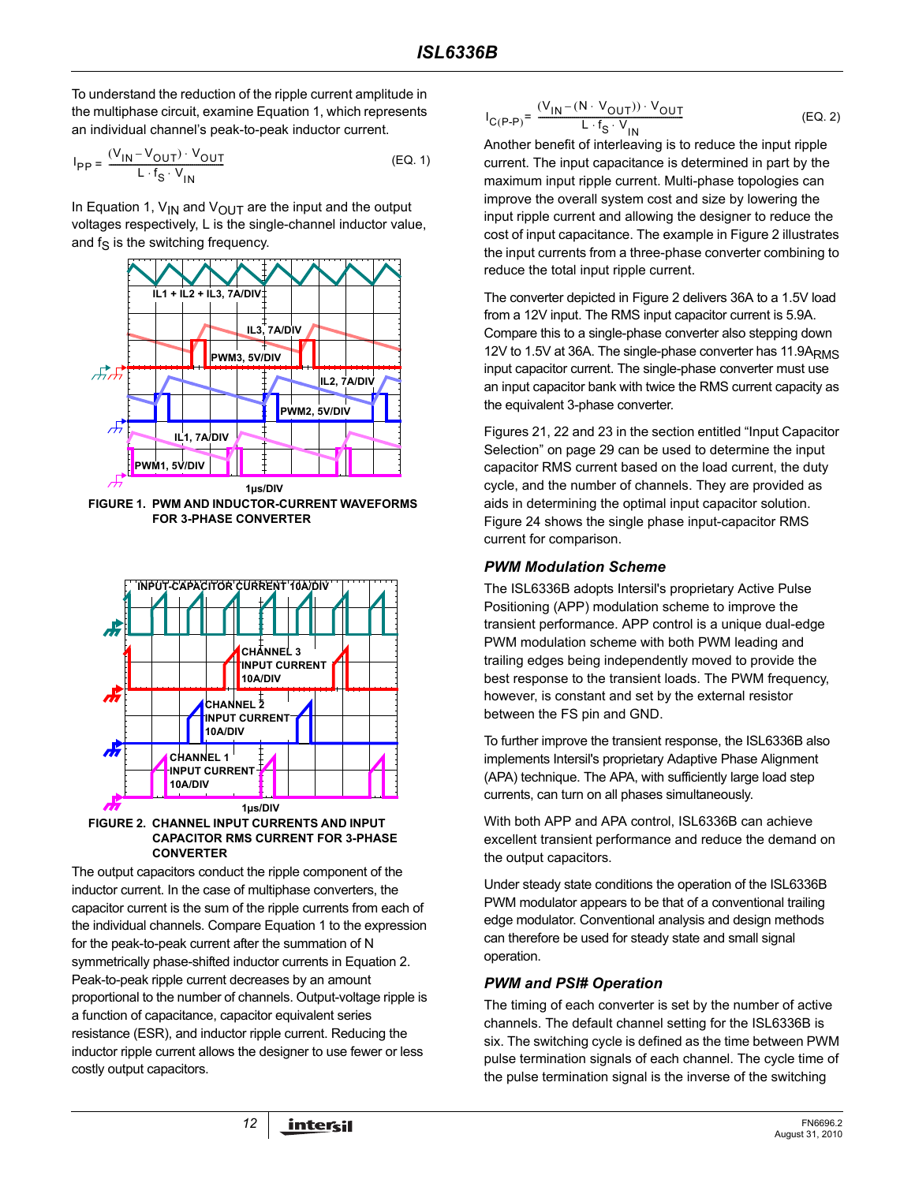To understand the reduction of the ripple current amplitude in the multiphase circuit, examine Equation [1](#page-11-0), which represents an individual channel's peak-to-peak inductor current.

$$
I_{PP} = \frac{(V_{IN} - V_{OUT}) \cdot V_{OUT}}{L \cdot f_S \cdot V_{IN}}
$$
 (EQ. 1)

In Equation [1,](#page-11-0)  $V_{IN}$  and  $V_{OUT}$  are the input and the output voltages respectively, L is the single-channel inductor value, and  $f_S$  is the switching frequency.



<span id="page-11-2"></span>**FIGURE 1. PWM AND INDUCTOR-CURRENT WAVEFORMS FOR 3-PHASE CONVERTER**



<span id="page-11-4"></span>The output capacitors conduct the ripple component of the **CAPACITOR RMS CURRENT FOR 3-PHASE CONVERTER**

inductor current. In the case of multiphase converters, the capacitor current is the sum of the ripple currents from each of the individual channels. Compare Equation [1](#page-11-0) to the expression for the peak-to-peak current after the summation of N symmetrically phase-shifted inductor currents in Equation [2](#page-11-1). Peak-to-peak ripple current decreases by an amount proportional to the number of channels. Output-voltage ripple is a function of capacitance, capacitor equivalent series resistance (ESR), and inductor ripple current. Reducing the inductor ripple current allows the designer to use fewer or less costly output capacitors.

<span id="page-11-1"></span>
$$
I_{C(P-P)} = \frac{(V_{IN} - (N \cdot V_{OUT})) \cdot V_{OUT}}{L \cdot f_S \cdot V_{IN}}
$$
 (EQ. 2)

<span id="page-11-0"></span>Another benefit of interleaving is to reduce the input ripple current. The input capacitance is determined in part by the maximum input ripple current. Multi-phase topologies can improve the overall system cost and size by lowering the input ripple current and allowing the designer to reduce the cost of input capacitance. The example in Figure [2](#page-11-4) illustrates the input currents from a three-phase converter combining to reduce the total input ripple current.

The converter depicted in Figure [2](#page-11-4) delivers 36A to a 1.5V load from a 12V input. The RMS input capacitor current is 5.9A. Compare this to a single-phase converter also stepping down 12V to 1.5V at 36A. The single-phase converter has 11.9ARMS input capacitor current. The single-phase converter must use an input capacitor bank with twice the RMS current capacity as the equivalent 3-phase converter.

Figures [21](#page-28-0), [22](#page-28-1) and [23](#page-28-2) in the section entitled ["Input Capacitor](#page-28-3)  [Selection" on page 29](#page-28-3) can be used to determine the input capacitor RMS current based on the load current, the duty cycle, and the number of channels. They are provided as aids in determining the optimal input capacitor solution. Figure [24](#page-29-0) shows the single phase input-capacitor RMS current for comparison.

### *PWM Modulation Scheme*

The ISL6336B adopts Intersil's proprietary Active Pulse Positioning (APP) modulation scheme to improve the transient performance. APP control is a unique dual-edge PWM modulation scheme with both PWM leading and trailing edges being independently moved to provide the best response to the transient loads. The PWM frequency, however, is constant and set by the external resistor between the FS pin and GND.

To further improve the transient response, the ISL6336B also implements Intersil's proprietary Adaptive Phase Alignment (APA) technique. The APA, with sufficiently large load step currents, can turn on all phases simultaneously.

With both APP and APA control, ISL6336B can achieve excellent transient performance and reduce the demand on the output capacitors.

Under steady state conditions the operation of the ISL6336B PWM modulator appears to be that of a conventional trailing edge modulator. Conventional analysis and design methods can therefore be used for steady state and small signal operation.

### <span id="page-11-3"></span>*PWM and PSI# Operation*

The timing of each converter is set by the number of active channels. The default channel setting for the ISL6336B is six. The switching cycle is defined as the time between PWM pulse termination signals of each channel. The cycle time of the pulse termination signal is the inverse of the switching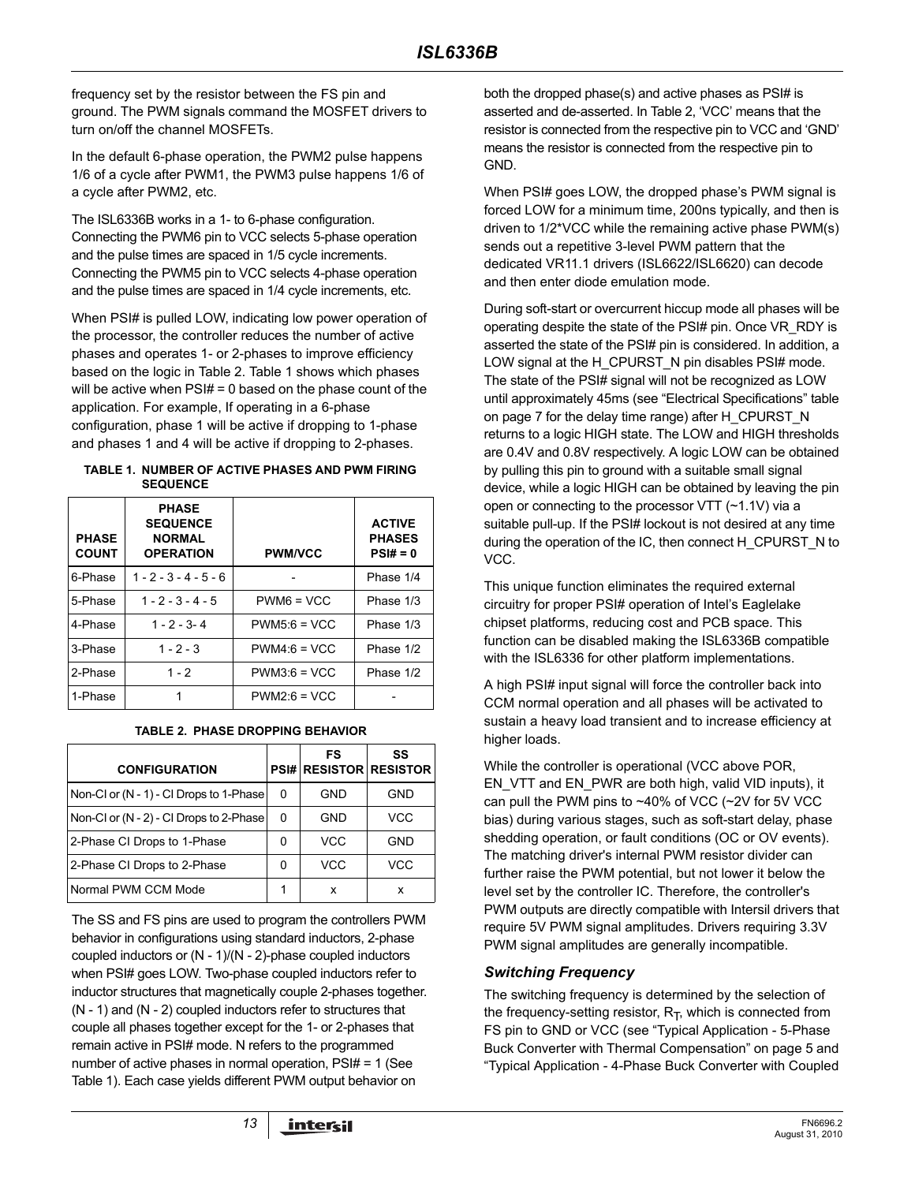frequency set by the resistor between the FS pin and ground. The PWM signals command the MOSFET drivers to turn on/off the channel MOSFETs.

In the default 6-phase operation, the PWM2 pulse happens 1/6 of a cycle after PWM1, the PWM3 pulse happens 1/6 of a cycle after PWM2, etc.

The ISL6336B works in a 1- to 6-phase configuration. Connecting the PWM6 pin to VCC selects 5-phase operation and the pulse times are spaced in 1/5 cycle increments. Connecting the PWM5 pin to VCC selects 4-phase operation and the pulse times are spaced in 1/4 cycle increments, etc.

<span id="page-12-0"></span>When PSI# is pulled LOW, indicating low power operation of the processor, the controller reduces the number of active phases and operates 1- or 2-phases to improve efficiency based on the logic in Table [2.](#page-12-2) Tabl[e](#page-12-0) [1](#page-12-1) shows which phases will be active when PSI# = 0 based on the phase count of the application. For example, If operating in a 6-phase configuration, phase 1 will be active if dropping to 1-phase and phases 1 and 4 will be active if dropping to 2-phases.

#### <span id="page-12-1"></span>**TABLE 1. NUMBER OF ACTIVE PHASES AND PWM FIRING SEQUENCE**

| <b>PHASE</b><br><b>COUNT</b> | <b>PHASE</b><br><b>SEQUENCE</b><br><b>NORMAL</b><br><b>OPERATION</b> | <b>PWM/VCC</b> | <b>ACTIVE</b><br><b>PHASES</b><br>$PSI# = 0$ |
|------------------------------|----------------------------------------------------------------------|----------------|----------------------------------------------|
| 6-Phase                      | $1 - 2 - 3 - 4 - 5 - 6$                                              |                | Phase 1/4                                    |
| 5-Phase                      | $1 - 2 - 3 - 4 - 5$                                                  | $PWM6 = VCC$   | Phase 1/3                                    |
| 4-Phase                      | $1 - 2 - 3 - 4$                                                      | $PWMS:6 = VCC$ | Phase 1/3                                    |
| 3-Phase                      | $1 - 2 - 3$                                                          | $PWMA:6 = VCC$ | Phase 1/2                                    |
| 2-Phase                      | $1 - 2$                                                              | $PWM3:6 = VCC$ | Phase 1/2                                    |
| 1-Phase                      | 1                                                                    | $PWM2:6 = VCC$ |                                              |

|  | <b>TABLE 2. PHASE DROPPING BEHAVIOR</b> |  |
|--|-----------------------------------------|--|
|  |                                         |  |

<span id="page-12-2"></span>

| <b>CONFIGURATION</b>                    |   | FS<br><b>PSI# RESISTOR RESISTOR</b> | SS  |
|-----------------------------------------|---|-------------------------------------|-----|
| Non-CI or (N - 1) - CI Drops to 1-Phase | 0 | GND                                 | GND |
| Non-CI or (N - 2) - CI Drops to 2-Phase | 0 | GND                                 | VCC |
| 2-Phase CI Drops to 1-Phase             | ŋ | VCC                                 | GND |
| 2-Phase CI Drops to 2-Phase             | ŋ | VCC                                 | VCC |
| Normal PWM CCM Mode                     |   | x                                   | x   |

The SS and FS pins are used to program the controllers PWM behavior in configurations using standard inductors, 2-phase coupled inductors or (N - 1)/(N - 2)-phase coupled inductors when PSI# goes LOW. Two-phase coupled inductors refer to inductor structures that magnetically couple 2-phases together. (N - 1) and (N - 2) coupled inductors refer to structures that couple all phases together except for the 1- or 2-phases that remain active in PSI# mode. N refers to the programmed number of active phases in normal operation, PSI# = 1 (See Table [1\)](#page-12-1). Each case yields different PWM output behavior on

both the dropped phase(s) and active phases as PSI# is asserted and de-asserted. In Table [2](#page-12-2), 'VCC' means that the resistor is connected from the respective pin to VCC and 'GND' means the resistor is connected from the respective pin to GND.

When PSI# goes LOW, the dropped phase's PWM signal is forced LOW for a minimum time, 200ns typically, and then is driven to 1/2\*VCC while the remaining active phase PWM(s) sends out a repetitive 3-level PWM pattern that the dedicated VR11.1 drivers (ISL6622/ISL6620) can decode and then enter diode emulation mode.

During soft-start or overcurrent hiccup mode all phases will be operating despite the state of the PSI# pin. Once VR\_RDY is asserted the state of the PSI# pin is considered. In addition, a LOW signal at the H\_CPURST\_N pin disables PSI# mode. The state of the PSI# signal will not be recognized as LOW until approximately 45ms (see "Electrical Specifications" table on [page 7](#page-6-2) for the delay time range) after H\_CPURST\_N returns to a logic HIGH state. The LOW and HIGH thresholds are 0.4V and 0.8V respectively. A logic LOW can be obtained by pulling this pin to ground with a suitable small signal device, while a logic HIGH can be obtained by leaving the pin open or connecting to the processor VTT (~1.1V) via a suitable pull-up. If the PSI# lockout is not desired at any time during the operation of the IC, then connect H\_CPURST\_N to VCC.

This unique function eliminates the required external circuitry for proper PSI# operation of Intel's Eaglelake chipset platforms, reducing cost and PCB space. This function can be disabled making the ISL6336B compatible with the ISL6336 for other platform implementations.

A high PSI# input signal will force the controller back into CCM normal operation and all phases will be activated to sustain a heavy load transient and to increase efficiency at higher loads.

While the controller is operational (VCC above POR, EN\_VTT and EN\_PWR are both high, valid VID inputs), it can pull the PWM pins to ~40% of VCC (~2V for 5V VCC bias) during various stages, such as soft-start delay, phase shedding operation, or fault conditions (OC or OV events). The matching driver's internal PWM resistor divider can further raise the PWM potential, but not lower it below the level set by the controller IC. Therefore, the controller's PWM outputs are directly compatible with Intersil drivers that require 5V PWM signal amplitudes. Drivers requiring 3.3V PWM signal amplitudes are generally incompatible.

### *Switching Frequency*

The switching frequency is determined by the selection of the frequency-setting resistor,  $R_T$ , which is connected from FS pin to GND or VCC (see ["Typical Application - 5-Phase](#page-4-0)  [Buck Converter with Thermal Compensation" on page 5](#page-4-0) and ["Typical Application - 4-Phase Buck Converter with Coupled](#page-5-0)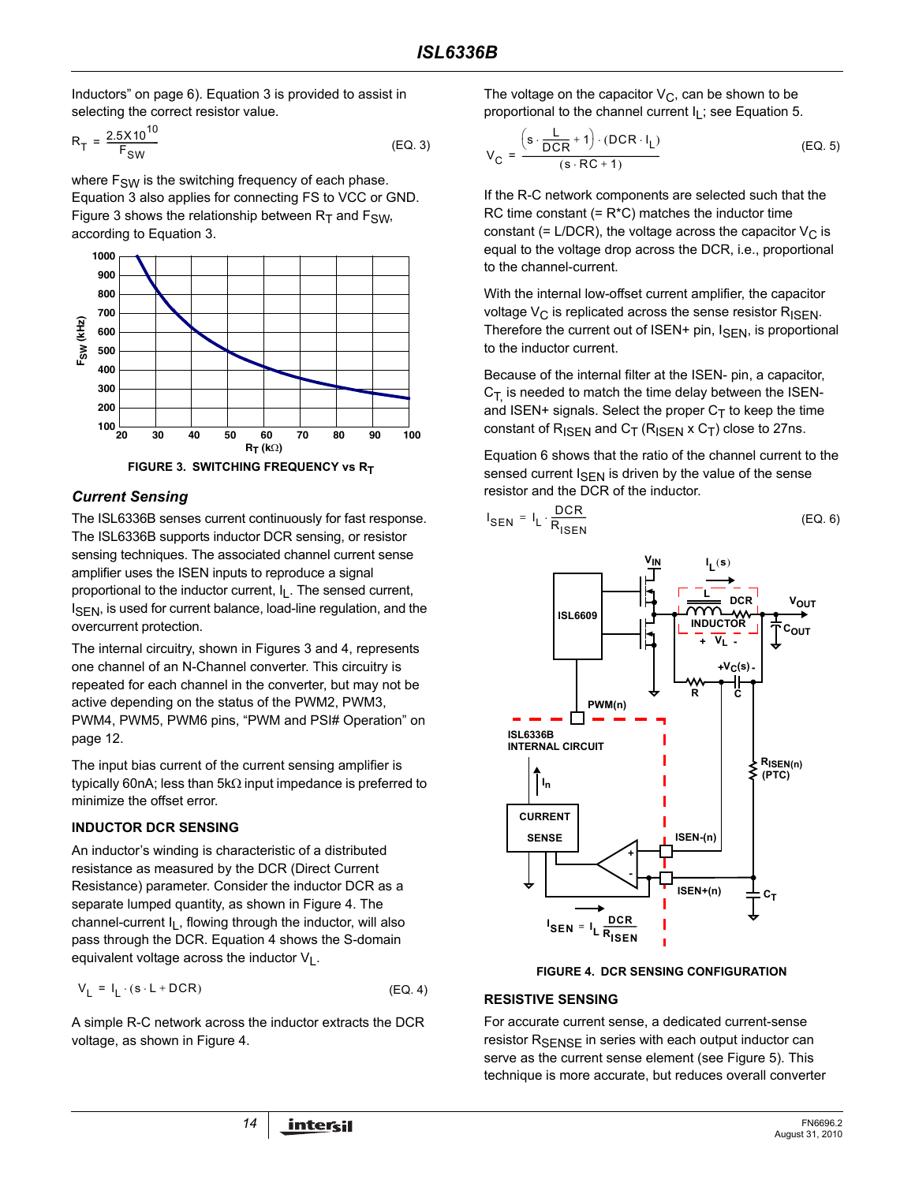[Inductors" on page 6](#page-5-0)). Equation [3](#page-13-0) is provided to assist in selecting the correct resistor value.

$$
R_T = \frac{2.5 \times 10^{10}}{F_{SW}} \tag{Eq. 3}
$$

where  $F_{SW}$  is the switching frequency of each phase. Equation [3](#page-13-0) also applies for connecting FS to VCC or GND. Figure [3](#page-13-6) shows the relationship between  $R_T$  and  $F_{SW}$ , according to Equation [3](#page-13-0).



### <span id="page-13-6"></span><span id="page-13-1"></span>*Current Sensing*

The ISL6336B senses current continuously for fast response. The ISL6336B supports inductor DCR sensing, or resistor sensing techniques. The associated channel current sense amplifier uses the ISEN inputs to reproduce a signal proportional to the inductor current, I<sub>L</sub>. The sensed current,  $I_{\text{SFN}}$ , is used for current balance, load-line regulation, and the overcurrent protection.

The internal circuitry, shown in Figures [3](#page-13-6) and [4,](#page-13-3) represents one channel of an N-Channel converter. This circuitry is repeated for each channel in the converter, but may not be active depending on the status of the PWM2, PWM3, PWM4, PWM5, PWM6 pins, ["PWM and PSI# Operation" on](#page-11-3)  [page 12](#page-11-3).

The input bias current of the current sensing amplifier is typically 60nA; less than 5kΩ input impedance is preferred to minimize the offset error.

### **INDUCTOR DCR SENSING**

An inductor's winding is characteristic of a distributed resistance as measured by the DCR (Direct Current Resistance) parameter. Consider the inductor DCR as a separate lumped quantity, as shown in Figure [4](#page-13-3). The channel-current  $I<sub>L</sub>$ , flowing through the inductor, will also pass through the DCR. Equation [4](#page-13-2) shows the S-domain equivalent voltage across the inductor  $V_1$ .

$$
V_{L} = I_{L} \cdot (s \cdot L + DCR) \tag{EQ.4}
$$

A simple R-C network across the inductor extracts the DCR voltage, as shown in Figure [4.](#page-13-3)

The voltage on the capacitor  $V_C$ , can be shown to be proportional to the channel current  $I_1$ ; see Equation [5](#page-13-4).

<span id="page-13-4"></span><span id="page-13-0"></span>
$$
V_C = \frac{\left(s \cdot \frac{L}{DCR} + 1\right) \cdot (DCR \cdot I_L)}{\left(s \cdot RC + 1\right)}\tag{Eq. 5}
$$

If the R-C network components are selected such that the RC time constant  $(= R<sup>*</sup>C)$  matches the inductor time constant (= L/DCR), the voltage across the capacitor  $V_{\rm C}$  is equal to the voltage drop across the DCR, i.e., proportional to the channel-current.

With the internal low-offset current amplifier, the capacitor voltage  $V_{\text{C}}$  is replicated across the sense resistor  $R_{\text{ISEN}}$ . Therefore the current out of  $ISEN+$  pin,  $I_{SFN}$ , is proportional to the inductor current.

Because of the internal filter at the ISEN- pin, a capacitor,  $C_T$  is needed to match the time delay between the ISENand ISEN+ signals. Select the proper  $C_T$  to keep the time constant of  $R_{\text{ISFN}}$  and  $C_{\text{T}}$  ( $R_{\text{ISFN}}$  x  $C_{\text{T}}$ ) close to 27ns.

Equation [6](#page-13-5) shows that the ratio of the channel current to the sensed current  $I_{\text{SEN}}$  is driven by the value of the sense resistor and the DCR of the inductor.

<span id="page-13-5"></span>



### <span id="page-13-3"></span><span id="page-13-2"></span>**RESISTIVE SENSING**

For accurate current sense, a dedicated current-sense resistor R<sub>SENSE</sub> in series with each output inductor can serve as the current sense element (see Figure [5\)](#page-14-0). This technique is more accurate, but reduces overall converter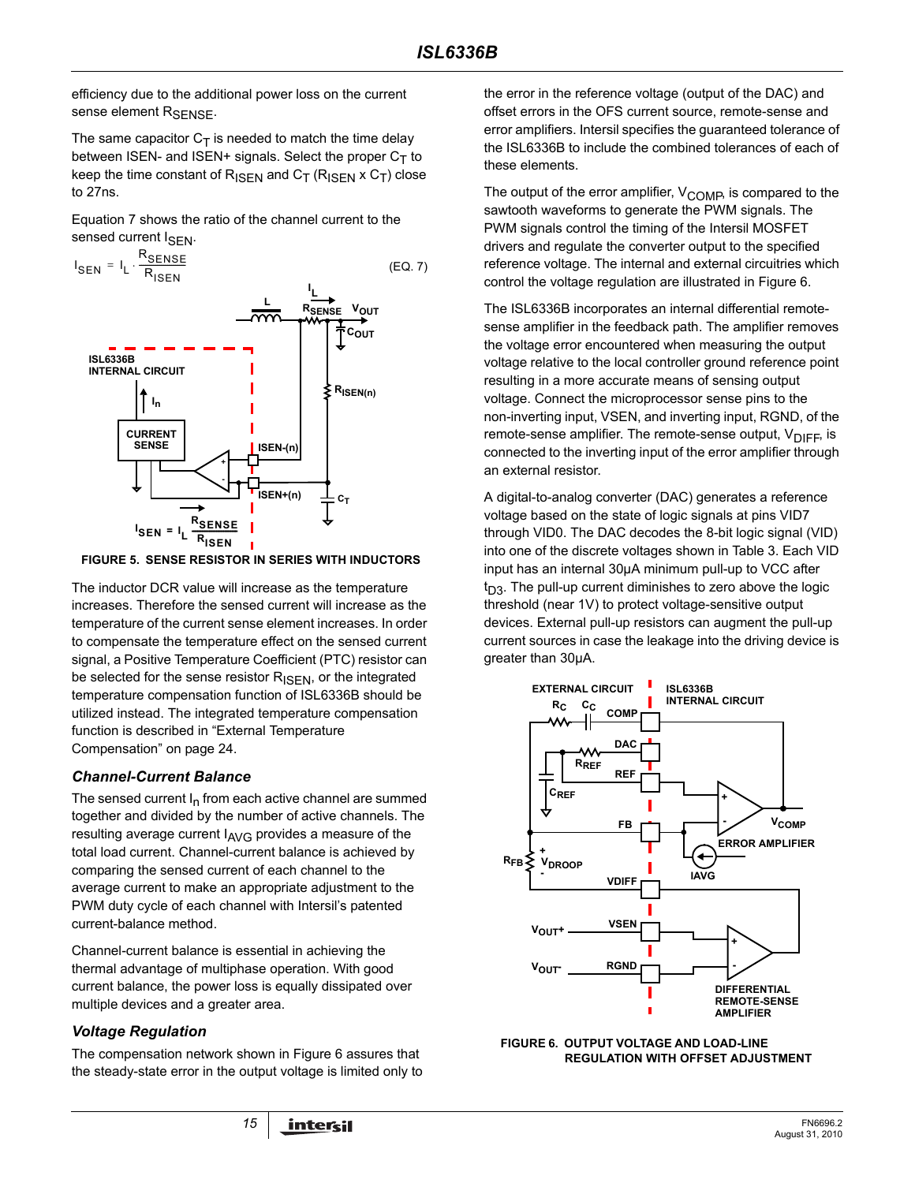efficiency due to the additional power loss on the current sense element R<sub>SFNSF</sub>.

The same capacitor  $C_T$  is needed to match the time delay between ISEN- and ISEN+ signals. Select the proper  $C_T$  to keep the time constant of  $R_{\text{ISFN}}$  and  $C_{\text{T}}$  ( $R_{\text{ISFN}}$  x  $C_{\text{T}}$ ) close to 27ns.

Equation [7](#page-14-1) shows the ratio of the channel current to the sensed current I<sub>SFN</sub>.



<span id="page-14-0"></span>**FIGURE 5. SENSE RESISTOR IN SERIES WITH INDUCTORS**

The inductor DCR value will increase as the temperature increases. Therefore the sensed current will increase as the temperature of the current sense element increases. In order to compensate the temperature effect on the sensed current signal, a Positive Temperature Coefficient (PTC) resistor can be selected for the sense resistor  $R_{\text{ISFN}}$ , or the integrated temperature compensation function of ISL6336B should be utilized instead. The integrated temperature compensation function is described in ["External Temperature](#page-23-0)  [Compensation" on page 24](#page-23-0).

### <span id="page-14-3"></span>*Channel-Current Balance*

The sensed current  $I_n$  from each active channel are summed together and divided by the number of active channels. The resulting average current  $I_{\text{AVG}}$  provides a measure of the total load current. Channel-current balance is achieved by comparing the sensed current of each channel to the average current to make an appropriate adjustment to the PWM duty cycle of each channel with Intersil's patented current-balance method.

Channel-current balance is essential in achieving the thermal advantage of multiphase operation. With good current balance, the power loss is equally dissipated over multiple devices and a greater area.

### *Voltage Regulation*

The compensation network shown in Figure [6](#page-14-2) assures that the steady-state error in the output voltage is limited only to the error in the reference voltage (output of the DAC) and offset errors in the OFS current source, remote-sense and error amplifiers. Intersil specifies the guaranteed tolerance of the ISL6336B to include the combined tolerances of each of these elements.

The output of the error amplifier, V<sub>COMP</sub>, is compared to the sawtooth waveforms to generate the PWM signals. The PWM signals control the timing of the Intersil MOSFET drivers and regulate the converter output to the specified reference voltage. The internal and external circuitries which control the voltage regulation are illustrated in Figure [6.](#page-14-2)

<span id="page-14-1"></span>The ISL6336B incorporates an internal differential remotesense amplifier in the feedback path. The amplifier removes the voltage error encountered when measuring the output voltage relative to the local controller ground reference point resulting in a more accurate means of sensing output voltage. Connect the microprocessor sense pins to the non-inverting input, VSEN, and inverting input, RGND, of the remote-sense amplifier. The remote-sense output,  $V_{\text{DIFF}}$ , is connected to the inverting input of the error amplifier through an external resistor.

A digital-to-analog converter (DAC) generates a reference voltage based on the state of logic signals at pins VID7 through VID0. The DAC decodes the 8-bit logic signal (VID) into one of the discrete voltages shown in Table [3.](#page-15-0) Each VID input has an internal 30µA minimum pull-up to VCC after  $t_{D3}$ . The pull-up current diminishes to zero above the logic threshold (near 1V) to protect voltage-sensitive output devices. External pull-up resistors can augment the pull-up current sources in case the leakage into the driving device is greater than 30µA.



<span id="page-14-2"></span>**FIGURE 6. OUTPUT VOLTAGE AND LOAD-LINE REGULATION WITH OFFSET ADJUSTMENT**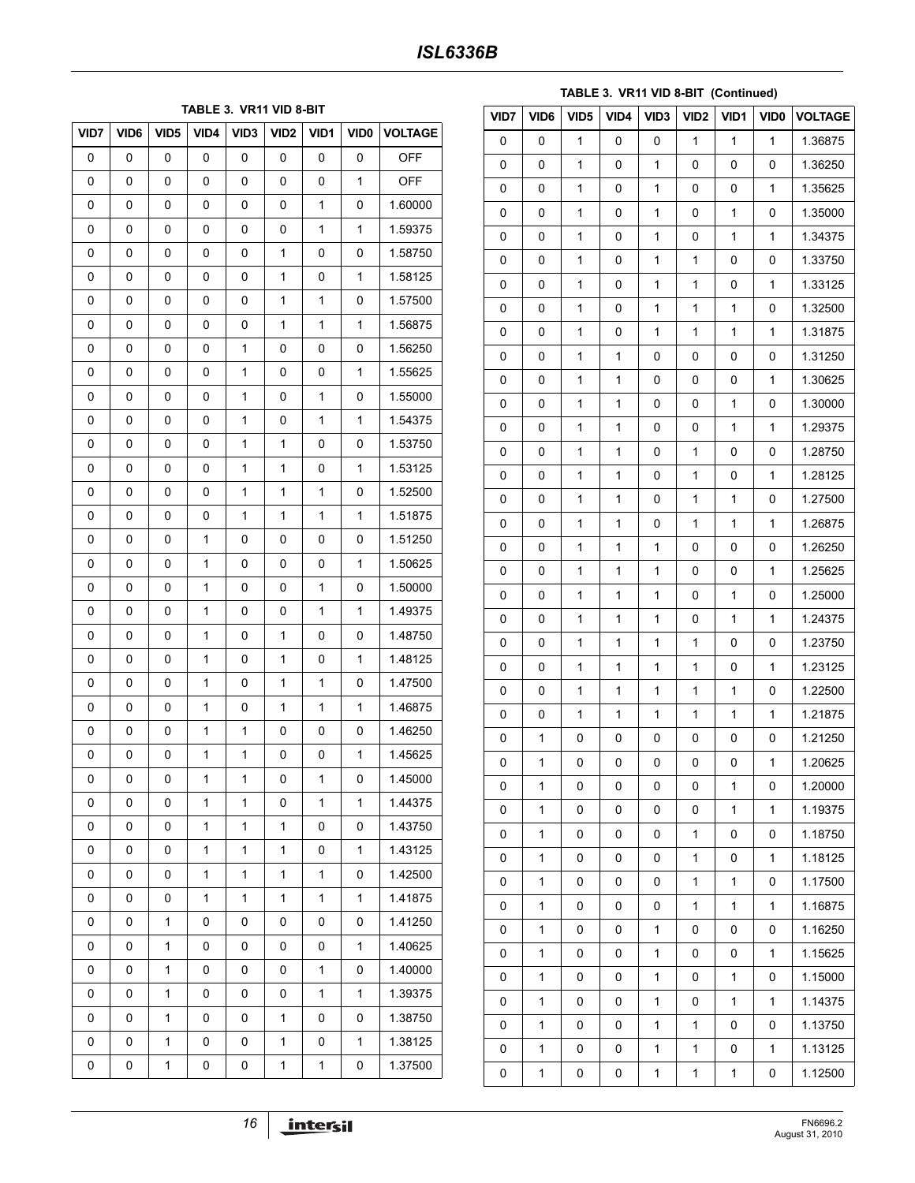**TABLE 3. VR11 VID 8-BIT** 

<span id="page-15-0"></span>

| VID7 | VID6 | VID <sub>5</sub> | VID4         | VID <sub>3</sub> | VID <sub>2</sub> | VID1 | VID <sub>0</sub> | <b>VOLTAGE</b> |
|------|------|------------------|--------------|------------------|------------------|------|------------------|----------------|
| 0    | 0    | 0                | 0            | 0                | 0                | 0    | 0                | <b>OFF</b>     |
| 0    | 0    | 0                | 0            | 0                | 0                | 0    | 1                | <b>OFF</b>     |
| 0    | 0    | 0                | 0            | 0                | 0                | 1    | 0                | 1.60000        |
| 0    | 0    | 0                | 0            | 0                | 0                | 1    | 1                | 1.59375        |
| 0    | 0    | 0                | 0            | 0                | $\mathbf{1}$     | 0    | 0                | 1.58750        |
| 0    | 0    | 0                | 0            | 0                | 1                | 0    | 1                | 1.58125        |
| 0    | 0    | 0                | 0            | 0                | $\mathbf{1}$     | 1    | 0                | 1.57500        |
| 0    | 0    | 0                | 0            | 0                | 1                | 1    | 1                | 1.56875        |
| 0    | 0    | 0                | 0            | $\mathbf 1$      | 0                | 0    | 0                | 1.56250        |
| 0    | 0    | 0                | 0            | 1                | 0                | 0    | 1                | 1.55625        |
| 0    | 0    | 0                | 0            | $\mathbf 1$      | 0                | 1    | 0                | 1.55000        |
| 0    | 0    | 0                | 0            | $\mathbf 1$      | 0                | 1    | 1                | 1.54375        |
| 0    | 0    | 0                | 0            | $\mathbf 1$      | $\mathbf{1}$     | 0    | 0                | 1.53750        |
| 0    | 0    | 0                | 0            | 1                | 1                | 0    | 1                | 1.53125        |
| 0    | 0    | 0                | 0            | $\mathbf 1$      | 1                | 1    | 0                | 1.52500        |
| 0    | 0    | 0                | 0            | $\mathbf 1$      | $\mathbf{1}$     | 1    | 1                | 1.51875        |
| 0    | 0    | 0                | 1            | 0                | 0                | 0    | 0                | 1.51250        |
| 0    | 0    | 0                | 1            | 0                | 0                | 0    | 1                | 1.50625        |
| 0    | 0    | 0                | $\mathbf{1}$ | 0                | 0                | 1    | 0                | 1.50000        |
| 0    | 0    | 0                | 1            | 0                | 0                | 1    | 1                | 1.49375        |
| 0    | 0    | 0                | 1            | 0                | 1                | 0    | 0                | 1.48750        |
| 0    | 0    | 0                | $\mathbf{1}$ | 0                | $\mathbf{1}$     | 0    | 1                | 1.48125        |
| 0    | 0    | 0                | 1            | 0                | $\mathbf{1}$     | 1    | 0                | 1.47500        |
| 0    | 0    | 0                | 1            | 0                | 1                | 1    | 1                | 1.46875        |
| 0    | 0    | 0                | $\mathbf{1}$ | $\mathbf 1$      | 0                | 0    | 0                | 1.46250        |
| 0    | 0    | 0                | $\mathbf{1}$ | 1                | 0                | 0    | 1                | 1.45625        |
| 0    | 0    | 0                | $\mathbf{1}$ | 1                | 0                | 1    | 0                | 1.45000        |
| 0    | 0    | 0                | 1            | 1                | 0                | 1    | 1                | 1.44375        |
| 0    | 0    | 0                | 1            | $\mathbf{1}$     | 1                | 0    | 0                | 1.43750        |
| 0    | 0    | 0                | 1            | $\mathbf{1}$     | 1                | 0    | $\mathbf 1$      | 1.43125        |
| 0    | 0    | 0                | 1            | 1                | 1                | 1    | 0                | 1.42500        |
| 0    | 0    | 0                | $\mathbf{1}$ | $\mathbf{1}$     | 1                | 1    | 1                | 1.41875        |
| 0    | 0    | 1                | 0            | 0                | 0                | 0    | 0                | 1.41250        |
| 0    | 0    | 1                | 0            | 0                | 0                | 0    | 1                | 1.40625        |
| 0    | 0    | 1                | 0            | 0                | 0                | 1    | 0                | 1.40000        |
| 0    | 0    | 1                | 0            | 0                | 0                | 1    | $\mathbf 1$      | 1.39375        |
| 0    | 0    | 1                | 0            | 0                | 1                | 0    | 0                | 1.38750        |
| 0    | 0    | 1                | 0            | 0                | 1                | 0    | 1                | 1.38125        |
| 0    | 0    | 1                | 0            | 0                | 1                | 1    | 0                | 1.37500        |

| VID7 | VID6         | VID <sub>5</sub> | VID4         | VID <sub>3</sub> | VID <sub>2</sub> | VID1        | VID <sub>0</sub> | <b>VOLTAGE</b> |  |  |
|------|--------------|------------------|--------------|------------------|------------------|-------------|------------------|----------------|--|--|
| 0    | 0            | $\mathbf{1}$     | 0            | 0                | $\mathbf{1}$     | 1           | 1                | 1.36875        |  |  |
| 0    | 0            | 1                | 0            | 1                | 0                | 0           | 0                | 1.36250        |  |  |
| 0    | 0            | $\mathbf{1}$     | 0            | 1                | 0                | 0           | $\mathbf 1$      | 1.35625        |  |  |
| 0    | 0            | $\mathbf{1}$     | 0            | 1                | 0                | 1           | 0                | 1.35000        |  |  |
| 0    | 0            | 1                | 0            | 1                | 0                | 1           | 1                | 1.34375        |  |  |
| 0    | 0            | $\mathbf{1}$     | 0            | 1                | 1                | 0           | 0                | 1.33750        |  |  |
| 0    | 0            | $\mathbf{1}$     | 0            | 1                | 1                | 0           | 1                | 1.33125        |  |  |
| 0    | 0            | 1                | 0            | 1                | 1                | 1           | 0                | 1.32500        |  |  |
| 0    | 0            | $\mathbf{1}$     | 0            | $\mathbf{1}$     | 1                | 1           | $\mathbf{1}$     | 1.31875        |  |  |
| 0    | 0            | $\mathbf{1}$     | 1            | 0                | 0                | 0           | 0                | 1.31250        |  |  |
| 0    | 0            | 1                | 1            | 0                | 0                | 0           | 1                | 1.30625        |  |  |
| 0    | 0            | $\mathbf{1}$     | $\mathbf 1$  | 0                | 0                | 1           | 0                | 1.30000        |  |  |
| 0    | 0            | $\mathbf{1}$     | 1            | 0                | 0                | 1           | 1                | 1.29375        |  |  |
| 0    | 0            | 1                | 1            | 0                | 1                | 0           | 0                | 1.28750        |  |  |
| 0    | 0            | $\mathbf{1}$     | $\mathbf{1}$ | 0                | 1                | 0           | $\mathbf{1}$     | 1.28125        |  |  |
| 0    | 0            | $\mathbf{1}$     | 1            | 0                | 1                | 1           | 0                | 1.27500        |  |  |
| 0    | 0            | 1                | 1            | 0                | 1                | 1           | 1                | 1.26875        |  |  |
| 0    | 0            | $\mathbf{1}$     | $\mathbf{1}$ | $\mathbf{1}$     | 0                | 0           | 0                | 1.26250        |  |  |
| 0    | 0            | $\mathbf{1}$     | 1            | 1                | 0                | 0           | 1                | 1.25625        |  |  |
| 0    | 0            | 1                | 1            | 1                | 0                | 1           | 0                | 1.25000        |  |  |
| 0    | 0            | $\mathbf{1}$     | $\mathbf{1}$ | $\mathbf{1}$     | 0                | 1           | $\mathbf{1}$     | 1.24375        |  |  |
| 0    | 0            | $\mathbf{1}$     | 1            | 1                | 1                | 0           | 0                | 1.23750        |  |  |
| 0    | 0            | 1                | 1            | 1                | 1                | 0           | 1                | 1.23125        |  |  |
| 0    | 0            | $\mathbf{1}$     | $\mathbf{1}$ | $\mathbf{1}$     | 1                | 1           | 0                | 1.22500        |  |  |
| 0    | 0            | $\mathbf{1}$     | 1            | 1                | 1                | 1           | 1                | 1.21875        |  |  |
| 0    | 1            | 0                | 0            | 0                | 0                | 0           | 0                | 1.21250        |  |  |
| 0    | $\mathbf 1$  | 0                | 0            | 0                | 0                | 0           | $\mathbf{1}$     | 1.20625        |  |  |
| 0    | 1            | 0                | 0            | 0                | 0                | 1           | 0                | 1.20000        |  |  |
| 0    | 1            | 0                | 0            | 0                | 0                | 1           | 1                | 1.19375        |  |  |
| 0    | $\mathbf 1$  | 0                | 0            | 0                | 1                | 0           | 0                | 1.18750        |  |  |
| 0    | $\mathbf{1}$ | 0                | 0            | 0                | 1                | 0           | $\mathbf{1}$     | 1.18125        |  |  |
| 0    | 1            | 0                | 0            | 0                | 1                | 1           | 0                | 1.17500        |  |  |
| 0    | $\mathbf 1$  | 0                | 0            | 0                | 1                | 1           | $\mathbf{1}$     | 1.16875        |  |  |
| 0    | $\mathbf{1}$ | 0                | 0            | 1                | 0                | 0           | 0                | 1.16250        |  |  |
| 0    | 1            | 0                | 0            | 1                | 0                | 0           | 1                | 1.15625        |  |  |
| 0    | $\mathbf 1$  | 0                | 0            | $\mathbf{1}$     | 0                | 1           | 0                | 1.15000        |  |  |
| 0    | $\mathbf{1}$ | 0                | 0            | $\mathbf{1}$     | 0                | 1           | $\mathbf{1}$     | 1.14375        |  |  |
| 0    | 1            | 0                | 0            | 1                | 1                | 0           | 0                | 1.13750        |  |  |
| 0    | $\mathbf{1}$ | 0                | 0            | $\mathbf{1}$     | 1                | 0           | $\mathbf{1}$     | 1.13125        |  |  |
| 0    | 1            | 0                | 0            | 1                | 1                | $\mathbf 1$ | 0                | 1.12500        |  |  |

*16* <u>intersil</u>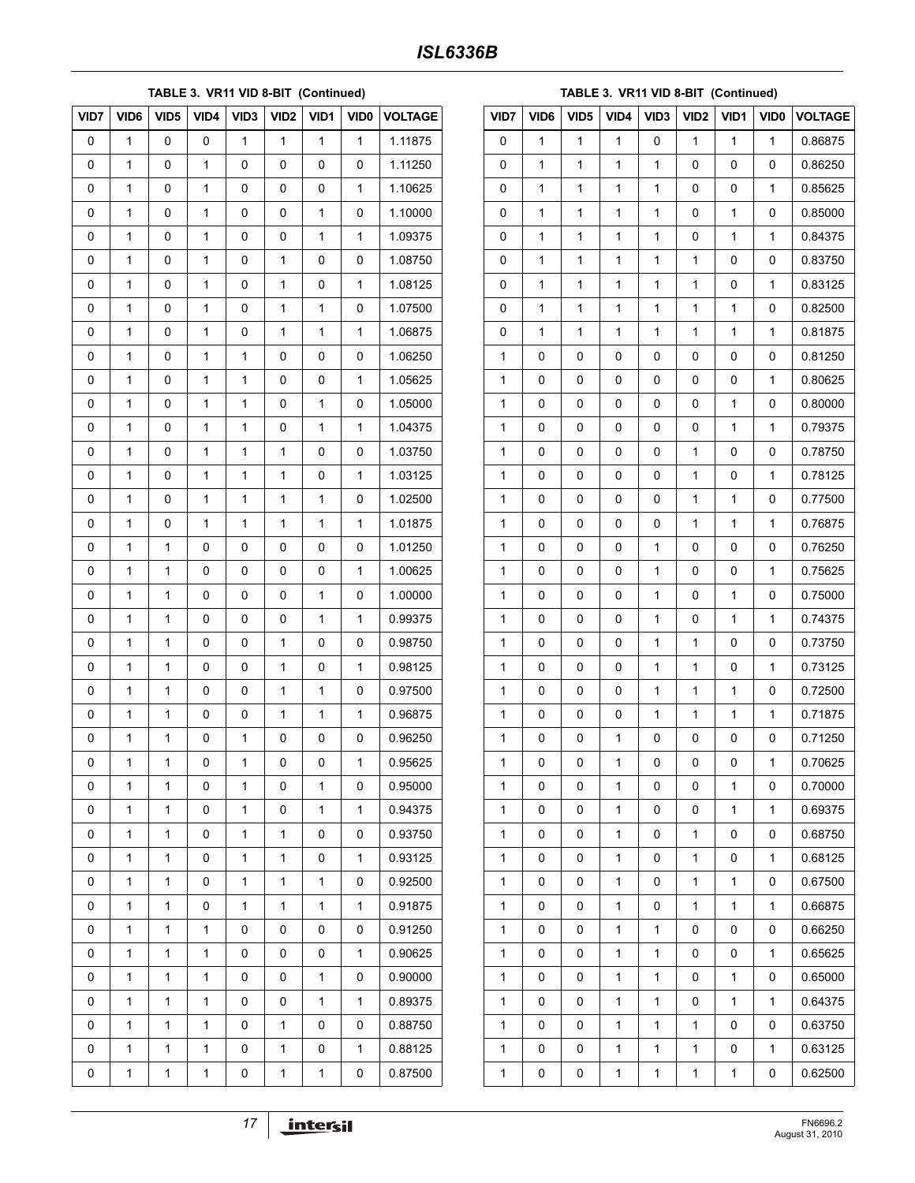**TABLE 3. VR11 VID 8-BIT (Continued)**

|  |  |  | TABLE 3. VR11 VID 8-BIT (Continued) |
|--|--|--|-------------------------------------|
|--|--|--|-------------------------------------|

| ID7 | VID <sub>6</sub> | VID <sub>5</sub> | VID4         | VID <sub>3</sub> | VID <sub>2</sub> | VID1         | VID <sub>0</sub> | <b>VOLTAGE</b> | VID7         | VID6         | VID <sub>5</sub> | VID4         | VID <sub>3</sub>    | VID <sub>2</sub> | VID1         | VID <sub>0</sub> | <b>VOLTAGE</b> |
|-----|------------------|------------------|--------------|------------------|------------------|--------------|------------------|----------------|--------------|--------------|------------------|--------------|---------------------|------------------|--------------|------------------|----------------|
| 0   | $\mathbf{1}$     | $\pmb{0}$        | $\pmb{0}$    | $\mathbf{1}$     | $\mathbf{1}$     | $\mathbf{1}$ | $\mathbf{1}$     | 1.11875        | 0            | $\mathbf{1}$ | $\mathbf{1}$     | $\mathbf{1}$ | $\mathsf{O}\xspace$ | $\mathbf{1}$     | $\mathbf{1}$ | $\mathbf{1}$     | 0.86875        |
| 0   | 1                | 0                | $\mathbf{1}$ | 0                | 0                | $\mathbf 0$  | 0                | 1.11250        | 0            | $\mathbf 1$  | $\mathbf{1}$     | 1            | 1                   | 0                | 0            | 0                | 0.86250        |
| 0   | $\mathbf 1$      | 0                | 1            | 0                | 0                | $\mathbf 0$  | $\mathbf{1}$     | 1.10625        | 0            | $\mathbf 1$  | $\mathbf{1}$     | 1            | 1                   | 0                | 0            | 1                | 0.85625        |
| 0   | $\mathbf 1$      | 0                | $\mathbf{1}$ | 0                | 0                | $\mathbf{1}$ | 0                | 1.10000        | 0            | $\mathbf{1}$ | $\mathbf{1}$     | 1            | 1                   | 0                | $\mathbf{1}$ | 0                | 0.85000        |
| 0   | 1                | 0                | $\mathbf{1}$ | 0                | 0                | $\mathbf{1}$ | $\mathbf 1$      | 1.09375        | 0            | $\mathbf{1}$ | $\mathbf{1}$     | 1            | 1                   | 0                | 1            | $\mathbf{1}$     | 0.84375        |
| 0   | $\mathbf 1$      | 0                | 1            | 0                | 1                | $\mathbf 0$  | 0                | 1.08750        | 0            | 1            | $\mathbf{1}$     | $\mathbf{1}$ | 1                   | 1                | 0            | 0                | 0.83750        |
| 0   | 1                | 0                | $\mathbf{1}$ | 0                | $\mathbf{1}$     | 0            | $\mathbf{1}$     | 1.08125        | 0            | $\mathbf{1}$ | $\mathbf{1}$     | 1            | 1                   | 1                | 0            | $\mathbf{1}$     | 0.83125        |
| 0   | 1                | 0                | $\mathbf{1}$ | 0                | $\mathbf{1}$     | $\mathbf{1}$ | $\pmb{0}$        | 1.07500        | 0            | $\mathbf{1}$ | $\mathbf{1}$     | $\mathbf{1}$ | $\mathbf{1}$        | 1                | $\mathbf{1}$ | 0                | 0.82500        |
| 0   | $\mathbf 1$      | 0                | 1            | 0                | 1                | 1            | $\mathbf 1$      | 1.06875        | 0            | $\mathbf{1}$ | $\mathbf{1}$     | 1            | $\mathbf{1}$        | 1                | 1            | 1                | 0.81875        |
| 0   | $\mathbf 1$      | 0                | 1            | $\mathbf{1}$     | 0                | $\mathbf 0$  | 0                | 1.06250        | $\mathbf 1$  | 0            | $\pmb{0}$        | 0            | $\mathbf 0$         | 0                | 0            | 0                | 0.81250        |
| 0   | $\mathbf 1$      | 0                | $\mathbf{1}$ | 1                | 0                | $\pmb{0}$    | $\mathbf 1$      | 1.05625        | 1            | $\pmb{0}$    | 0                | 0            | 0                   | 0                | 0            | $\mathbf{1}$     | 0.80625        |
| 0   | $\mathbf 1$      | 0                | 1            | $\mathbf{1}$     | 0                | 1            | 0                | 1.05000        | 1            | 0            | 0                | 0            | 0                   | 0                | 1            | 0                | 0.80000        |
| 0   | $\mathbf 1$      | 0                | $\mathbf{1}$ | $\mathbf{1}$     | 0                | 1            | $\mathbf 1$      | 1.04375        | $\mathbf 1$  | 0            | $\pmb{0}$        | 0            | $\mathbf 0$         | 0                | $\mathbf{1}$ | $\mathbf{1}$     | 0.79375        |
| 0   | 1                | 0                | $\mathbf{1}$ | 1                | $\mathbf{1}$     | $\mathbf 0$  | $\pmb{0}$        | 1.03750        | 1            | 0            | 0                | 0            | 0                   | 1                | 0            | 0                | 0.78750        |
| 0   | 1                | 0                | 1            | $\mathbf{1}$     | 1                | $\mathbf 0$  | 1                | 1.03125        | 1            | 0            | 0                | 0            | 0                   | 1                | 0            | 1                | 0.78125        |
| 0   | $\mathbf 1$      | 0                | $\mathbf{1}$ | $\mathbf{1}$     | 1                | 1            | 0                | 1.02500        | 1            | 0            | 0                | 0            | 0                   | 1                | $\mathbf{1}$ | 0                | 0.77500        |
| 0   | 1                | 0                | $\mathbf{1}$ | $\mathbf{1}$     | $\mathbf{1}$     | $\mathbf{1}$ | $\mathbf 1$      | 1.01875        | 1            | 0            | $\pmb{0}$        | 0            | 0                   | 1                | 1            | $\mathbf{1}$     | 0.76875        |
| 0   | 1                | $\mathbf{1}$     | 0            | 0                | 0                | $\mathbf 0$  | 0                | 1.01250        | 1            | 0            | 0                | 0            | $\mathbf{1}$        | 0                | 0            | 0                | 0.76250        |
| 0   | $\mathbf 1$      | 1                | 0            | 0                | 0                | $\mathbf 0$  | $\mathbf{1}$     | 1.00625        | 1            | 0            | 0                | 0            | $\mathbf{1}$        | 0                | 0            | $\mathbf{1}$     | 0.75625        |
| 0   | 1                | 1                | 0            | 0                | 0                | $\mathbf{1}$ | 0                | 1.00000        | 1            | 0            | 0                | 0            | $\mathbf{1}$        | 0                | 1            | 0                | 0.75000        |
| 0   | 1                | 1                | 0            | 0                | 0                | $\mathbf{1}$ | $\mathbf 1$      | 0.99375        | 1            | 0            | 0                | 0            | $\mathbf{1}$        | 0                | 1            | 1                | 0.74375        |
| 0   | $\mathbf 1$      | 1                | 0            | 0                | 1                | $\mathbf 0$  | 0                | 0.98750        | $\mathbf 1$  | 0            | 0                | 0            | 1                   | 1                | 0            | 0                | 0.73750        |
| 0   | 1                | 1                | 0            | 0                | 1                | $\mathbf 0$  | $\mathbf{1}$     | 0.98125        | 1            | 0            | 0                | 0            | $\mathbf{1}$        | 1                | 0            | $\mathbf{1}$     | 0.73125        |
| 0   | 1                | $\mathbf{1}$     | 0            | 0                | 1                | $\mathbf{1}$ | 0                | 0.97500        | 1            | 0            | 0                | 0            | 1                   | 1                | 1            | 0                | 0.72500        |
| 0   | $\mathbf 1$      | 1                | 0            | 0                | 1                | $\mathbf 1$  | $\mathbf 1$      | 0.96875        | $\mathbf 1$  | 0            | 0                | 0            | 1                   | 1                | 1            | 1                | 0.71875        |
| 0   | 1                | 1                | 0            | $\mathbf{1}$     | 0                | $\mathbf 0$  | 0                | 0.96250        | 1            | 0            | 0                | 1            | 0                   | 0                | 0            | 0                | 0.71250        |
| 0   | $\mathbf 1$      | 1                | 0            | $\mathbf{1}$     | 0                | 0            | $\mathbf{1}$     | 0.95625        | $\mathbf{1}$ | 0            | $\pmb{0}$        | 1            | 0                   | 0                | 0            | $\mathbf{1}$     | 0.70625        |
| 0   | $\mathbf{1}$     | $\mathbf{1}$     | 0            | $\mathbf{1}$     | 0                | 1            | 0                | 0.95000        | 1            | 0            | 0                | 1            | 0                   | $\mathbf 0$      | $\mathbf{1}$ | 0                | 0.70000        |
| 0   | 1                | 1                | 0            | $\mathbf{1}$     | $\pmb{0}$        | $\mathbf{1}$ | 1                | 0.94375        | 1            | 0            | 0                | $\mathbf{1}$ | 0                   | 0                | 1            | $\mathbf{1}$     | 0.69375        |
| 0   | $\mathbf{1}$     | $\mathbf{1}$     | 0            | $\mathbf{1}$     | 1                | $\mathbf 0$  | 0                | 0.93750        | $\mathbf{1}$ | 0            | $\pmb{0}$        | 1            | 0                   | 1                | 0            | 0                | 0.68750        |
| 0   | $\mathbf{1}$     | $\mathbf{1}$     | 0            | $\mathbf{1}$     | 1                | 0            | $\mathbf{1}$     | 0.93125        | 1            | 0            | 0                | 1            | 0                   | 1                | 0            | $\mathbf{1}$     | 0.68125        |
| 0   | $\mathbf 1$      | 1                | 0            | $\mathbf{1}$     | $\mathbf{1}$     | $\mathbf{1}$ | 0                | 0.92500        | 1            | 0            | $\pmb{0}$        | $\mathbf{1}$ | 0                   | $\mathbf{1}$     | 1            | 0                | 0.67500        |
| 0   | $\mathbf{1}$     | $\mathbf{1}$     | 0            | $\mathbf{1}$     | 1                | $\mathbf{1}$ | 1                | 0.91875        | 1            | 0            | $\pmb{0}$        | 1            | 0                   | 1                | 1            | 1                | 0.66875        |
| 0   | $\mathbf{1}$     | 1                | 1            | 0                | 0                | $\pmb{0}$    | 0                | 0.91250        | 1            | 0            | $\pmb{0}$        | 1            | 1                   | 0                | 0            | 0                | 0.66250        |
| 0   | $\mathbf 1$      | 1                | 1            | 0                | $\pmb{0}$        | $\mathsf 0$  | $\mathbf{1}$     | 0.90625        | 1            | 0            | $\pmb{0}$        | $\mathbf{1}$ | $\mathbf{1}$        | 0                | 0            | 1                | 0.65625        |
| 0   | 1                | $\mathbf{1}$     | 1            | 0                | 0                | $\mathbf{1}$ | 0                | 0.90000        | 1            | 0            | $\pmb{0}$        | 1            | $\mathbf{1}$        | 0                | $\mathbf{1}$ | 0                | 0.65000        |
| 0   | 1                | 1                | $\mathbf{1}$ | 0                | 0                | 1            | $\mathbf{1}$     | 0.89375        | 1            | 0            | $\pmb{0}$        | 1            | 1                   | 0                | $\mathbf{1}$ | 1                | 0.64375        |
| 0   | $\mathbf 1$      | 1                | 1            | 0                | $\mathbf{1}$     | 0            | 0                | 0.88750        | 1            | 0            | 0                | $\mathbf{1}$ | $\mathbf{1}$        | 1                | 0            | 0                | 0.63750        |
| 0   | 1                | 1                | 1            | 0                | 1                | $\mathbf 0$  | 1                | 0.88125        | 1            | 0            | $\pmb{0}$        | 1            | 1                   | 1                | 0            | 1                | 0.63125        |
| 0   | $\mathbf{1}$     | $\mathbf{1}$     | 1            | 0                | 1                | $\mathbf{1}$ | 0                | 0.87500        | $\mathbf{1}$ | 0            | $\pmb{0}$        | 1            | 1                   | 1                | $\mathbf{1}$ | 0                | 0.62500        |
|     |                  |                  |              |                  |                  |              |                  |                |              |              |                  |              |                     |                  |              |                  |                |

**VID7 VID6 VID5 VID4 VID3 VID2 VID1 VID0 VOLTAGE**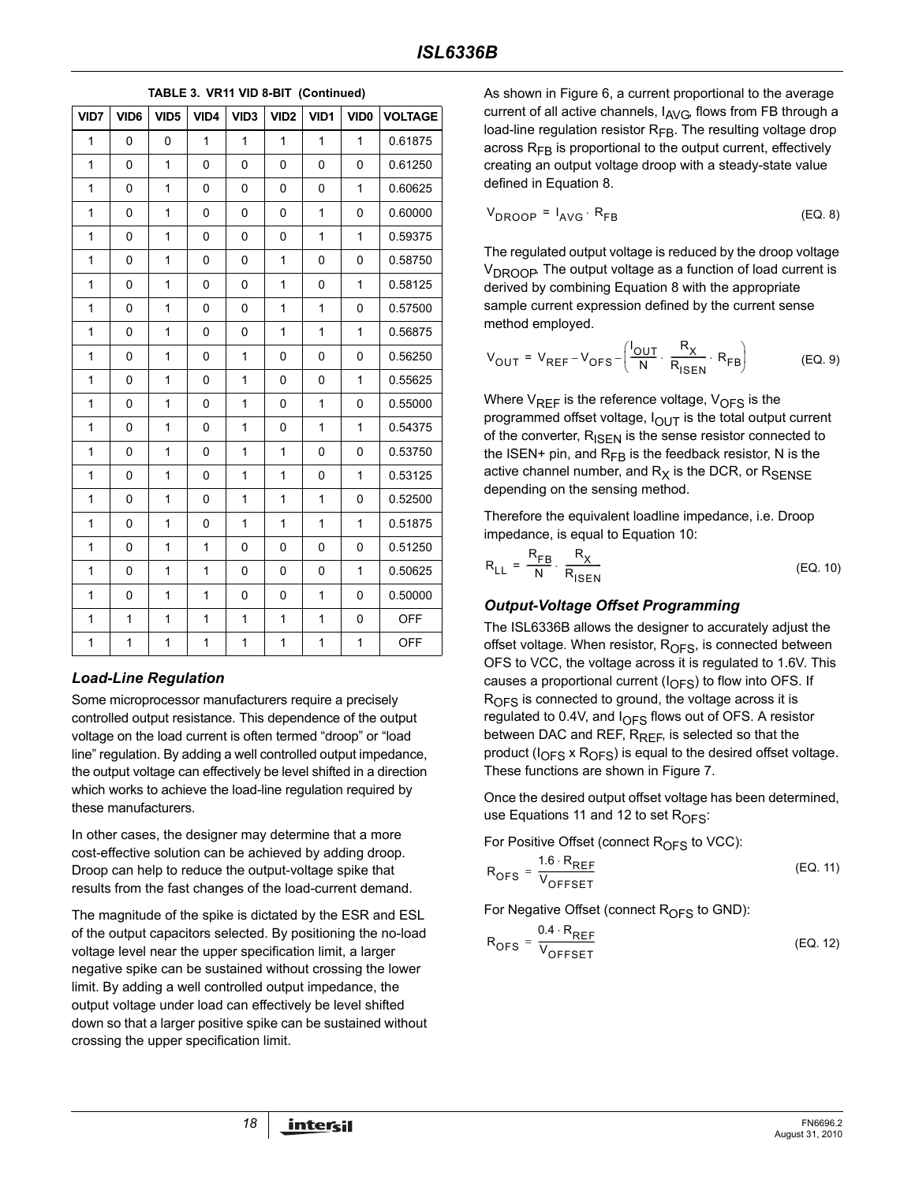| VID7         | VID <sub>6</sub> | VID <sub>5</sub> | VID4        | VID <sub>3</sub> | VID <sub>2</sub> | VID1         | VID <sub>0</sub> | <b>VOLTAGE</b> |  |  |
|--------------|------------------|------------------|-------------|------------------|------------------|--------------|------------------|----------------|--|--|
| 1            | 0                | 0                | 1           | $\mathbf{1}$     | 1                | $\mathbf{1}$ | 1                | 0.61875        |  |  |
| $\mathbf{1}$ | 0                | $\mathbf{1}$     | $\mathbf 0$ | $\mathbf 0$      | $\mathsf 0$      | 0            | 0                | 0.61250        |  |  |
| 1            | 0                | 1                | 0           | 0                | 0                | 0            | $\mathbf{1}$     | 0.60625        |  |  |
| 1            | 0                | 1                | 0           | 0                | 0                | 1            | 0                | 0.60000        |  |  |
| 1            | 0                | 1                | 0           | 0                | 0                | $\mathbf{1}$ | $\mathbf{1}$     | 0.59375        |  |  |
| 1            | 0                | 1                | $\mathbf 0$ | 0                | 1                | 0            | 0                | 0.58750        |  |  |
| 1            | 0                | 1                | 0           | 0                | 1                | 0            | $\mathbf{1}$     | 0.58125        |  |  |
| 1            | 0                | 1                | 0           | 0                | 1                | $\mathbf{1}$ | 0                | 0.57500        |  |  |
| 1            | 0                | 1                | $\mathbf 0$ | 0                | 1                | $\mathbf{1}$ | $\mathbf{1}$     | 0.56875        |  |  |
| 1            | 0                | 1                | $\mathbf 0$ | $\mathbf{1}$     | 0                | 0            | 0                | 0.56250        |  |  |
| 1            | 0                | 1                | 0           | 1                | 0                | 0            | 1                | 0.55625        |  |  |
| 1            | 0                | 1                | $\mathbf 0$ | $\mathbf{1}$     | 0                | $\mathbf{1}$ | 0                | 0.55000        |  |  |
| 1            | 0                | 1                | 0           | $\mathbf{1}$     | 0                | $\mathbf{1}$ | $\mathbf{1}$     | 0.54375        |  |  |
| 1            | 0                | 1                | $\mathbf 0$ | $\mathbf{1}$     | 1                | 0            | 0                | 0.53750        |  |  |
| $\mathbf{1}$ | 0                | 1                | $\mathbf 0$ | $\mathbf{1}$     | $\mathbf{1}$     | 0            | $\mathbf{1}$     | 0.53125        |  |  |
| 1            | 0                | 1                | 0           | 1                | 1                | 1            | 0                | 0.52500        |  |  |
| 1            | 0                | 1                | 0           | $\mathbf{1}$     | 1                | $\mathbf{1}$ | $\mathbf{1}$     | 0.51875        |  |  |
| 1            | 0                | 1                | 1           | 0                | $\mathbf 0$      | 0            | 0                | 0.51250        |  |  |
| 1            | 0                | 1                | 1           | 0                | 0                | 0            | $\mathbf{1}$     | 0.50625        |  |  |
| 1            | 0                | 1                | 1           | 0                | 0                | $\mathbf{1}$ | 0                | 0.50000        |  |  |
| 1            | $\mathbf{1}$     | 1                | 1           | $\mathbf{1}$     | 1                | 1            | 0                | <b>OFF</b>     |  |  |
| 1            | 1                | 1                | 1           | 1                | 1                | 1            | 1                | <b>OFF</b>     |  |  |

**TABLE 3. VR11 VID 8-BIT (Continued)**

### *Load-Line Regulation*

Some microprocessor manufacturers require a precisely controlled output resistance. This dependence of the output voltage on the load current is often termed "droop" or "load line" regulation. By adding a well controlled output impedance, the output voltage can effectively be level shifted in a direction which works to achieve the load-line regulation required by these manufacturers.

In other cases, the designer may determine that a more cost-effective solution can be achieved by adding droop. Droop can help to reduce the output-voltage spike that results from the fast changes of the load-current demand.

The magnitude of the spike is dictated by the ESR and ESL of the output capacitors selected. By positioning the no-load voltage level near the upper specification limit, a larger negative spike can be sustained without crossing the lower limit. By adding a well controlled output impedance, the output voltage under load can effectively be level shifted down so that a larger positive spike can be sustained without crossing the upper specification limit.

As shown in Figure [6,](#page-14-2) a current proportional to the average current of all active channels,  $I_{AVG}$ , flows from FB through a load-line regulation resistor  $R_{FB}$ . The resulting voltage drop across  $R_{FB}$  is proportional to the output current, effectively creating an output voltage droop with a steady-state value defined in Equation [8](#page-17-0).

<span id="page-17-0"></span> $V_{\text{DROOP}} = I_{\text{AVG}} \cdot R_{\text{FB}}$  (EQ. 8)

The regulated output voltage is reduced by the droop voltage  $V<sub>DROOP</sub>$ . The output voltage as a function of load current is derived by combining Equation [8](#page-17-0) with the appropriate sample current expression defined by the current sense method employed.

$$
V_{OUT} = V_{REF} - V_{OFS} - \left(\frac{I_{OUT}}{N} \cdot \frac{R_X}{R_{ISEN}} \cdot R_{FB}\right)
$$
 (EQ.9)

Where  $V_{REF}$  is the reference voltage,  $V_{OFF}$  is the programmed offset voltage,  $I_{\text{OUT}}$  is the total output current of the converter, R<sub>ISEN</sub> is the sense resistor connected to the ISEN+ pin, and  $R_{FB}$  is the feedback resistor, N is the active channel number, and  $R_X$  is the DCR, or  $R_{\text{SFNSF}}$ depending on the sensing method.

Therefore the equivalent loadline impedance, i.e. Droop impedance, is equal to Equation [10](#page-17-1):

<span id="page-17-1"></span>
$$
R_{LL} = \frac{R_{FB}}{N} \cdot \frac{R_X}{R_{ISEN}}
$$
 (EQ. 10)

### <span id="page-17-4"></span>*Output-Voltage Offset Programming*

The ISL6336B allows the designer to accurately adjust the offset voltage. When resistor,  $R<sub>OFS</sub>$ , is connected between OFS to VCC, the voltage across it is regulated to 1.6V. This causes a proportional current  $(I_{\text{OFS}})$  to flow into OFS. If  $R<sub>OFS</sub>$  is connected to ground, the voltage across it is regulated to 0.4V, and  $I<sub>OFS</sub>$  flows out of OFS. A resistor between DAC and REF, R<sub>REF</sub>, is selected so that the product ( $I<sub>OFS</sub>$  x R<sub>OFS</sub>) is equal to the desired offset voltage. These functions are shown in Figure [7](#page-18-0).

Once the desired output offset voltage has been determined, use Equations [11](#page-17-2) and [12](#page-17-3) to set  $R_{\text{OFS}}$ :

For Positive Offset (connect  $R<sub>OFS</sub>$  to VCC):

<span id="page-17-2"></span>
$$
R_{\text{OFS}} = \frac{1.6 \cdot R_{\text{REF}}}{V_{\text{OFFSET}}}
$$
 (EQ. 11)

For Negative Offset (connect  $R<sub>OFS</sub>$  to GND):

<span id="page-17-3"></span>
$$
R_{OFS} = \frac{0.4 \cdot R_{REF}}{V_{OFFSET}}
$$
 (EQ. 12)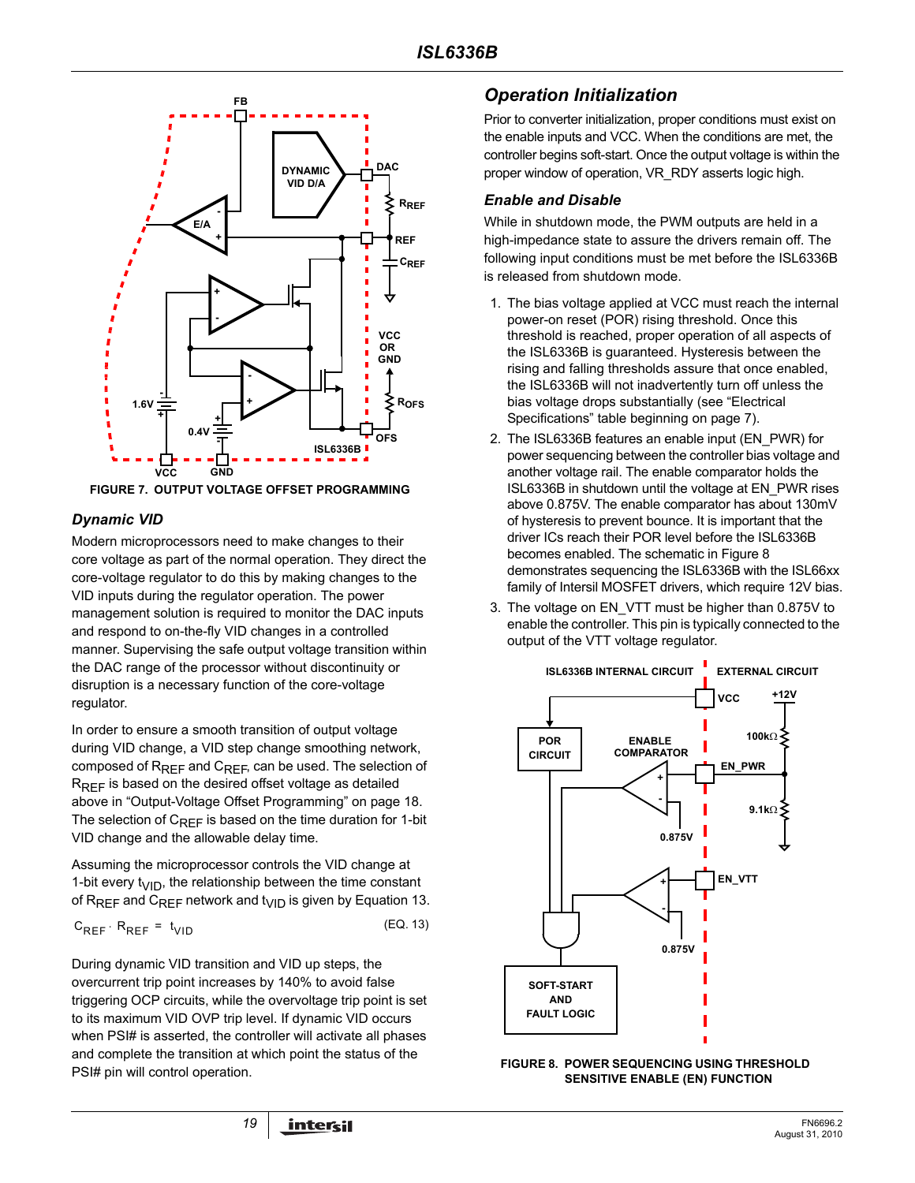

<span id="page-18-0"></span>**FIGURE 7. OUTPUT VOLTAGE OFFSET PROGRAMMING**

### *Dynamic VID*

Modern microprocessors need to make changes to their core voltage as part of the normal operation. They direct the core-voltage regulator to do this by making changes to the VID inputs during the regulator operation. The power management solution is required to monitor the DAC inputs and respond to on-the-fly VID changes in a controlled manner. Supervising the safe output voltage transition within the DAC range of the processor without discontinuity or disruption is a necessary function of the core-voltage regulator.

In order to ensure a smooth transition of output voltage during VID change, a VID step change smoothing network, composed of R<sub>REF</sub> and C<sub>REF</sub>, can be used. The selection of RRFF is based on the desired offset voltage as detailed above in ["Output-Voltage Offset Programming" on page 18](#page-17-4). The selection of  $C_{REF}$  is based on the time duration for 1-bit VID change and the allowable delay time.

Assuming the microprocessor controls the VID change at 1-bit every  $t_{\text{VID}}$ , the relationship between the time constant of R<sub>REF</sub> and C<sub>REF</sub> network and t<sub>VID</sub> is given by Equation [13](#page-18-2).

$$
C_{REF} \cdot R_{REF} = t_{VID}
$$
 (EQ. 13)

During dynamic VID transition and VID up steps, the overcurrent trip point increases by 140% to avoid false triggering OCP circuits, while the overvoltage trip point is set to its maximum VID OVP trip level. If dynamic VID occurs when PSI# is asserted, the controller will activate all phases and complete the transition at which point the status of the PSI# pin will control operation.

# *Operation Initialization*

Prior to converter initialization, proper conditions must exist on the enable inputs and VCC. When the conditions are met, the controller begins soft-start. Once the output voltage is within the proper window of operation, VR\_RDY asserts logic high.

### *Enable and Disable*

While in shutdown mode, the PWM outputs are held in a high-impedance state to assure the drivers remain off. The following input conditions must be met before the ISL6336B is released from shutdown mode.

- 1. The bias voltage applied at VCC must reach the internal power-on reset (POR) rising threshold. Once this threshold is reached, proper operation of all aspects of the ISL6336B is guaranteed. Hysteresis between the rising and falling thresholds assure that once enabled, the ISL6336B will not inadvertently turn off unless the bias voltage drops substantially (see "Electrical Specifications" table beginning on [page 7](#page-6-2)).
- 2. The ISL6336B features an enable input (EN\_PWR) for power sequencing between the controller bias voltage and another voltage rail. The enable comparator holds the ISL6336B in shutdown until the voltage at EN\_PWR rises above 0.875V. The enable comparator has about 130mV of hysteresis to prevent bounce. It is important that the driver ICs reach their POR level before the ISL6336B becomes enabled. The schematic in Figure [8](#page-18-1) demonstrates sequencing the ISL6336B with the ISL66xx family of Intersil MOSFET drivers, which require 12V bias.
- 3. The voltage on EN\_VTT must be higher than 0.875V to enable the controller. This pin is typically connected to the output of the VTT voltage regulator.



<span id="page-18-2"></span><span id="page-18-1"></span>**FIGURE 8. POWER SEQUENCING USING THRESHOLD SENSITIVE ENABLE (EN) FUNCTION**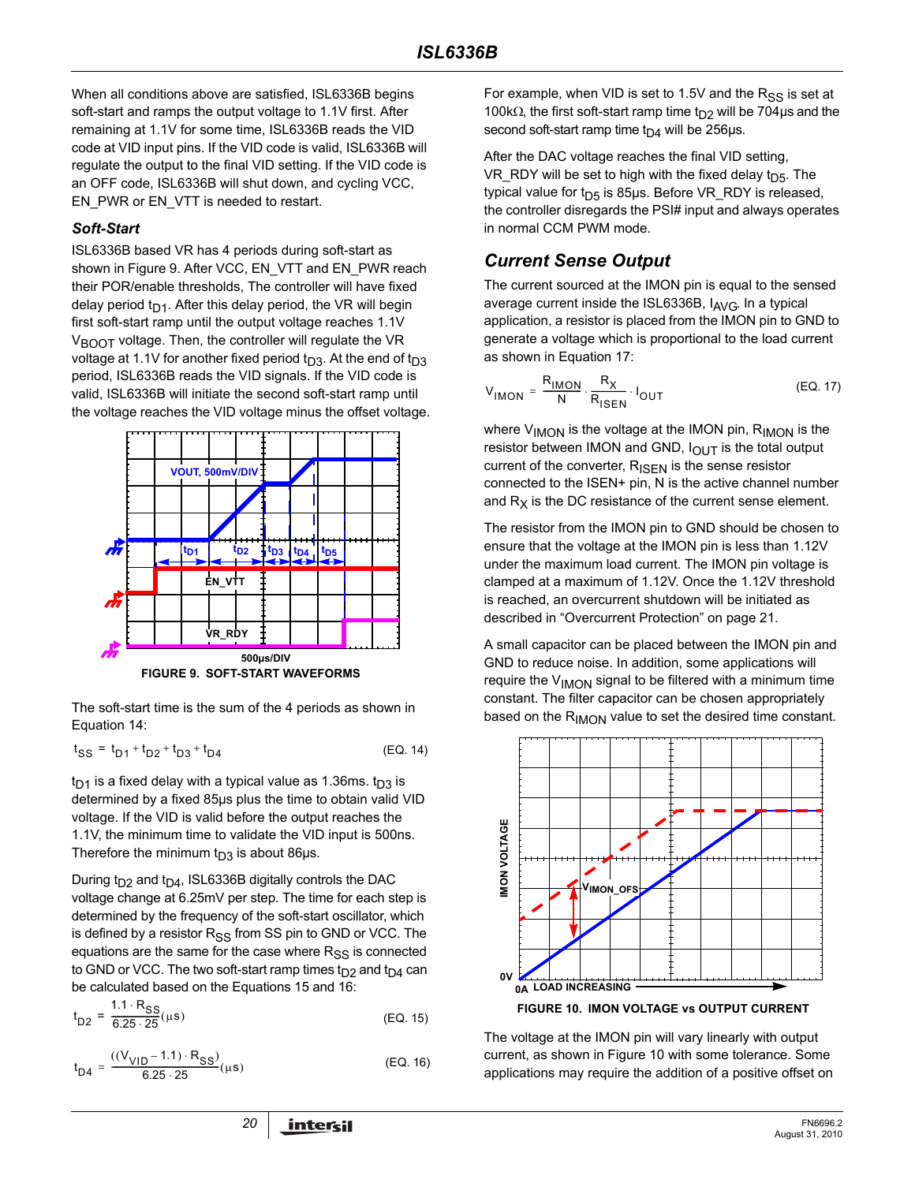When all conditions above are satisfied, ISL6336B begins soft-start and ramps the output voltage to 1.1V first. After remaining at 1.1V for some time, ISL6336B reads the VID code at VID input pins. If the VID code is valid, ISL6336B will regulate the output to the final VID setting. If the VID code is an OFF code, ISL6336B will shut down, and cycling VCC, EN\_PWR or EN\_VTT is needed to restart.

### <span id="page-19-0"></span>*Soft-Start*

ISL6336B based VR has 4 periods during soft-start as shown in Figure [9](#page-19-3). After VCC, EN\_VTT and EN\_PWR reach their POR/enable thresholds, The controller will have fixed delay period  $t_{D1}$ . After this delay period, the VR will begin first soft-start ramp until the output voltage reaches 1.1V V<sub>BOOT</sub> voltage. Then, the controller will regulate the VR voltage at 1.1V for another fixed period t<sub>D3</sub>. At the end of t<sub>D3</sub> period, ISL6336B reads the VID signals. If the VID code is valid, ISL6336B will initiate the second soft-start ramp until the voltage reaches the VID voltage minus the offset voltage.



<span id="page-19-3"></span>The soft-start time is the sum of the 4 periods as shown in Equation [14:](#page-19-5)

$$
t_{SS} = t_{D1} + t_{D2} + t_{D3} + t_{D4}
$$
 (EQ. 14)

 $t_{D1}$  is a fixed delay with a typical value as 1.36ms.  $t_{D3}$  is determined by a fixed 85µs plus the time to obtain valid VID voltage. If the VID is valid before the output reaches the 1.1V, the minimum time to validate the VID input is 500ns. Therefore the minimum  $t_{D3}$  is about 86 $\mu$ s.

During t<sub>D2</sub> and t<sub>D4</sub>, ISL6336B digitally controls the DAC voltage change at 6.25mV per step. The time for each step is determined by the frequency of the soft-start oscillator, which is defined by a resistor  $R_{SS}$  from SS pin to GND or VCC. The equations are the same for the case where R<sub>SS</sub> is connected to GND or VCC. The two soft-start ramp times t<sub>D2</sub> and t<sub>D4</sub> can be calculated based on the Equations [15](#page-19-1) and [16](#page-19-2):

$$
t_{D2} = \frac{1.1 \cdot R_{SS}}{6.25 \cdot 25} (\mu s)
$$
 (EQ. 15)

$$
t_{D4} = \frac{((V_{VID} - 1.1) \cdot R_{SS})}{6.25 \cdot 25} (\mu s)
$$
 (EQ. 16)

For example, when VID is set to 1.5V and the  $R_{SS}$  is set at 100kΩ, the first soft-start ramp time t<sub>D2</sub> will be 704µs and the second soft-start ramp time t<sub>D4</sub> will be 256 $\mu$ s.

After the DAC voltage reaches the final VID setting, VR\_RDY will be set to high with the fixed delay  $t_{\text{D5}}$ . The typical value for  $t_{\text{D5}}$  is 85µs. Before VR\_RDY is released, the controller disregards the PSI# input and always operates in normal CCM PWM mode.

# *Current Sense Output*

The current sourced at the IMON pin is equal to the sensed average current inside the ISL6336B, IAVG. In a typical application, a resistor is placed from the IMON pin to GND to generate a voltage which is proportional to the load current as shown in Equation [17:](#page-19-6)

<span id="page-19-6"></span>
$$
V_{\text{IMON}} = \frac{R_{\text{IMON}}}{N} \cdot \frac{R_X}{R_{\text{ISEN}}} \cdot I_{\text{OUT}} \tag{Eq. 17}
$$

where  $V_{IMON}$  is the voltage at the IMON pin,  $R_{IMON}$  is the resistor between IMON and GND,  $I_{\text{OUT}}$  is the total output current of the converter,  $R_{\text{ISEN}}$  is the sense resistor connected to the ISEN+ pin, N is the active channel number and  $R_X$  is the DC resistance of the current sense element.

The resistor from the IMON pin to GND should be chosen to ensure that the voltage at the IMON pin is less than 1.12V under the maximum load current. The IMON pin voltage is clamped at a maximum of 1.12V. Once the 1.12V threshold is reached, an overcurrent shutdown will be initiated as described in ["Overcurrent Protection" on page 21.](#page-20-0)

A small capacitor can be placed between the IMON pin and GND to reduce noise. In addition, some applications will require the  $V_{IMON}$  signal to be filtered with a minimum time constant. The filter capacitor can be chosen appropriately based on the R<sub>IMON</sub> value to set the desired time constant.

<span id="page-19-5"></span>

<span id="page-19-4"></span><span id="page-19-2"></span><span id="page-19-1"></span>The voltage at the IMON pin will vary linearly with output current, as shown in Figure [10](#page-19-4) with some tolerance. Some applications may require the addition of a positive offset on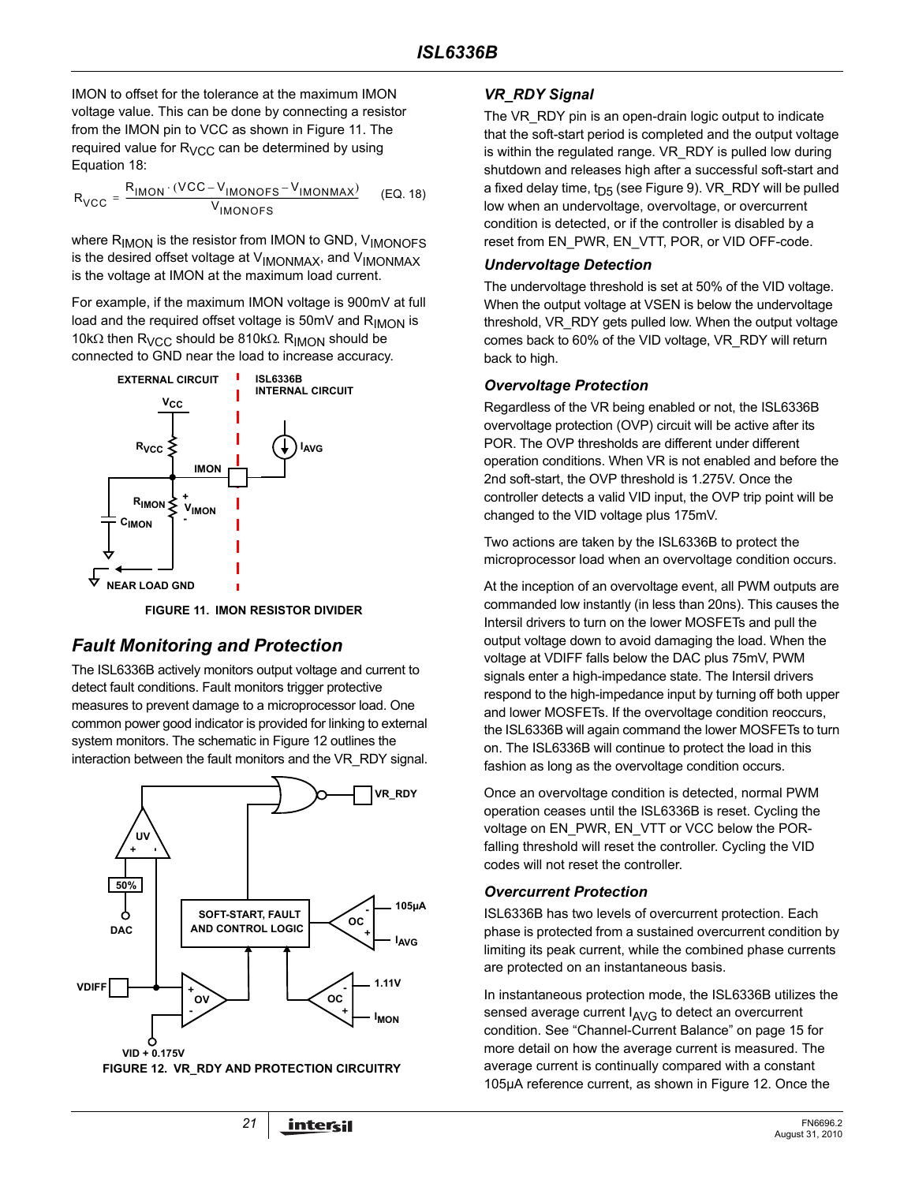IMON to offset for the tolerance at the maximum IMON voltage value. This can be done by connecting a resistor from the IMON pin to VCC as shown in Figure [11.](#page-20-1) The required value for  $R_{VCC}$  can be determined by using Equation [18:](#page-20-3)

$$
R_{VCC} = \frac{R_{IMON} \cdot (VCC - V_{IMONOFS} - V_{IMONMAX})}{V_{IMONOFS}} \quad (EQ. 18)
$$

where  $R_{IMON}$  is the resistor from IMON to GND,  $V_{IMONOFS}$ is the desired offset voltage at V<sub>IMONMAX</sub>, and V<sub>IMONMAX</sub> is the voltage at IMON at the maximum load current.

For example, if the maximum IMON voltage is 900mV at full load and the required offset voltage is 50mV and R<sub>IMON</sub> is 10kΩ then R<sub>VCC</sub> should be 810kΩ. R<sub>IMON</sub> should be connected to GND near the load to increase accuracy.



**FIGURE 11. IMON RESISTOR DIVIDER**

# <span id="page-20-1"></span>*Fault Monitoring and Protection*

The ISL6336B actively monitors output voltage and current to detect fault conditions. Fault monitors trigger protective measures to prevent damage to a microprocessor load. One common power good indicator is provided for linking to external system monitors. The schematic in Figure [12](#page-20-2) outlines the interaction between the fault monitors and the VR\_RDY signal.

<span id="page-20-2"></span>

*VR\_RDY Signal*

The VR\_RDY pin is an open-drain logic output to indicate that the soft-start period is completed and the output voltage is within the regulated range. VR\_RDY is pulled low during shutdown and releases high after a successful soft-start and a fixed delay time,  $t_{\text{D5}}$  (see Figure [9\)](#page-19-3). VR\_RDY will be pulled low when an undervoltage, overvoltage, or overcurrent condition is detected, or if the controller is disabled by a reset from EN\_PWR, EN\_VTT, POR, or VID OFF-code.

### <span id="page-20-3"></span>*Undervoltage Detection*

The undervoltage threshold is set at 50% of the VID voltage. When the output voltage at VSEN is below the undervoltage threshold, VR\_RDY gets pulled low. When the output voltage comes back to 60% of the VID voltage, VR\_RDY will return back to high.

### *Overvoltage Protection*

Regardless of the VR being enabled or not, the ISL6336B overvoltage protection (OVP) circuit will be active after its POR. The OVP thresholds are different under different operation conditions. When VR is not enabled and before the 2nd soft-start, the OVP threshold is 1.275V. Once the controller detects a valid VID input, the OVP trip point will be changed to the VID voltage plus 175mV.

Two actions are taken by the ISL6336B to protect the microprocessor load when an overvoltage condition occurs.

At the inception of an overvoltage event, all PWM outputs are commanded low instantly (in less than 20ns). This causes the Intersil drivers to turn on the lower MOSFETs and pull the output voltage down to avoid damaging the load. When the voltage at VDIFF falls below the DAC plus 75mV, PWM signals enter a high-impedance state. The Intersil drivers respond to the high-impedance input by turning off both upper and lower MOSFETs. If the overvoltage condition reoccurs, the ISL6336B will again command the lower MOSFETs to turn on. The ISL6336B will continue to protect the load in this fashion as long as the overvoltage condition occurs.

Once an overvoltage condition is detected, normal PWM operation ceases until the ISL6336B is reset. Cycling the voltage on EN\_PWR, EN\_VTT or VCC below the PORfalling threshold will reset the controller. Cycling the VID codes will not reset the controller.

### <span id="page-20-0"></span>*Overcurrent Protection*

ISL6336B has two levels of overcurrent protection. Each phase is protected from a sustained overcurrent condition by limiting its peak current, while the combined phase currents are protected on an instantaneous basis.

In instantaneous protection mode, the ISL6336B utilizes the sensed average current  $I_{AVG}$  to detect an overcurrent condition. See ["Channel-Current Balance" on page 15](#page-14-3) for more detail on how the average current is measured. The average current is continually compared with a constant 105µA reference current, as shown in Figure [12.](#page-20-2) Once the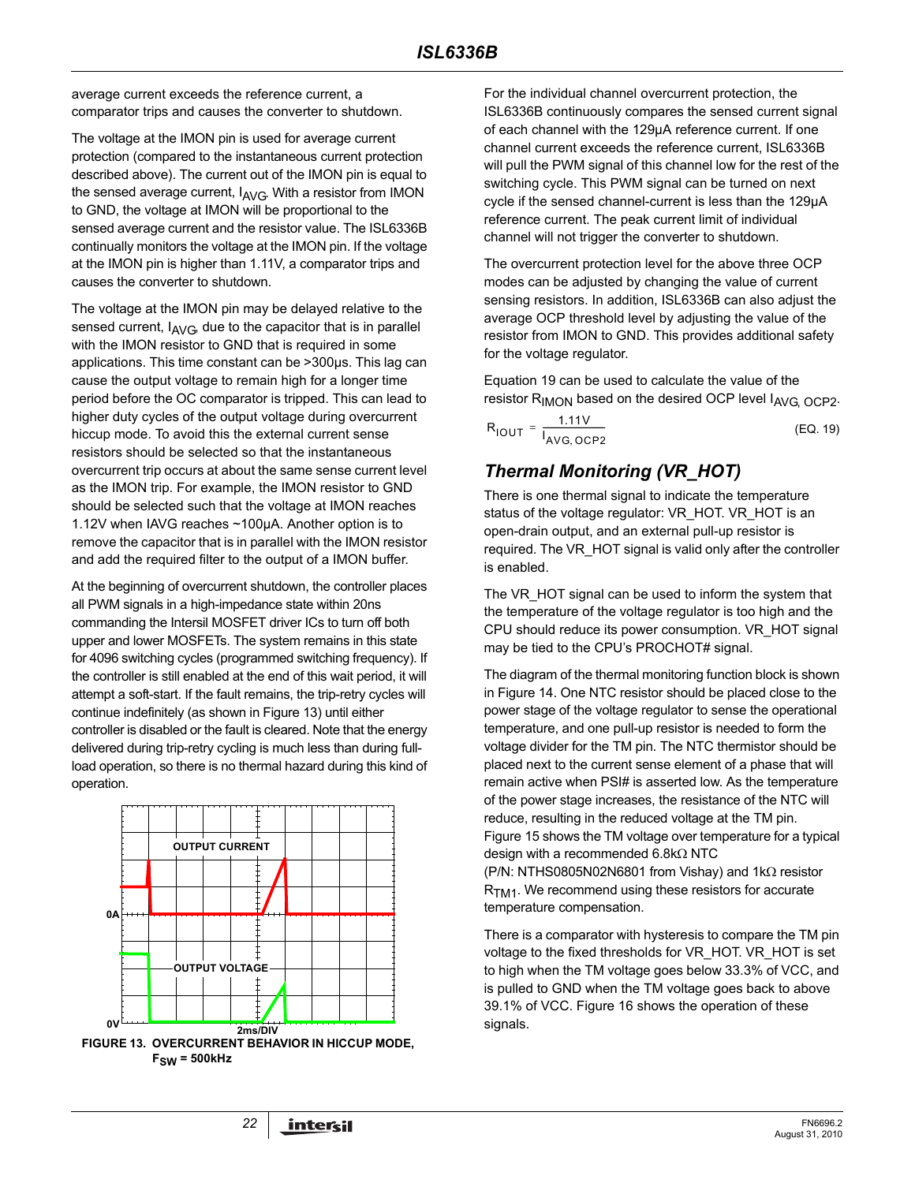average current exceeds the reference current, a comparator trips and causes the converter to shutdown.

The voltage at the IMON pin is used for average current protection (compared to the instantaneous current protection described above). The current out of the IMON pin is equal to the sensed average current,  $I_{AVG}$ . With a resistor from IMON to GND, the voltage at IMON will be proportional to the sensed average current and the resistor value. The ISL6336B continually monitors the voltage at the IMON pin. If the voltage at the IMON pin is higher than 1.11V, a comparator trips and causes the converter to shutdown.

The voltage at the IMON pin may be delayed relative to the sensed current,  $I_{AVG}$ , due to the capacitor that is in parallel with the IMON resistor to GND that is required in some applications. This time constant can be >300µs. This lag can cause the output voltage to remain high for a longer time period before the OC comparator is tripped. This can lead to higher duty cycles of the output voltage during overcurrent hiccup mode. To avoid this the external current sense resistors should be selected so that the instantaneous overcurrent trip occurs at about the same sense current level as the IMON trip. For example, the IMON resistor to GND should be selected such that the voltage at IMON reaches 1.12V when IAVG reaches ~100µA. Another option is to remove the capacitor that is in parallel with the IMON resistor and add the required filter to the output of a IMON buffer.

At the beginning of overcurrent shutdown, the controller places all PWM signals in a high-impedance state within 20ns commanding the Intersil MOSFET driver ICs to turn off both upper and lower MOSFETs. The system remains in this state for 4096 switching cycles (programmed switching frequency). If the controller is still enabled at the end of this wait period, it will attempt a soft-start. If the fault remains, the trip-retry cycles will continue indefinitely (as shown in Figure [13](#page-21-0)) until either controller is disabled or the fault is cleared. Note that the energy delivered during trip-retry cycling is much less than during fullload operation, so there is no thermal hazard during this kind of operation.



<span id="page-21-0"></span>**FSW = 500kHz**

For the individual channel overcurrent protection, the ISL6336B continuously compares the sensed current signal of each channel with the 129µA reference current. If one channel current exceeds the reference current, ISL6336B will pull the PWM signal of this channel low for the rest of the switching cycle. This PWM signal can be turned on next cycle if the sensed channel-current is less than the 129µA reference current. The peak current limit of individual channel will not trigger the converter to shutdown.

The overcurrent protection level for the above three OCP modes can be adjusted by changing the value of current sensing resistors. In addition, ISL6336B can also adjust the average OCP threshold level by adjusting the value of the resistor from IMON to GND. This provides additional safety for the voltage regulator.

Equation [19](#page-21-1) can be used to calculate the value of the resistor R<sub>IMON</sub> based on the desired OCP level I<sub>AVG, OCP2</sub>.

<span id="page-21-1"></span> $R_{IOUT} = \frac{1.11V}{1.118.000}$  $=\frac{1.11 \text{ V}}{1 \text{AVG, OCP2}}$  (EQ. 19)

# *Thermal Monitoring (VR\_HOT)*

There is one thermal signal to indicate the temperature status of the voltage regulator: VR\_HOT. VR\_HOT is an open-drain output, and an external pull-up resistor is required. The VR HOT signal is valid only after the controller is enabled.

The VR\_HOT signal can be used to inform the system that the temperature of the voltage regulator is too high and the CPU should reduce its power consumption. VR\_HOT signal may be tied to the CPU's PROCHOT# signal.

The diagram of the thermal monitoring function block is shown in Figure [14](#page-22-0). One NTC resistor should be placed close to the power stage of the voltage regulator to sense the operational temperature, and one pull-up resistor is needed to form the voltage divider for the TM pin. The NTC thermistor should be placed next to the current sense element of a phase that will remain active when PSI# is asserted low. As the temperature of the power stage increases, the resistance of the NTC will reduce, resulting in the reduced voltage at the TM pin. Figure [15](#page-22-1) shows the TM voltage over temperature for a typical design with a recommended 6.8kΩ NTC

(P/N: NTHS0805N02N6801 from Vishay) and 1kΩ resistor R<sub>TM1</sub>. We recommend using these resistors for accurate temperature compensation.

There is a comparator with hysteresis to compare the TM pin voltage to the fixed thresholds for VR\_HOT. VR\_HOT is set to high when the TM voltage goes below 33.3% of VCC, and is pulled to GND when the TM voltage goes back to above 39.1% of VCC. Figure [16](#page-22-2) shows the operation of these signals.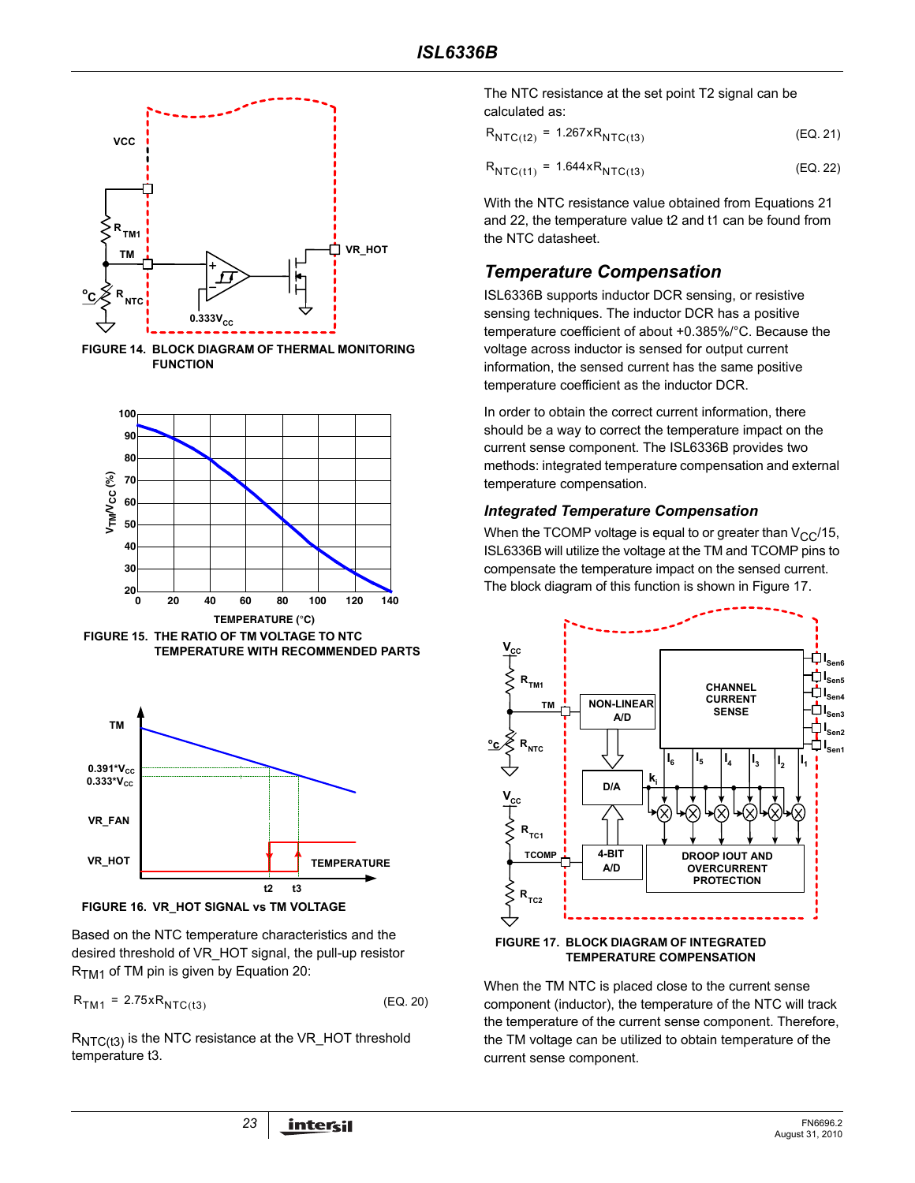

<span id="page-22-0"></span>**FIGURE 14. BLOCK DIAGRAM OF THERMAL MONITORING FUNCTION**



<span id="page-22-1"></span>**FIGURE 15. THE RATIO OF TM VOLTAGE TO NTC TEMPERATURE WITH RECOMMENDED PARTS**



<span id="page-22-2"></span>**FIGURE 16. VR\_HOT SIGNAL vs TM VOLTAGE**

Based on the NTC temperature characteristics and the desired threshold of VR\_HOT signal, the pull-up resistor  $R<sub>TM1</sub>$  of TM pin is given by Equation [20:](#page-22-6)

 $R_{TM1}$  = 2.75x $R_{NTC (t3)}$  (EQ. 20)

 $R_{NTC(t3)}$  is the NTC resistance at the VR\_HOT threshold temperature t3.

The NTC resistance at the set point T2 signal can be calculated as:

| $R_{NTC(t2)} = 1.267xR_{NTC(t3)}$ | (EQ. 21) |
|-----------------------------------|----------|
|                                   |          |

<span id="page-22-4"></span><span id="page-22-3"></span>
$$
R_{NTC(t1)} = 1.644 \times R_{NTC(t3)}
$$
 (EQ. 22)

With the NTC resistance value obtained from Equations [21](#page-22-3)  and [22](#page-22-4), the temperature value t2 and t1 can be found from the NTC datasheet.

# *Temperature Compensation*

ISL6336B supports inductor DCR sensing, or resistive sensing techniques. The inductor DCR has a positive temperature coefficient of about +0.385%/°C. Because the voltage across inductor is sensed for output current information, the sensed current has the same positive temperature coefficient as the inductor DCR.

In order to obtain the correct current information, there should be a way to correct the temperature impact on the current sense component. The ISL6336B provides two methods: integrated temperature compensation and external temperature compensation.

### *Integrated Temperature Compensation*

When the TCOMP voltage is equal to or greater than  $V_{CC}/15$ , ISL6336B will utilize the voltage at the TM and TCOMP pins to compensate the temperature impact on the sensed current. The block diagram of this function is shown in Figure [17.](#page-22-5)



<span id="page-22-5"></span>**FIGURE 17. BLOCK DIAGRAM OF INTEGRATED TEMPERATURE COMPENSATION**

<span id="page-22-6"></span>When the TM NTC is placed close to the current sense component (inductor), the temperature of the NTC will track the temperature of the current sense component. Therefore, the TM voltage can be utilized to obtain temperature of the current sense component.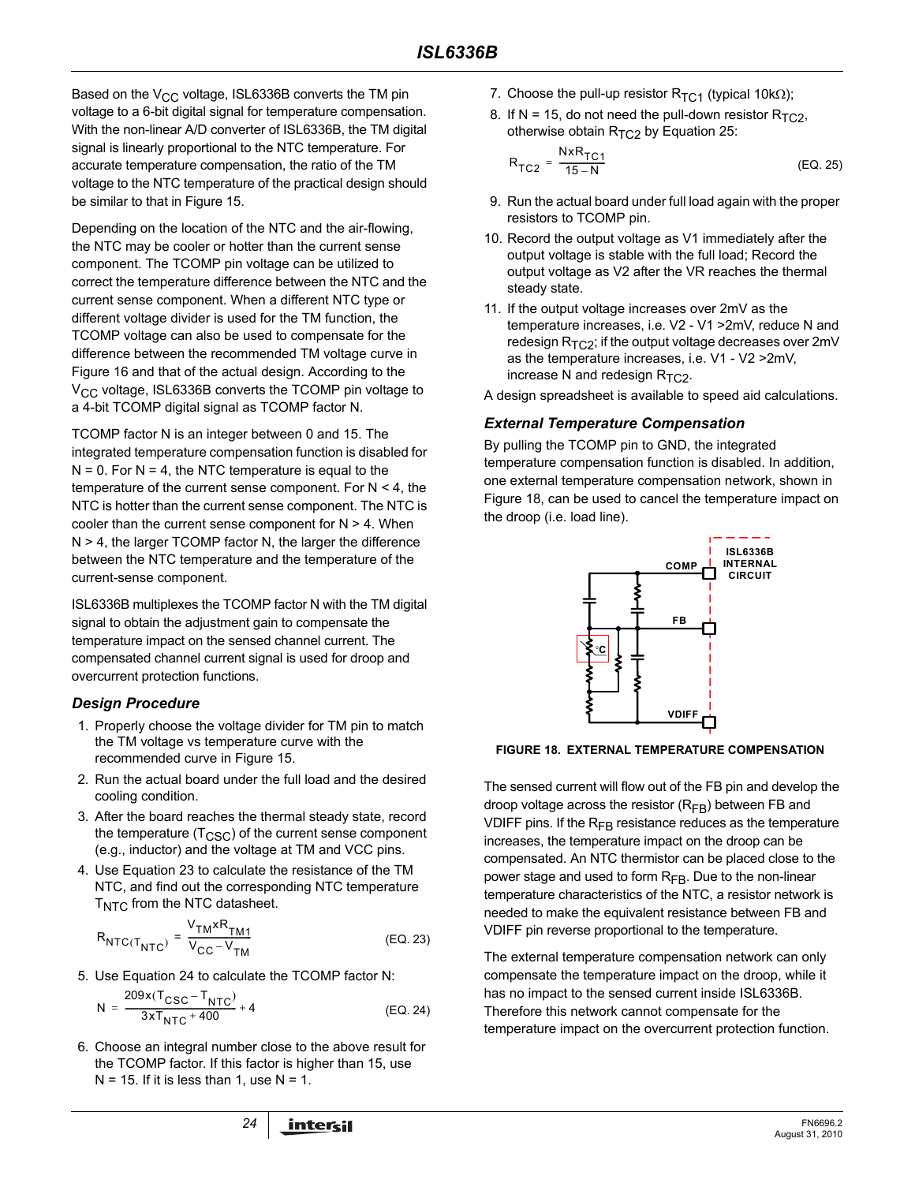Based on the  $V_{CC}$  voltage, ISL6336B converts the TM pin voltage to a 6-bit digital signal for temperature compensation. With the non-linear A/D converter of ISL6336B, the TM digital signal is linearly proportional to the NTC temperature. For accurate temperature compensation, the ratio of the TM voltage to the NTC temperature of the practical design should be similar to that in Figure [15](#page-22-1).

Depending on the location of the NTC and the air-flowing, the NTC may be cooler or hotter than the current sense component. The TCOMP pin voltage can be utilized to correct the temperature difference between the NTC and the current sense component. When a different NTC type or different voltage divider is used for the TM function, the TCOMP voltage can also be used to compensate for the difference between the recommended TM voltage curve in Figure [16](#page-22-2) and that of the actual design. According to the  $V_{CC}$  voltage, ISL6336B converts the TCOMP pin voltage to a 4-bit TCOMP digital signal as TCOMP factor N.

TCOMP factor N is an integer between 0 and 15. The integrated temperature compensation function is disabled for  $N = 0$ . For  $N = 4$ , the NTC temperature is equal to the temperature of the current sense component. For N < 4, the NTC is hotter than the current sense component. The NTC is cooler than the current sense component for  $N > 4$ . When N > 4, the larger TCOMP factor N, the larger the difference between the NTC temperature and the temperature of the current-sense component.

ISL6336B multiplexes the TCOMP factor N with the TM digital signal to obtain the adjustment gain to compensate the temperature impact on the sensed channel current. The compensated channel current signal is used for droop and overcurrent protection functions.

### *Design Procedure*

- 1. Properly choose the voltage divider for TM pin to match the TM voltage vs temperature curve with the recommended curve in Figure [15](#page-22-1).
- 2. Run the actual board under the full load and the desired cooling condition.
- 3. After the board reaches the thermal steady state, record the temperature  $(T_{\text{CSC}})$  of the current sense component (e.g., inductor) and the voltage at TM and VCC pins.
- 4. Use Equation [23](#page-23-2) to calculate the resistance of the TM NTC, and find out the corresponding NTC temperature T<sub>NTC</sub> from the NTC datasheet.

$$
R_{\text{NTC}(T_{\text{NTC}})} = \frac{V_{\text{TM}} \times R_{\text{TM1}}}{V_{\text{CC}} - V_{\text{TM}}}
$$
 (EQ. 23)

5. Use Equation [24](#page-23-3) to calculate the TCOMP factor N:

$$
N = \frac{209 \times (T_{CSC} - T_{NTC})}{3 \times T_{NTC} + 400} + 4
$$
 (EQ. 24)

6. Choose an integral number close to the above result for the TCOMP factor. If this factor is higher than 15, use  $N = 15$ . If it is less than 1, use  $N = 1$ .

- 7. Choose the pull-up resistor  $R_{TC1}$  (typical 10kΩ);
- 8. If N = 15, do not need the pull-down resistor  $R_{TC2}$ , otherwise obtain  $R_{TC2}$  by Equation [25:](#page-23-4)

<span id="page-23-4"></span>
$$
R_{TC2} = \frac{NxR_{TC1}}{15 - N}
$$
 (EQ. 25)

- 9. Run the actual board under full load again with the proper resistors to TCOMP pin.
- 10. Record the output voltage as V1 immediately after the output voltage is stable with the full load; Record the output voltage as V2 after the VR reaches the thermal steady state.
- 11. If the output voltage increases over 2mV as the temperature increases, i.e. V2 - V1 >2mV, reduce N and redesign  $R_{TC2}$ ; if the output voltage decreases over 2mV as the temperature increases, i.e. V1 - V2 >2mV, increase N and redesign  $R_{TC2}$ .
- A design spreadsheet is available to speed aid calculations.

### <span id="page-23-0"></span>*External Temperature Compensation*

By pulling the TCOMP pin to GND, the integrated temperature compensation function is disabled. In addition, one external temperature compensation network, shown in Figure [18,](#page-23-1) can be used to cancel the temperature impact on the droop (i.e. load line).



### <span id="page-23-1"></span>**FIGURE 18. EXTERNAL TEMPERATURE COMPENSATION**

The sensed current will flow out of the FB pin and develop the droop voltage across the resistor  $(R_{FB})$  between FB and VDIFF pins. If the  $R_{FR}$  resistance reduces as the temperature increases, the temperature impact on the droop can be compensated. An NTC thermistor can be placed close to the power stage and used to form  $R_{FB}$ . Due to the non-linear temperature characteristics of the NTC, a resistor network is needed to make the equivalent resistance between FB and VDIFF pin reverse proportional to the temperature.

<span id="page-23-3"></span><span id="page-23-2"></span>The external temperature compensation network can only compensate the temperature impact on the droop, while it has no impact to the sensed current inside ISL6336B. Therefore this network cannot compensate for the temperature impact on the overcurrent protection function.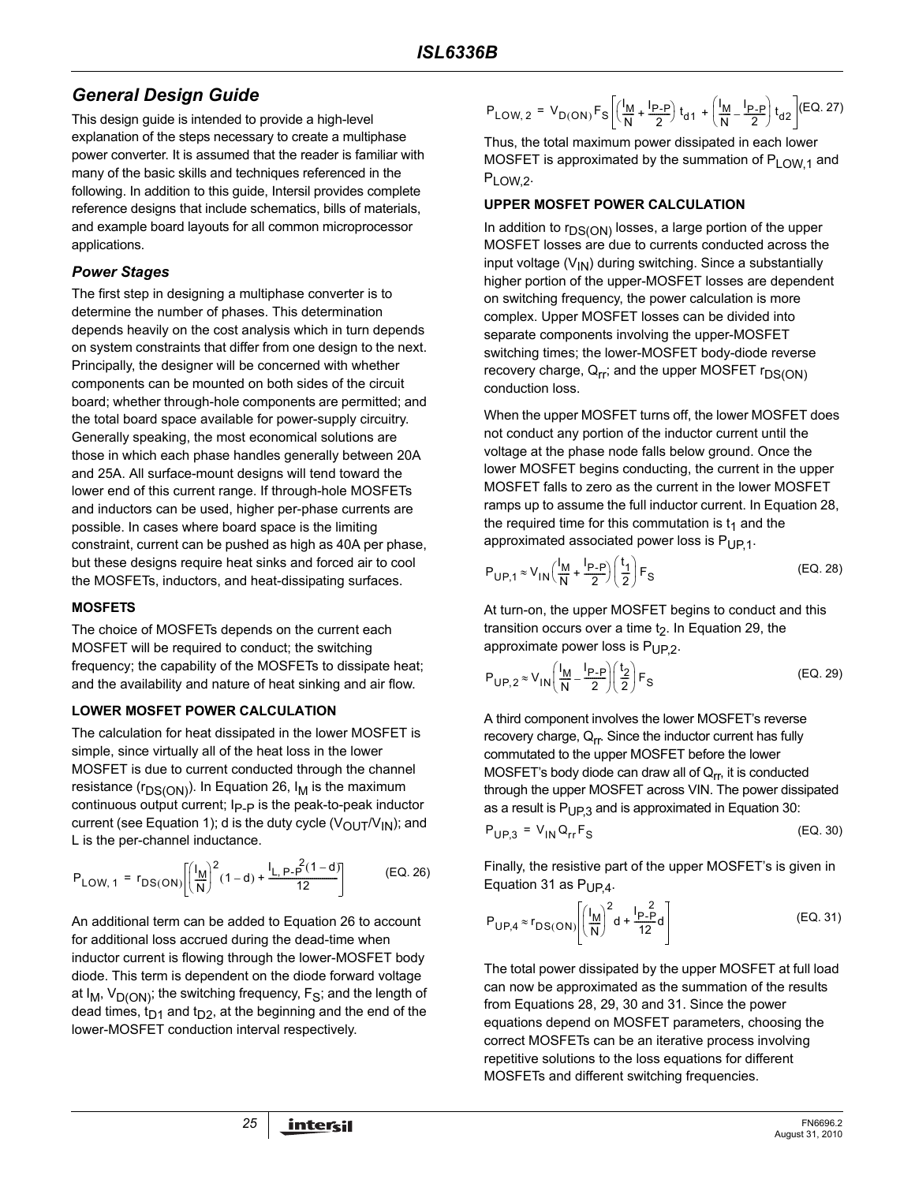# *General Design Guide*

This design guide is intended to provide a high-level explanation of the steps necessary to create a multiphase power converter. It is assumed that the reader is familiar with many of the basic skills and techniques referenced in the following. In addition to this guide, Intersil provides complete reference designs that include schematics, bills of materials, and example board layouts for all common microprocessor applications.

### *Power Stages*

The first step in designing a multiphase converter is to determine the number of phases. This determination depends heavily on the cost analysis which in turn depends on system constraints that differ from one design to the next. Principally, the designer will be concerned with whether components can be mounted on both sides of the circuit board; whether through-hole components are permitted; and the total board space available for power-supply circuitry. Generally speaking, the most economical solutions are those in which each phase handles generally between 20A and 25A. All surface-mount designs will tend toward the lower end of this current range. If through-hole MOSFETs and inductors can be used, higher per-phase currents are possible. In cases where board space is the limiting constraint, current can be pushed as high as 40A per phase, but these designs require heat sinks and forced air to cool the MOSFETs, inductors, and heat-dissipating surfaces.

### <span id="page-24-5"></span>**MOSFETS**

The choice of MOSFETs depends on the current each MOSFET will be required to conduct; the switching frequency; the capability of the MOSFETs to dissipate heat; and the availability and nature of heat sinking and air flow.

### **LOWER MOSFET POWER CALCULATION**

The calculation for heat dissipated in the lower MOSFET is simple, since virtually all of the heat loss in the lower MOSFET is due to current conducted through the channel resistance ( $r_{DS(ON)}$ ). In Equation [26](#page-24-0),  $I_M$  is the maximum continuous output current; I<sub>P-P</sub> is the peak-to-peak inductor current (see Equation [1](#page-11-0)); d is the duty cycle ( $V_{\text{OUT}}/V_{\text{IN}}$ ); and L is the per-channel inductance.

$$
P_{LOW, 1} = r_{DS(ON)} \left[ \left( \frac{I_M}{N} \right)^2 (1 - d) + \frac{I_{L, P - P}^2 (1 - d)}{12} \right] \tag{EQ.26}
$$

An additional term can be added to Equation [26](#page-24-0) to account for additional loss accrued during the dead-time when inductor current is flowing through the lower-MOSFET body diode. This term is dependent on the diode forward voltage at  $I_M$ ,  $V_{D(ON)}$ ; the switching frequency,  $F_S$ ; and the length of dead times,  $t_{D1}$  and  $t_{D2}$ , at the beginning and the end of the lower-MOSFET conduction interval respectively.

$$
P_{LOW, 2} = V_{D(ON)} F_S \left[ \left( \frac{I_M}{N} + \frac{I_{P-P}}{2} \right) t_{d1} + \left( \frac{I_M}{N} - \frac{I_{P-P}}{2} \right) t_{d2} \right] (EQ. 27)
$$

Thus, the total maximum power dissipated in each lower MOSFET is approximated by the summation of  $P_{LOW,1}$  and PLOW,2.

### **UPPER MOSFET POWER CALCULATION**

In addition to  $r_{DS(ON)}$  losses, a large portion of the upper MOSFET losses are due to currents conducted across the input voltage  $(V_{1N})$  during switching. Since a substantially higher portion of the upper-MOSFET losses are dependent on switching frequency, the power calculation is more complex. Upper MOSFET losses can be divided into separate components involving the upper-MOSFET switching times; the lower-MOSFET body-diode reverse recovery charge,  $Q_{rr}$ ; and the upper MOSFET  $r_{DS(ON)}$ conduction loss.

When the upper MOSFET turns off, the lower MOSFET does not conduct any portion of the inductor current until the voltage at the phase node falls below ground. Once the lower MOSFET begins conducting, the current in the upper MOSFET falls to zero as the current in the lower MOSFET ramps up to assume the full inductor current. In Equation [28](#page-24-1), the required time for this commutation is  $t_1$  and the approximated associated power loss is  $P_{UP,1}$ .

<span id="page-24-1"></span>
$$
P_{UP,1} \approx V_{IN} \left(\frac{I_M}{N} + \frac{I_{P-P}}{2}\right) \left(\frac{t_1}{2}\right) F_S
$$
 (EQ. 28)

At turn-on, the upper MOSFET begins to conduct and this transition occurs over a time  $t<sub>2</sub>$ . In Equation [29,](#page-24-2) the approximate power loss is  $P_{UP,2}$ .

<span id="page-24-2"></span>
$$
P_{\text{UP},2} \approx V_{\text{IN}} \left( \frac{I_{\text{M}}}{N} - \frac{I_{\text{P-P}}}{2} \right) \left( \frac{t_2}{2} \right) F_{\text{S}}
$$
 (EQ. 29)

A third component involves the lower MOSFET's reverse recovery charge, Q<sub>rr</sub>. Since the inductor current has fully commutated to the upper MOSFET before the lower MOSFET's body diode can draw all of  $Q_{rr}$ , it is conducted through the upper MOSFET across VIN. The power dissipated as a result is  $P_{UP,3}$  and is approximated in Equation [30](#page-24-4):

<span id="page-24-4"></span>
$$
P_{UP,3} = V_{IN} Q_{rr} F_S
$$
 (EQ. 30)

<span id="page-24-0"></span>Finally, the resistive part of the upper MOSFET's is given in Equation [31](#page-24-3) as  $P_{UP,4}$ .

<span id="page-24-3"></span>
$$
P_{UP,4} \approx r_{DS(ON)} \left[ \left( \frac{I_M}{N} \right)^2 d + \frac{I_{P-P}}{12} d \right]
$$
 (EQ. 31)

The total power dissipated by the upper MOSFET at full load can now be approximated as the summation of the results from Equations [28,](#page-24-1) [29,](#page-24-2) [30](#page-24-4) and [31.](#page-24-3) Since the power equations depend on MOSFET parameters, choosing the correct MOSFETs can be an iterative process involving repetitive solutions to the loss equations for different MOSFETs and different switching frequencies.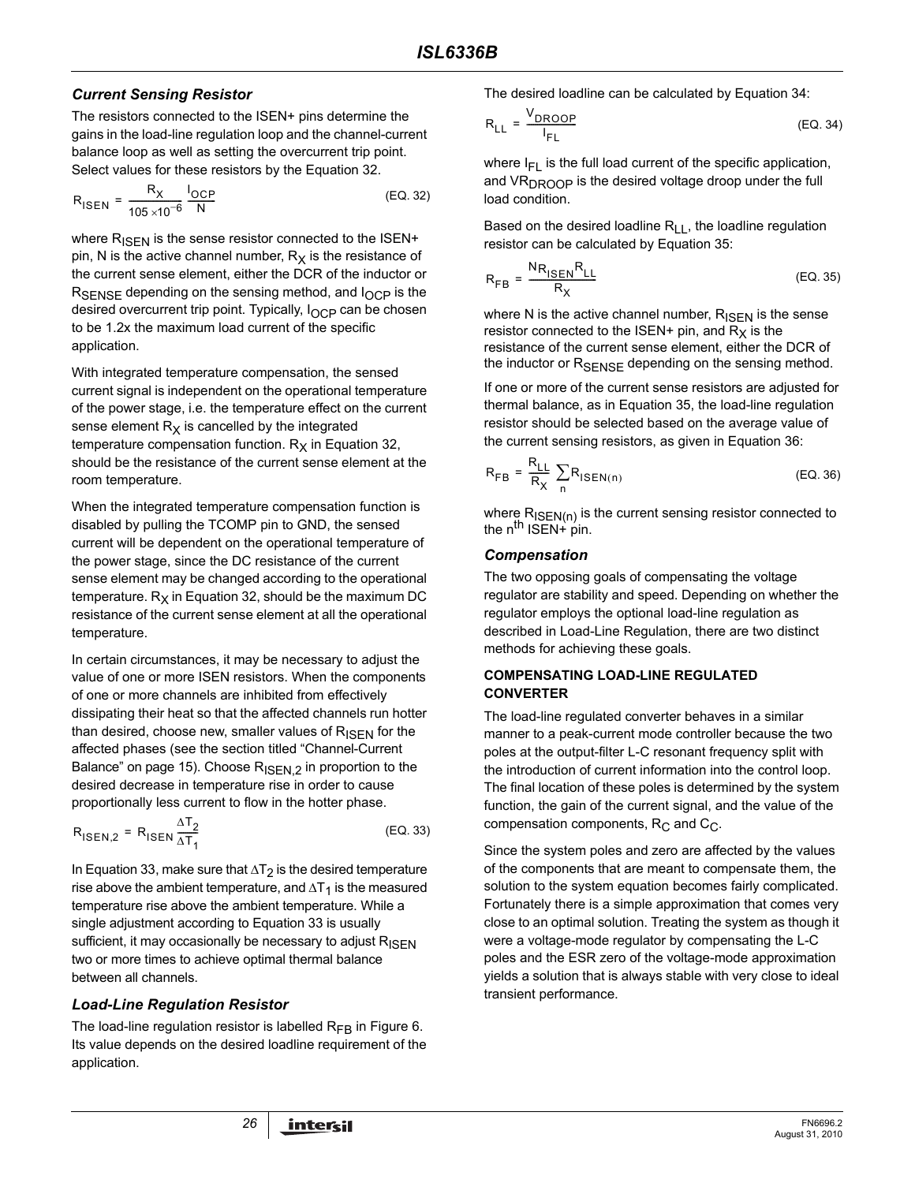### *Current Sensing Resistor*

The resistors connected to the ISEN+ pins determine the gains in the load-line regulation loop and the channel-current balance loop as well as setting the overcurrent trip point. Select values for these resistors by the Equation [32.](#page-25-1)

$$
R_{\text{ISEN}} = \frac{R_X}{105 \times 10^{-6}} \frac{I_{\text{OCP}}}{N}
$$
 (EQ. 32)

where  $R_{\text{ISEN}}$  is the sense resistor connected to the ISEN+ pin, N is the active channel number,  $R_X$  is the resistance of the current sense element, either the DCR of the inductor or  $R_{\text{SENSE}}$  depending on the sensing method, and  $I_{\text{OCP}}$  is the desired overcurrent trip point. Typically,  $I_{\Omega CP}$  can be chosen to be 1.2x the maximum load current of the specific application.

With integrated temperature compensation, the sensed current signal is independent on the operational temperature of the power stage, i.e. the temperature effect on the current sense element  $R_X$  is cancelled by the integrated temperature compensation function.  $R_X$  in Equation [32,](#page-25-1) should be the resistance of the current sense element at the room temperature.

When the integrated temperature compensation function is disabled by pulling the TCOMP pin to GND, the sensed current will be dependent on the operational temperature of the power stage, since the DC resistance of the current sense element may be changed according to the operational temperature.  $R_X$  in Equation [32,](#page-25-1) should be the maximum DC resistance of the current sense element at all the operational temperature.

In certain circumstances, it may be necessary to adjust the value of one or more ISEN resistors. When the components of one or more channels are inhibited from effectively dissipating their heat so that the affected channels run hotter than desired, choose new, smaller values of  $R_{\text{ISFN}}$  for the affected phases (see the section titled ["Channel-Current](#page-14-3)  [Balance" on page 15](#page-14-3)). Choose  $R_{\text{ISFN}}$  in proportion to the desired decrease in temperature rise in order to cause proportionally less current to flow in the hotter phase.

$$
R_{\text{ISEN},2} = R_{\text{ISEN}} \frac{\Delta T_2}{\Delta T_1}
$$
 (EQ. 33)

In Equation [33](#page-25-2), make sure that  $\Delta T_2$  is the desired temperature rise above the ambient temperature, and  $\Delta T_1$  is the measured temperature rise above the ambient temperature. While a single adjustment according to Equation [33](#page-25-2) is usually sufficient, it may occasionally be necessary to adjust  $R_{\text{ISEN}}$ two or more times to achieve optimal thermal balance between all channels.

### <span id="page-25-5"></span>*Load-Line Regulation Resistor*

The load-line regulation resistor is labelled  $R_{FB}$  in Figure [6.](#page-14-2) Its value depends on the desired loadline requirement of the application.

The desired loadline can be calculated by Equation [34:](#page-25-3)

<span id="page-25-3"></span>
$$
R_{LL} = \frac{V_{DROOP}}{I_{FL}}
$$
 (EQ. 34)

<span id="page-25-1"></span>where  $I_{FL}$  is the full load current of the specific application, and VR<sub>DROOP</sub> is the desired voltage droop under the full load condition.

Based on the desired loadline  $R_{LL}$ , the loadline regulation resistor can be calculated by Equation [35](#page-25-0):

<span id="page-25-0"></span>
$$
R_{FB} = \frac{N R_{\text{ISEN}} R_{LL}}{R_X} \tag{Eq. 35}
$$

where N is the active channel number,  $R_{\text{ISEN}}$  is the sense resistor connected to the ISEN+ pin, and  $R_X$  is the resistance of the current sense element, either the DCR of the inductor or R<sub>SENSE</sub> depending on the sensing method.

If one or more of the current sense resistors are adjusted for thermal balance, as in Equation [35](#page-25-0), the load-line regulation resistor should be selected based on the average value of the current sensing resistors, as given in Equation [36](#page-25-4):

<span id="page-25-4"></span>
$$
R_{FB} = \frac{R_{LL}}{R_X} \sum_{n} R_{ISEN(n)}
$$
 (EQ. 36)

where  $R_{\text{ISEN}(n)}$  is the current sensing resistor connected to the n<sup>th</sup> ISEN+ pin.

### *Compensation*

The two opposing goals of compensating the voltage regulator are stability and speed. Depending on whether the regulator employs the optional load-line regulation as described in Load-Line Regulation, there are two distinct methods for achieving these goals.

### **COMPENSATING LOAD-LINE REGULATED CONVERTER**

The load-line regulated converter behaves in a similar manner to a peak-current mode controller because the two poles at the output-filter L-C resonant frequency split with the introduction of current information into the control loop. The final location of these poles is determined by the system function, the gain of the current signal, and the value of the compensation components,  $R_C$  and  $C_C$ .

<span id="page-25-2"></span>Since the system poles and zero are affected by the values of the components that are meant to compensate them, the solution to the system equation becomes fairly complicated. Fortunately there is a simple approximation that comes very close to an optimal solution. Treating the system as though it were a voltage-mode regulator by compensating the L-C poles and the ESR zero of the voltage-mode approximation yields a solution that is always stable with very close to ideal transient performance.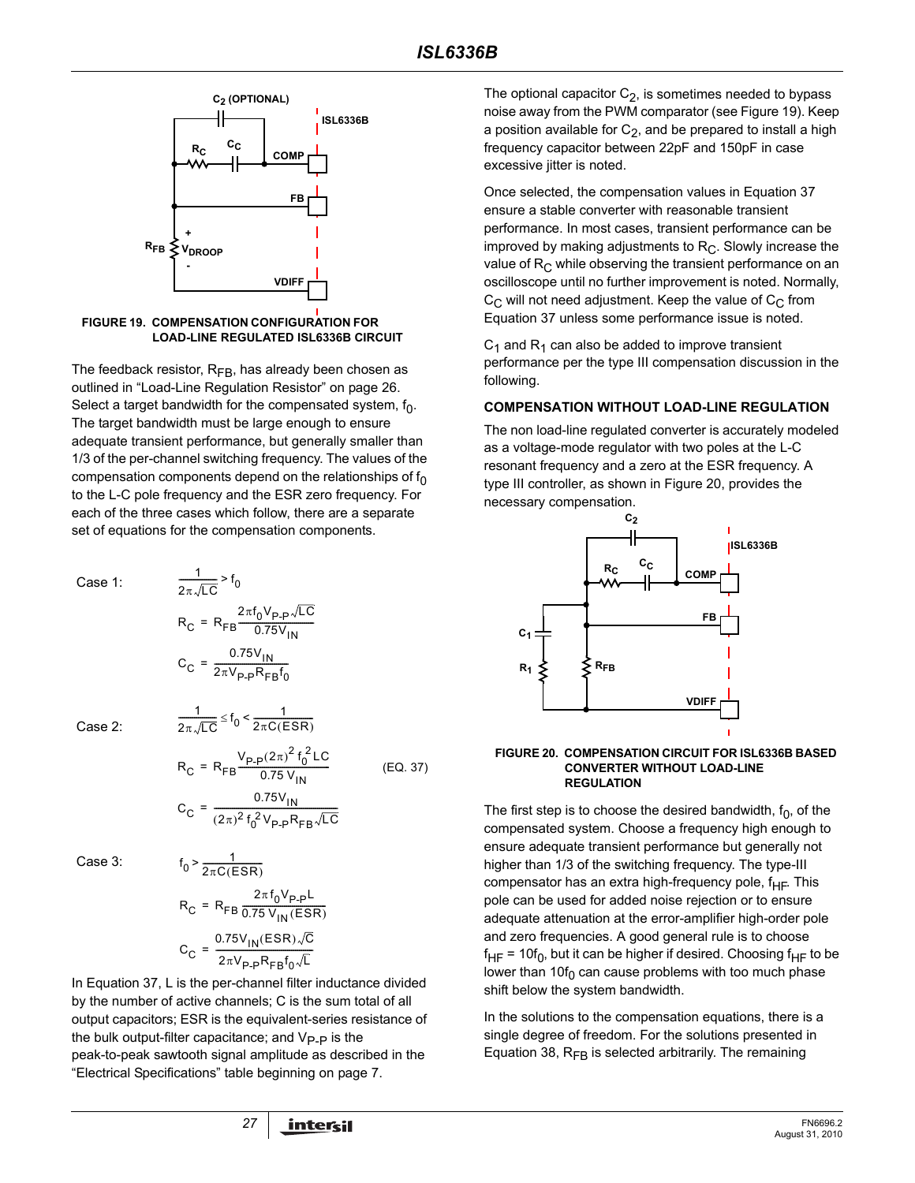

#### <span id="page-26-1"></span>**FIGURE 19. COMPENSATION CONFIGURATION FOR LOAD-LINE REGULATED ISL6336B CIRCUIT**

The feedback resistor,  $R_{FB}$ , has already been chosen as outlined in ["Load-Line Regulation Resistor" on page 26.](#page-25-5) Select a target bandwidth for the compensated system,  $f_0$ . The target bandwidth must be large enough to ensure adequate transient performance, but generally smaller than 1/3 of the per-channel switching frequency. The values of the compensation components depend on the relationships of  $f_0$ to the L-C pole frequency and the ESR zero frequency. For each of the three cases which follow, there are a separate set of equations for the compensation components.

Case 1:

$$
\frac{1}{2\pi\sqrt{LC}} > f_0
$$
  
\n
$$
R_C = R_{FB} \frac{2\pi f_0 V_{P-P} \sqrt{LC}}{0.75 V_{IN}}
$$
  
\n
$$
C_C = \frac{0.75 V_{IN}}{2\pi V_{P-P} R_{FB} f_0}
$$

 $\frac{1}{2\pi\sqrt{LC}} \leq f_0 < \frac{1}{2\pi C(E)}$ 

 $\leq f_0 < \frac{1}{2\pi C (ESR)}$ 

Case 2:

$$
R_{C} = R_{FB} \frac{V_{p.p}(2\pi)^{2} f_{0}^{2} LC}{0.75 V_{IN}}
$$
 (EQ. 37)  

$$
C_{C} = \frac{0.75 V_{IN}}{(2\pi)^{2} f_{0}^{2} V_{p.p} R_{FB} \sqrt{LC}}
$$

Case 3:

$$
f_0 > \frac{1}{2\pi C(ESR)}
$$
  
\n
$$
R_C = R_{FB} \frac{2\pi f_0 V_{P,P} L}{0.75 V_{IN}(ESR)}
$$
  
\n
$$
C_C = \frac{0.75 V_{IN}(ESR) \sqrt{C}}{2\pi V_{P-P} R_{FB} f_0 \sqrt{L}}
$$

In Equation [37,](#page-26-0) L is the per-channel filter inductance divided by the number of active channels; C is the sum total of all output capacitors; ESR is the equivalent-series resistance of the bulk output-filter capacitance; and  $V_{\text{P-P}}$  is the peak-to-peak sawtooth signal amplitude as described in the "Electrical Specifications" table beginning on [page 7.](#page-6-2)

The optional capacitor  $C_2$ , is sometimes needed to bypass noise away from the PWM comparator (see Figure [19](#page-26-1)). Keep a position available for  $C_2$ , and be prepared to install a high frequency capacitor between 22pF and 150pF in case excessive jitter is noted.

Once selected, the compensation values in Equation [37](#page-26-0)  ensure a stable converter with reasonable transient performance. In most cases, transient performance can be improved by making adjustments to  $R<sub>C</sub>$ . Slowly increase the value of  $R<sub>C</sub>$  while observing the transient performance on an oscilloscope until no further improvement is noted. Normally,  $C_{\text{C}}$  will not need adjustment. Keep the value of  $C_{\text{C}}$  from Equation [37](#page-26-0) unless some performance issue is noted.

 $C_1$  and  $R_1$  can also be added to improve transient performance per the type III compensation discussion in the following.

### **COMPENSATION WITHOUT LOAD-LINE REGULATION**

The non load-line regulated converter is accurately modeled as a voltage-mode regulator with two poles at the L-C resonant frequency and a zero at the ESR frequency. A type III controller, as shown in Figure [20,](#page-26-2) provides the necessary compensation.



#### <span id="page-26-2"></span>**FIGURE 20. COMPENSATION CIRCUIT FOR ISL6336B BASED CONVERTER WITHOUT LOAD-LINE REGULATION**

<span id="page-26-0"></span>The first step is to choose the desired bandwidth,  $f_0$ , of the compensated system. Choose a frequency high enough to ensure adequate transient performance but generally not higher than 1/3 of the switching frequency. The type-III compensator has an extra high-frequency pole,  $f_{HF}$ . This pole can be used for added noise rejection or to ensure adequate attenuation at the error-amplifier high-order pole and zero frequencies. A good general rule is to choose  $f_{HF}$  = 10f<sub>0</sub>, but it can be higher if desired. Choosing  $f_{HF}$  to be lower than 10 $f_0$  can cause problems with too much phase shift below the system bandwidth.

In the solutions to the compensation equations, there is a single degree of freedom. For the solutions presented in Equation [38,](#page-27-0)  $R_{FB}$  is selected arbitrarily. The remaining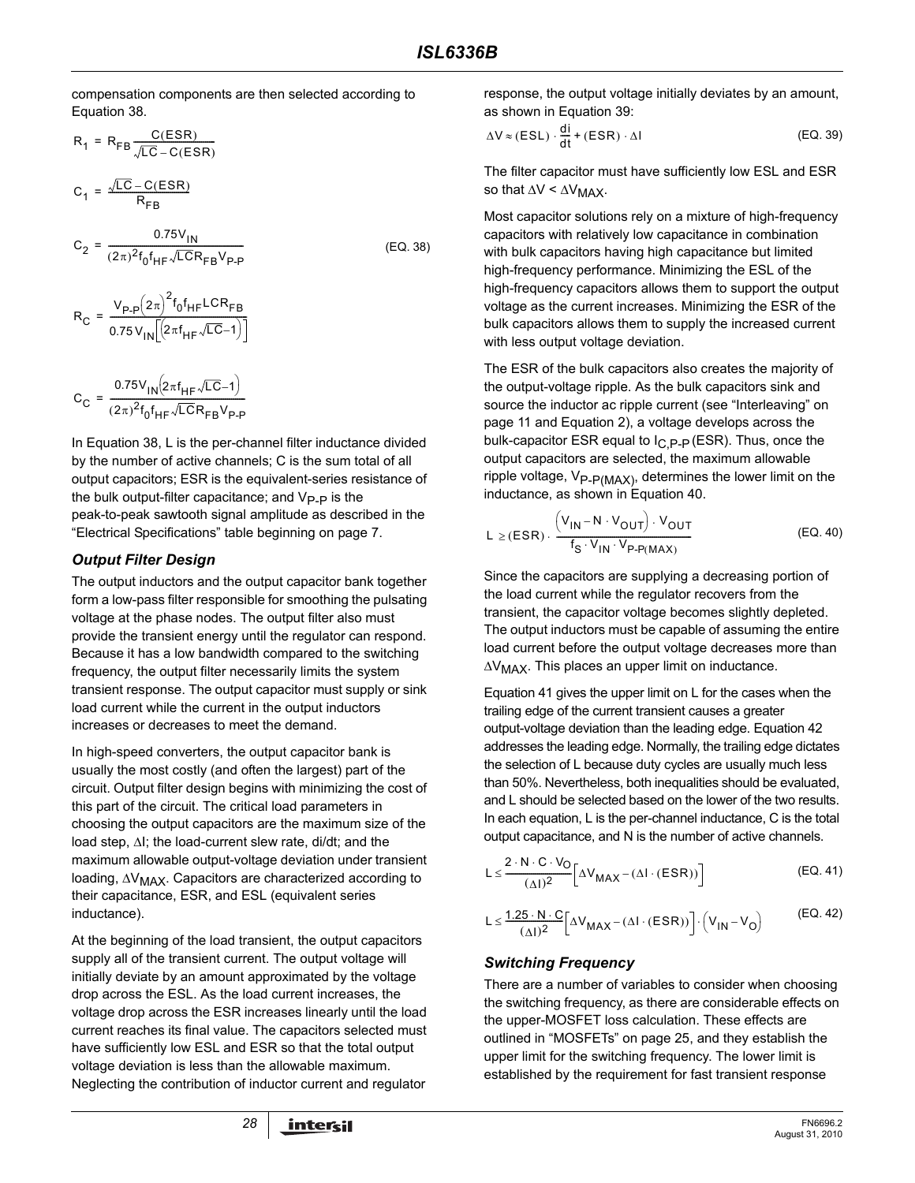compensation components are then selected according to Equation [38.](#page-27-0)

$$
R_{1} = R_{FB} \frac{C(ESR)}{\sqrt{LC} - C(ESR)}
$$
  
\n
$$
C_{1} = \frac{\sqrt{LC} - C(ESR)}{R_{FB}}
$$
  
\n
$$
C_{2} = \frac{0.75V_{1N}}{(2\pi)^{2}f_{0}f_{HF}\sqrt{LCR_{FB}V_{P-P}}}
$$
  
\n
$$
R_{C} = \frac{V_{P-P}(2\pi)^{2}f_{0}f_{HF}\sqrt{LCR_{FB}}}{0.75V_{1N}[(2\pi f_{HF}\sqrt{LC}-1)]}
$$
  
\n(Solution

$$
C_C = \frac{0.75 V_{IN} (2\pi f_{HF} \sqrt{LC} - 1)}{(2\pi)^2 f_0 f_{HF} \sqrt{LC} R_{FB} V_{P-P}}
$$

In Equation [38,](#page-27-0) L is the per-channel filter inductance divided by the number of active channels; C is the sum total of all output capacitors; ESR is the equivalent-series resistance of the bulk output-filter capacitance; and  $V_{\text{P-P}}$  is the peak-to-peak sawtooth signal amplitude as described in the "Electrical Specifications" table beginning on [page 7.](#page-6-2)

### <span id="page-27-5"></span>*Output Filter Design*

The output inductors and the output capacitor bank together form a low-pass filter responsible for smoothing the pulsating voltage at the phase nodes. The output filter also must provide the transient energy until the regulator can respond. Because it has a low bandwidth compared to the switching frequency, the output filter necessarily limits the system transient response. The output capacitor must supply or sink load current while the current in the output inductors increases or decreases to meet the demand.

In high-speed converters, the output capacitor bank is usually the most costly (and often the largest) part of the circuit. Output filter design begins with minimizing the cost of this part of the circuit. The critical load parameters in choosing the output capacitors are the maximum size of the load step, ΔI; the load-current slew rate, di/dt; and the maximum allowable output-voltage deviation under transient loading, ΔV<sub>MAX</sub>. Capacitors are characterized according to their capacitance, ESR, and ESL (equivalent series inductance).

At the beginning of the load transient, the output capacitors supply all of the transient current. The output voltage will initially deviate by an amount approximated by the voltage drop across the ESL. As the load current increases, the voltage drop across the ESR increases linearly until the load current reaches its final value. The capacitors selected must have sufficiently low ESL and ESR so that the total output voltage deviation is less than the allowable maximum. Neglecting the contribution of inductor current and regulator

response, the output voltage initially deviates by an amount, as shown in Equation [39:](#page-27-3)

<span id="page-27-3"></span>
$$
\Delta V \approx (ESL) \cdot \frac{di}{dt} + (ESR) \cdot \Delta I
$$
 (EQ. 39)

The filter capacitor must have sufficiently low ESL and ESR so that  $\Delta V < \Delta V_{MAX}$ .

<span id="page-27-0"></span>Most capacitor solutions rely on a mixture of high-frequency capacitors with relatively low capacitance in combination with bulk capacitors having high capacitance but limited high-frequency performance. Minimizing the ESL of the high-frequency capacitors allows them to support the output voltage as the current increases. Minimizing the ESR of the bulk capacitors allows them to supply the increased current with less output voltage deviation.

The ESR of the bulk capacitors also creates the majority of the output-voltage ripple. As the bulk capacitors sink and source the inductor ac ripple current (see ["Interleaving" on](#page-10-0)  [page 11](#page-10-0) and Equation [2\)](#page-11-1), a voltage develops across the bulk-capacitor ESR equal to  $I_{C, P-P}(ESR)$ . Thus, once the output capacitors are selected, the maximum allowable ripple voltage, V<sub>P-P(MAX)</sub>, determines the lower limit on the inductance, as shown in Equation [40](#page-27-4).

<span id="page-27-4"></span>
$$
L \ge (ESR) \cdot \frac{\left(V_{IN} - N \cdot V_{OUT}\right) \cdot V_{OUT}}{f_S \cdot V_{IN} \cdot V_{P\text{-}P(MAX)}} \tag{EQ.40}
$$

Since the capacitors are supplying a decreasing portion of the load current while the regulator recovers from the transient, the capacitor voltage becomes slightly depleted. The output inductors must be capable of assuming the entire load current before the output voltage decreases more than  $\Delta V_{MAX}$ . This places an upper limit on inductance.

Equation [41](#page-27-1) gives the upper limit on L for the cases when the trailing edge of the current transient causes a greater output-voltage deviation than the leading edge. Equation [42](#page-27-2)  addresses the leading edge. Normally, the trailing edge dictates the selection of L because duty cycles are usually much less than 50%. Nevertheless, both inequalities should be evaluated, and L should be selected based on the lower of the two results. In each equation, L is the per-channel inductance, C is the total output capacitance, and N is the number of active channels.

<span id="page-27-1"></span>
$$
L \leq \frac{2 \cdot N \cdot C \cdot V_O}{(\Delta I)^2} \left[ \Delta V_{MAX} - (\Delta I \cdot (ESR)) \right]
$$
 (EQ. 41)

<span id="page-27-2"></span>
$$
L \leq \frac{1.25 \cdot N \cdot C}{(\Delta I)^2} \bigg[ \Delta V_{MAX} - (\Delta I \cdot (ESR)) \bigg] \cdot \bigg( V_{1N} - V_O \bigg) \tag{EQ.42}
$$

### *Switching Frequency*

There are a number of variables to consider when choosing the switching frequency, as there are considerable effects on the upper-MOSFET loss calculation. These effects are outlined in ["MOSFETs" on page 25,](#page-24-5) and they establish the upper limit for the switching frequency. The lower limit is established by the requirement for fast transient response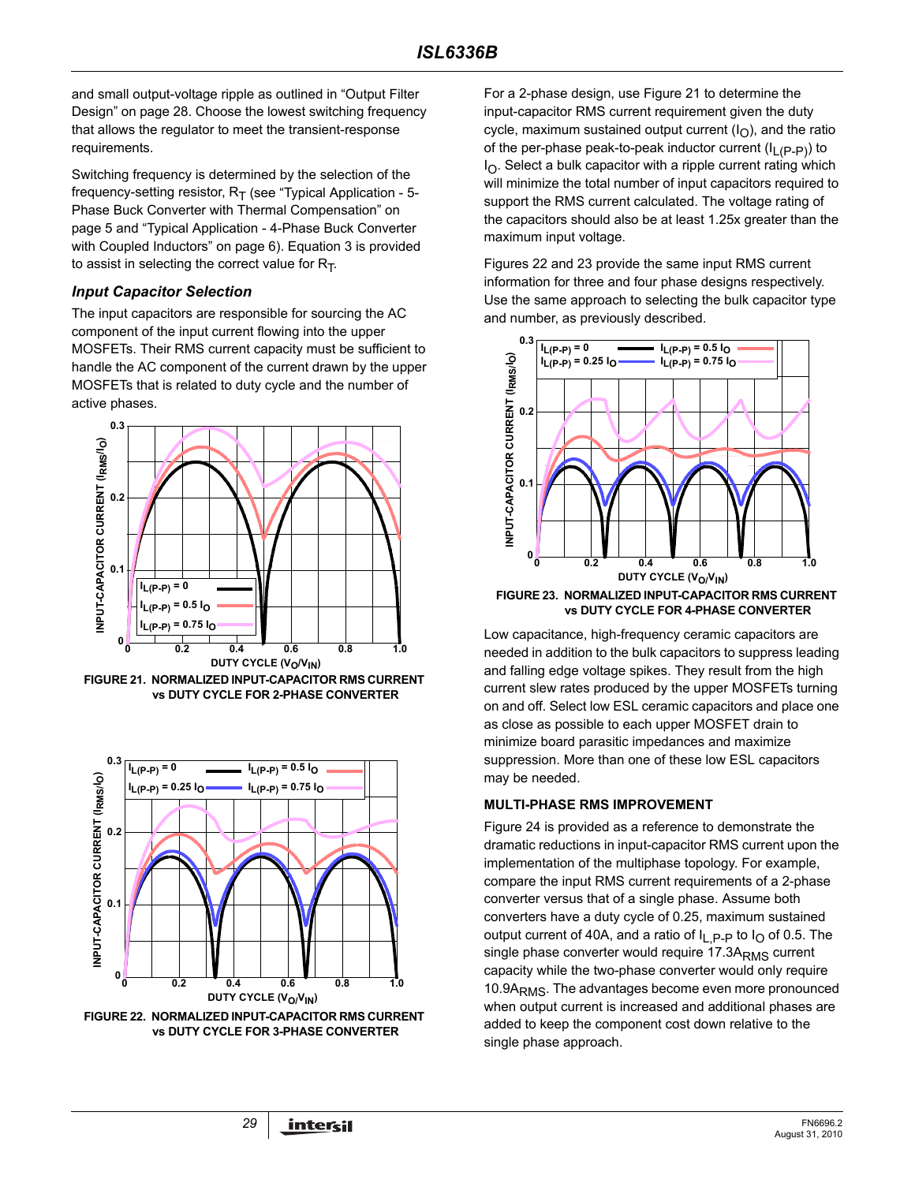and small output-voltage ripple as outlined in ["Output Filter](#page-27-5)  [Design" on page 28](#page-27-5). Choose the lowest switching frequency that allows the regulator to meet the transient-response requirements.

Switching frequency is determined by the selection of the frequency-setting resistor,  $R_T$  (see ["Typical Application - 5-](#page-4-0) [Phase Buck Converter with Thermal Compensation" on](#page-4-0)  [page 5](#page-4-0) and ["Typical Application - 4-Phase Buck Converter](#page-5-0)  [with Coupled Inductors" on page 6\)](#page-5-0). Equation [3](#page-13-0) is provided to assist in selecting the correct value for  $R_T$ .

### <span id="page-28-3"></span>*Input Capacitor Selection*

The input capacitors are responsible for sourcing the AC component of the input current flowing into the upper MOSFETs. Their RMS current capacity must be sufficient to handle the AC component of the current drawn by the upper MOSFETs that is related to duty cycle and the number of active phases.



<span id="page-28-0"></span>**FIGURE 21. NORMALIZED INPUT-CAPACITOR RMS CURRENT vs DUTY CYCLE FOR 2-PHASE CONVERTER**



<span id="page-28-1"></span>**FIGURE 22. NORMALIZED INPUT-CAPACITOR RMS CURRENT vs DUTY CYCLE FOR 3-PHASE CONVERTER**

For a 2-phase design, use Figure [21](#page-28-0) to determine the input-capacitor RMS current requirement given the duty cycle, maximum sustained output current  $(I<sub>O</sub>)$ , and the ratio of the per-phase peak-to-peak inductor current  $(I_L(p-p))$  to  $I<sub>O</sub>$ . Select a bulk capacitor with a ripple current rating which will minimize the total number of input capacitors required to support the RMS current calculated. The voltage rating of the capacitors should also be at least 1.25x greater than the maximum input voltage.

Figures [22](#page-28-1) and [23](#page-28-2) provide the same input RMS current information for three and four phase designs respectively. Use the same approach to selecting the bulk capacitor type and number, as previously described.



<span id="page-28-2"></span>**vs DUTY CYCLE FOR 4-PHASE CONVERTER**

Low capacitance, high-frequency ceramic capacitors are needed in addition to the bulk capacitors to suppress leading and falling edge voltage spikes. They result from the high current slew rates produced by the upper MOSFETs turning on and off. Select low ESL ceramic capacitors and place one as close as possible to each upper MOSFET drain to minimize board parasitic impedances and maximize suppression. More than one of these low ESL capacitors may be needed.

### **MULTI-PHASE RMS IMPROVEMENT**

Figure [24](#page-29-0) is provided as a reference to demonstrate the dramatic reductions in input-capacitor RMS current upon the implementation of the multiphase topology. For example, compare the input RMS current requirements of a 2-phase converter versus that of a single phase. Assume both converters have a duty cycle of 0.25, maximum sustained output current of 40A, and a ratio of  $I_{L,P-P}$  to  $I_{O}$  of 0.5. The single phase converter would require 17.3ARMS current capacity while the two-phase converter would only require 10.9A<sub>RMS</sub>. The advantages become even more pronounced when output current is increased and additional phases are added to keep the component cost down relative to the single phase approach.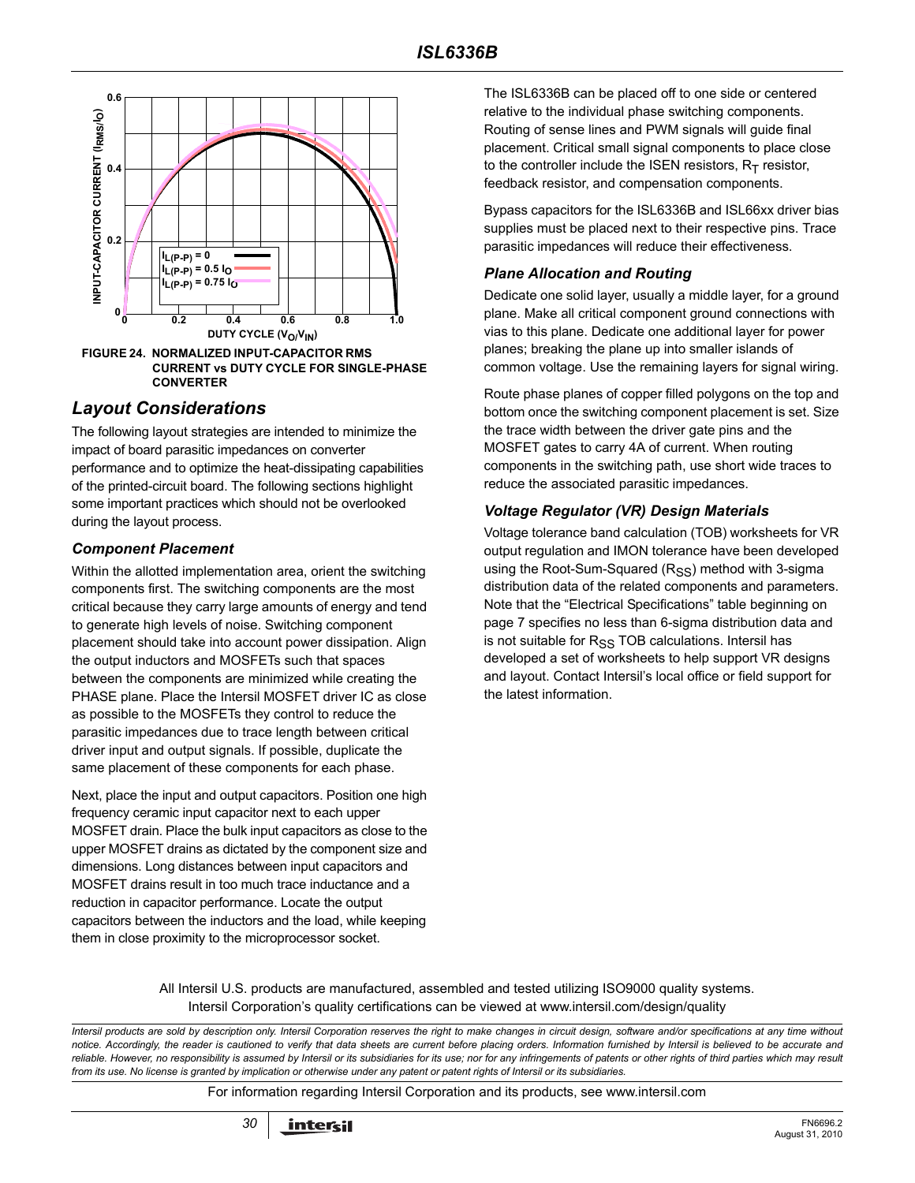

<span id="page-29-0"></span>**CURRENT vs DUTY CYCLE FOR SINGLE-PHASE CONVERTER**

## *Layout Considerations*

The following layout strategies are intended to minimize the impact of board parasitic impedances on converter performance and to optimize the heat-dissipating capabilities of the printed-circuit board. The following sections highlight some important practices which should not be overlooked during the layout process.

### *Component Placement*

Within the allotted implementation area, orient the switching components first. The switching components are the most critical because they carry large amounts of energy and tend to generate high levels of noise. Switching component placement should take into account power dissipation. Align the output inductors and MOSFETs such that spaces between the components are minimized while creating the PHASE plane. Place the Intersil MOSFET driver IC as close as possible to the MOSFETs they control to reduce the parasitic impedances due to trace length between critical driver input and output signals. If possible, duplicate the same placement of these components for each phase.

Next, place the input and output capacitors. Position one high frequency ceramic input capacitor next to each upper MOSFET drain. Place the bulk input capacitors as close to the upper MOSFET drains as dictated by the component size and dimensions. Long distances between input capacitors and MOSFET drains result in too much trace inductance and a reduction in capacitor performance. Locate the output capacitors between the inductors and the load, while keeping them in close proximity to the microprocessor socket.

The ISL6336B can be placed off to one side or centered relative to the individual phase switching components. Routing of sense lines and PWM signals will guide final placement. Critical small signal components to place close to the controller include the ISEN resistors,  $R_T$  resistor, feedback resistor, and compensation components.

Bypass capacitors for the ISL6336B and ISL66xx driver bias supplies must be placed next to their respective pins. Trace parasitic impedances will reduce their effectiveness.

### *Plane Allocation and Routing*

Dedicate one solid layer, usually a middle layer, for a ground plane. Make all critical component ground connections with vias to this plane. Dedicate one additional layer for power planes; breaking the plane up into smaller islands of common voltage. Use the remaining layers for signal wiring.

Route phase planes of copper filled polygons on the top and bottom once the switching component placement is set. Size the trace width between the driver gate pins and the MOSFET gates to carry 4A of current. When routing components in the switching path, use short wide traces to reduce the associated parasitic impedances.

### *Voltage Regulator (VR) Design Materials*

Voltage tolerance band calculation (TOB) worksheets for VR output regulation and IMON tolerance have been developed using the Root-Sum-Squared  $(R_{SS})$  method with 3-sigma distribution data of the related components and parameters. Note that the "Electrical Specifications" table beginning on [page 7](#page-6-2) specifies no less than 6-sigma distribution data and is not suitable for R<sub>SS</sub> TOB calculations. Intersil has developed a set of worksheets to help support VR designs and layout. Contact Intersil's local office or field support for the latest information.

All Intersil U.S. products are manufactured, assembled and tested utilizing ISO9000 quality systems. Intersil Corporation's quality certifications can be viewed at www.intersil.com/design/quality

*Intersil products are sold by description only. Intersil Corporation reserves the right to make changes in circuit design, software and/or specifications at any time without notice. Accordingly, the reader is cautioned to verify that data sheets are current before placing orders. Information furnished by Intersil is believed to be accurate and reliable. However, no responsibility is assumed by Intersil or its subsidiaries for its use; nor for any infringements of patents or other rights of third parties which may result from its use. No license is granted by implication or otherwise under any patent or patent rights of Intersil or its subsidiaries.*

For information regarding Intersil Corporation and its products, see www.intersil.com